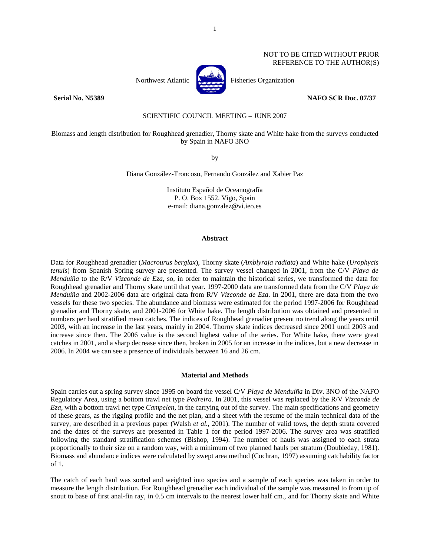# NOT TO BE CITED WITHOUT PRIOR REFERENCE TO THE AUTHOR(S)



Northwest Atlantic **Northuse** Fisheries Organization

## **Serial No. N5389 NAFO SCR Doc. 07/37**

SCIENTIFIC COUNCIL MEETING – JUNE 2007

# Biomass and length distribution for Roughhead grenadier, Thorny skate and White hake from the surveys conducted by Spain in NAFO 3NO

by

Diana González-Troncoso, Fernando González and Xabier Paz

Instituto Español de Oceanografía P. O. Box 1552. Vigo, Spain e-mail: diana.gonzalez@vi.ieo.es

## **Abstract**

Data for Roughhead grenadier (*Macrourus berglax*), Thorny skate (*Amblyraja radiata*) and White hake (*Urophycis tenuis*) from Spanish Spring survey are presented. The survey vessel changed in 2001, from the C/V *Playa de Menduíña* to the R/V *Vizconde de Eza*, so, in order to maintain the historical series, we transformed the data for Roughhead grenadier and Thorny skate until that year. 1997-2000 data are transformed data from the C/V *Playa de Menduíña* and 2002-2006 data are original data from R/V *Vizconde de Eza*. In 2001, there are data from the two vessels for these two species. The abundance and biomass were estimated for the period 1997-2006 for Roughhead grenadier and Thorny skate, and 2001-2006 for White hake. The length distribution was obtained and presented in numbers per haul stratified mean catches. The indices of Roughhead grenadier present no trend along the years until 2003, with an increase in the last years, mainly in 2004. Thorny skate indices decreased since 2001 until 2003 and increase since then. The 2006 value is the second highest value of the series. For White hake, there were great catches in 2001, and a sharp decrease since then, broken in 2005 for an increase in the indices, but a new decrease in 2006. In 2004 we can see a presence of individuals between 16 and 26 cm.

### **Material and Methods**

Spain carries out a spring survey since 1995 on board the vessel C/V *Playa de Menduíña* in Div. 3NO of the NAFO Regulatory Area, using a bottom trawl net type *Pedreira*. In 2001, this vessel was replaced by the R/V *Vizconde de Eza*, with a bottom trawl net type *Campelen*, in the carrying out of the survey. The main specifications and geometry of these gears, as the rigging profile and the net plan, and a sheet with the resume of the main technical data of the survey, are described in a previous paper (Walsh *et al.*, 2001). The number of valid tows, the depth strata covered and the dates of the surveys are presented in Table 1 for the period 1997-2006. The survey area was stratified following the standard stratification schemes (Bishop, 1994). The number of hauls was assigned to each strata proportionally to their size on a random way, with a minimum of two planned hauls per stratum (Doubleday, 1981). Biomass and abundance indices were calculated by swept area method (Cochran, 1997) assuming catchability factor of 1.

The catch of each haul was sorted and weighted into species and a sample of each species was taken in order to measure the length distribution. For Roughhead grenadier each individual of the sample was measured to from tip of snout to base of first anal-fin ray, in 0.5 cm intervals to the nearest lower half cm., and for Thorny skate and White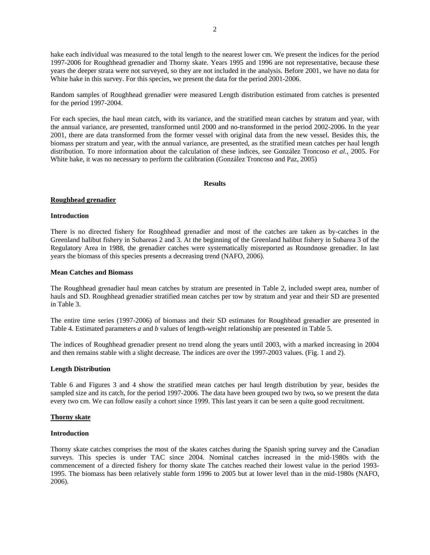hake each individual was measured to the total length to the nearest lower cm. We present the indices for the period 1997-2006 for Roughhead grenadier and Thorny skate. Years 1995 and 1996 are not representative, because these years the deeper strata were not surveyed, so they are not included in the analysis. Before 2001, we have no data for White hake in this survey. For this species, we present the data for the period 2001-2006.

Random samples of Roughhead grenadier were measured Length distribution estimated from catches is presented for the period 1997-2004.

For each species, the haul mean catch, with its variance, and the stratified mean catches by stratum and year, with the annual variance, are presented, transformed until 2000 and no-transformed in the period 2002-2006. In the year 2001, there are data transformed from the former vessel with original data from the new vessel. Besides this, the biomass per stratum and year, with the annual variance, are presented, as the stratified mean catches per haul length distribution. To more information about the calculation of these indices, see González Troncoso *et al.*, 2005. For White hake, it was no necessary to perform the calibration (González Troncoso and Paz, 2005)

## **Results**

## **Roughhead grenadier**

# **Introduction**

There is no directed fishery for Roughhead grenadier and most of the catches are taken as by-catches in the Greenland halibut fishery in Subareas 2 and 3. At the beginning of the Greenland halibut fishery in Subarea 3 of the Regulatory Area in 1988, the grenadier catches were systematically misreported as Roundnose grenadier. In last years the biomass of this species presents a decreasing trend (NAFO, 2006).

## **Mean Catches and Biomass**

The Roughhead grenadier haul mean catches by stratum are presented in Table 2, included swept area, number of hauls and SD. Roughhead grenadier stratified mean catches per tow by stratum and year and their SD are presented in Table 3.

The entire time series (1997-2006) of biomass and their SD estimates for Roughhead grenadier are presented in Table 4. Estimated parameters *a* and *b* values of length-weight relationship are presented in Table 5.

The indices of Roughhead grenadier present no trend along the years until 2003, with a marked increasing in 2004 and then remains stable with a slight decrease. The indices are over the 1997-2003 values. (Fig. 1 and 2).

### **Length Distribution**

Table 6 and Figures 3 and 4 show the stratified mean catches per haul length distribution by year, besides the sampled size and its catch, for the period 1997-2006. The data have been grouped two by two**,** so we present the data every two cm. We can follow easily a cohort since 1999. This last years it can be seen a quite good recruitment.

# **Thorny skate**

# **Introduction**

Thorny skate catches comprises the most of the skates catches during the Spanish spring survey and the Canadian surveys. This species is under TAC since 2004. Nominal catches increased in the mid-1980s with the commencement of a directed fishery for thorny skate The catches reached their lowest value in the period 1993- 1995. The biomass has been relatively stable form 1996 to 2005 but at lower level than in the mid-1980s (NAFO, 2006).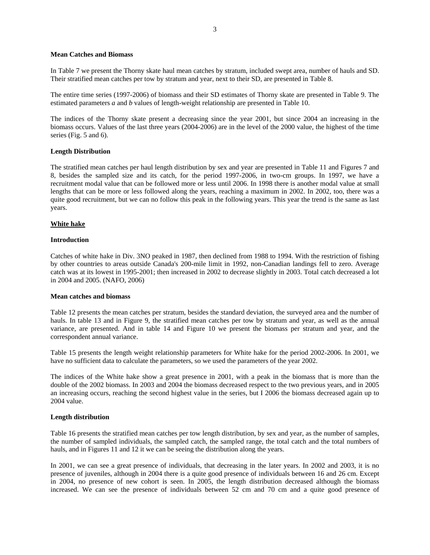# **Mean Catches and Biomass**

In Table 7 we present the Thorny skate haul mean catches by stratum, included swept area, number of hauls and SD. Their stratified mean catches per tow by stratum and year, next to their SD, are presented in Table 8.

The entire time series (1997-2006) of biomass and their SD estimates of Thorny skate are presented in Table 9. The estimated parameters *a* and *b* values of length-weight relationship are presented in Table 10.

The indices of the Thorny skate present a decreasing since the year 2001, but since 2004 an increasing in the biomass occurs. Values of the last three years (2004-2006) are in the level of the 2000 value, the highest of the time series (Fig. 5 and 6).

# **Length Distribution**

The stratified mean catches per haul length distribution by sex and year are presented in Table 11 and Figures 7 and 8, besides the sampled size and its catch, for the period 1997-2006, in two-cm groups. In 1997, we have a recruitment modal value that can be followed more or less until 2006. In 1998 there is another modal value at small lengths that can be more or less followed along the years, reaching a maximum in 2002. In 2002, too, there was a quite good recruitment, but we can no follow this peak in the following years. This year the trend is the same as last years.

# **White hake**

### **Introduction**

Catches of white hake in Div. 3NO peaked in 1987, then declined from 1988 to 1994. With the restriction of fishing by other countries to areas outside Canada's 200-mile limit in 1992, non-Canadian landings fell to zero. Average catch was at its lowest in 1995-2001; then increased in 2002 to decrease slightly in 2003. Total catch decreased a lot in 2004 and 2005. (NAFO, 2006)

## **Mean catches and biomass**

Table 12 presents the mean catches per stratum, besides the standard deviation, the surveyed area and the number of hauls. In table 13 and in Figure 9, the stratified mean catches per tow by stratum and year, as well as the annual variance, are presented. And in table 14 and Figure 10 we present the biomass per stratum and year, and the correspondent annual variance.

Table 15 presents the length weight relationship parameters for White hake for the period 2002-2006. In 2001, we have no sufficient data to calculate the parameters, so we used the parameters of the year 2002.

The indices of the White hake show a great presence in 2001, with a peak in the biomass that is more than the double of the 2002 biomass. In 2003 and 2004 the biomass decreased respect to the two previous years, and in 2005 an increasing occurs, reaching the second highest value in the series, but I 2006 the biomass decreased again up to 2004 value.

### **Length distribution**

Table 16 presents the stratified mean catches per tow length distribution, by sex and year, as the number of samples, the number of sampled individuals, the sampled catch, the sampled range, the total catch and the total numbers of hauls, and in Figures 11 and 12 it we can be seeing the distribution along the years.

In 2001, we can see a great presence of individuals, that decreasing in the later years. In 2002 and 2003, it is no presence of juveniles, although in 2004 there is a quite good presence of individuals between 16 and 26 cm. Except in 2004, no presence of new cohort is seen. In 2005, the length distribution decreased although the biomass increased. We can see the presence of individuals between 52 cm and 70 cm and a quite good presence of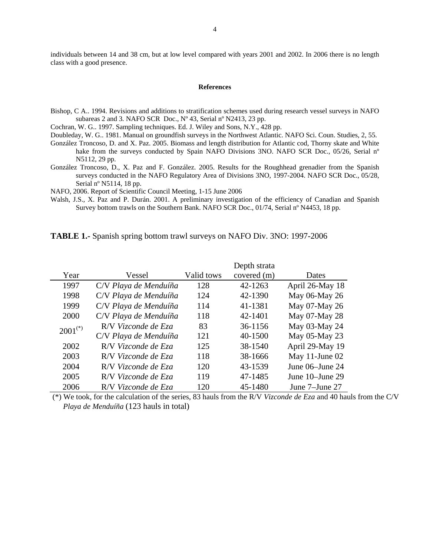individuals between 14 and 38 cm, but at low level compared with years 2001 and 2002. In 2006 there is no length class with a good presence.

## **References**

Bishop, C A.. 1994. Revisions and additions to stratification schemes used during research vessel surveys in NAFO subareas 2 and 3*.* NAFO SCR Doc., Nº 43, Serial nº N2413, 23 pp.

Cochran, W. G.. 1997. Sampling techniques. Ed. J. Wiley and Sons, N.Y., 428 pp.

- Doubleday, W. G.. 1981. Manual on groundfish surveys in the Northwest Atlantic. NAFO Sci. Coun. Studies, 2, 55.
- González Troncoso, D. and X. Paz. 2005. Biomass and length distribution for Atlantic cod, Thorny skate and White hake from the surveys conducted by Spain NAFO Divisions 3NO. NAFO SCR Doc., 05/26, Serial n° N5112, 29 pp.
- González Troncoso, D., X. Paz and F. González. 2005. Results for the Roughhead grenadier from the Spanish surveys conducted in the NAFO Regulatory Area of Divisions 3NO, 1997-2004. NAFO SCR Doc., 05/28, Serial nº N5114, 18 pp.

NAFO, 2006. Report of Scientific Council Meeting, 1-15 June 2006

Walsh, J.S., X. Paz and P. Durán. 2001. A preliminary investigation of the efficiency of Canadian and Spanish Survey bottom trawls on the Southern Bank. NAFO SCR Doc., 01/74, Serial nº N4453, 18 pp.

|              |                       |            | Depth strata |                 |
|--------------|-----------------------|------------|--------------|-----------------|
| Year         | Vessel                | Valid tows | covered (m)  | Dates           |
| 1997         | C/V Playa de Menduíña | 128        | 42-1263      | April 26-May 18 |
| 1998         | C/V Playa de Menduíña | 124        | 42-1390      | May 06-May 26   |
| 1999         | C/V Playa de Menduíña | 114        | 41-1381      | May 07-May 26   |
| 2000         | C/V Playa de Menduíña | 118        | 42-1401      | May 07-May 28   |
| $2001^{(*)}$ | R/V Vizconde de Eza   | 83         | 36-1156      | May 03-May 24   |
|              | C/V Playa de Menduíña | 121        | 40-1500      | May 05-May 23   |
| 2002         | R/V Vizconde de Eza   | 125        | 38-1540      | April 29-May 19 |
| 2003         | R/V Vizconde de Eza   | 118        | 38-1666      | May 11-June 02  |
| 2004         | R/V Vizconde de Eza   | 120        | 43-1539      | June 06–June 24 |
| 2005         | R/V Vizconde de Eza   | 119        | 47-1485      | June 10–June 29 |
| 2006         | R/V Vizconde de Eza   | 120        | 45-1480      | June 7-June 27  |

**TABLE 1.-** Spanish spring bottom trawl surveys on NAFO Div. 3NO: 1997-2006

 (\*) We took, for the calculation of the series, 83 hauls from the R/V *Vizconde de Eza* and 40 hauls from the C/V *Playa de Menduíña* (123 hauls in total)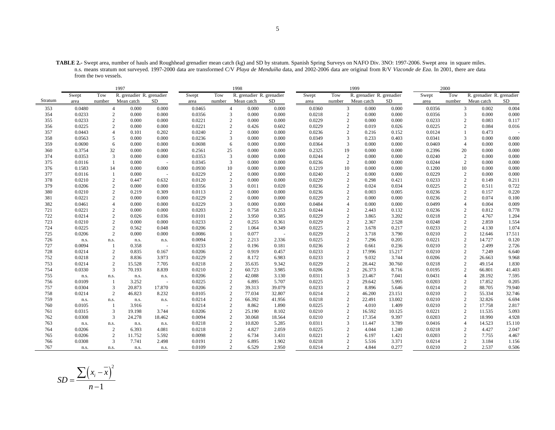**TABLE 2.-** Swept area, number of hauls and Roughhead grenadier mean catch (kg) and SD by stratum. Spanish Spring Surveys on NAFO Div. 3NO: 1997-2006. Swept area in square miles. n.s. means stratum not surveyed. 1997-2000 data are transformed C/V *Playa de Menduíña* data, and 2002-2006 data are original from R/V *Vizconde de Eza*. In 2001, there are data from the two vessels.

|         |        |                | 1997                      | 1998                     |        |                |                           |        |        |                | 1999                      |        |        | 2000           |                           |        |
|---------|--------|----------------|---------------------------|--------------------------|--------|----------------|---------------------------|--------|--------|----------------|---------------------------|--------|--------|----------------|---------------------------|--------|
|         | Swept  | Tow            | R. grenadier R. grenadier |                          | Swept  | Tow            | R. grenadier R. grenadier |        | Swept  | Tow            | R. grenadier R. grenadier |        | Swept  | Tow            | R. grenadier R. grenadier |        |
| Stratum | area   | number         | Mean catch                | SD                       | area   | number         | Mean catch                | SD     | area   | number         | Mean catch                | SD     | area   | number         | Mean catch                | SD     |
| 353     | 0.0480 | $\overline{4}$ | 0.000                     | 0.000                    | 0.0465 | $\overline{4}$ | 0.000                     | 0.000  | 0.0360 |                | 3<br>0.000                | 0.000  | 0.0356 | 3              | 0.002                     | 0.004  |
| 354     | 0.0233 | 2              | 0.000                     | 0.000                    | 0.0356 | 3              | 0.000                     | 0.000  | 0.0218 |                | $\mathbf{2}$<br>0.000     | 0.000  | 0.0356 | 3              | 0.000                     | 0.000  |
| 355     | 0.0233 | $\mathbf{2}$   | 0.000                     | 0.000                    | 0.0221 | $\overline{2}$ | 0.000                     | 0.000  | 0.0229 |                | $\overline{c}$<br>0.000   | 0.000  | 0.0233 | $\overline{c}$ | 0.083                     | 0.117  |
| 356     | 0.0225 | $\overline{c}$ | 0.000                     | 0.000                    | 0.0221 | $\overline{2}$ | 0.426                     | 0.602  | 0.0229 | $\overline{2}$ | 0.019                     | 0.026  | 0.0225 | $\overline{2}$ | 0.084                     | 0.016  |
| 357     | 0.0443 | $\overline{4}$ | 0.101                     | 0.202                    | 0.0240 |                | 0.000                     | 0.000  | 0.0236 |                | $\overline{c}$<br>0.216   | 0.152  | 0.0124 |                | 0.473                     |        |
| 358     | 0.0563 | 5              | 0.000                     | 0.000                    | 0.0236 | 3              | 0.000                     | 0.000  | 0.0349 | 3              | 0.233                     | 0.403  | 0.0341 | 3              | 0.000                     | 0.000  |
| 359     | 0.0690 | 6              | 0.000                     | 0.000                    | 0.0698 | 6              | 0.000                     | 0.000  | 0.0364 | 3              | 0.000                     | 0.000  | 0.0469 | $\overline{4}$ | 0.000                     | 0.000  |
| 360     | 0.3754 | 32             | 0.000                     | 0.000                    | 0.2561 | 25             | 0.000                     | 0.000  | 0.2325 | 19             | 0.000                     | 0.000  | 0.2396 | 20             | 0.000                     | 0.000  |
| 374     | 0.0353 | 3              | 0.000                     | 0.000                    | 0.0353 | 3              | 0.000                     | 0.000  | 0.0244 |                | $\sqrt{2}$<br>0.000       | 0.000  | 0.0240 | $\overline{2}$ | 0.000                     | 0.000  |
| 375     | 0.0116 |                | 0.000                     |                          | 0.0345 | 3              | 0.000                     | 0.000  | 0.0236 |                | $\mathbf{2}$<br>0.000     | 0.000  | 0.0244 | 2              | 0.000                     | 0.000  |
| 376     | 0.1583 | 14             | 0.000                     | 0.000                    | 0.0930 | 10             | 0.000                     | 0.000  | 0.1219 | 10             | 0.000                     | 0.000  | 0.1200 | 10             | 0.000                     | 0.000  |
| 377     | 0.0116 | $\mathbf{1}$   | 0.000                     |                          | 0.0229 | $\sqrt{2}$     | 0.000                     | 0.000  | 0.0240 |                | $\sqrt{2}$<br>0.000       | 0.000  | 0.0229 | $\sqrt{2}$     | 0.000                     | 0.000  |
| 378     | 0.0210 | $\mathbf{2}$   | 0.447                     | 0.632                    | 0.0120 | $\overline{c}$ | 0.000                     | 0.000  | 0.0229 |                | $\mathbf{2}$<br>0.298     | 0.421  | 0.0233 | 2              | 0.149                     | 0.211  |
| 379     | 0.0206 | 2              | 0.000                     | 0.000                    | 0.0356 | 3              | 0.011                     | 0.020  | 0.0236 |                | $\overline{c}$<br>0.024   | 0.034  | 0.0225 | $\mathbf{2}$   | 0.511                     | 0.722  |
| 380     | 0.0210 | $\mathbf{2}$   | 0.219                     | 0.309                    | 0.0113 | $\overline{2}$ | 0.000                     | 0.000  | 0.0236 |                | $\overline{c}$<br>0.003   | 0.005  | 0.0236 | $\overline{c}$ | 0.157                     | 0.220  |
| 381     | 0.0221 | 2              | 0.000                     | 0.000                    | 0.0229 | $\overline{c}$ | 0.000                     | 0.000  | 0.0229 |                | 2<br>0.000                | 0.000  | 0.0236 | 2              | 0.074                     | 0.100  |
| 382     | 0.0461 | $\overline{4}$ | 0.000                     | 0.000                    | 0.0229 | 3              | 0.000                     | 0.000  | 0.0484 | $\overline{4}$ | 0.000                     | 0.000  | 0.0499 | $\overline{4}$ | 0.004                     | 0.009  |
| 721     | 0.0221 | $\overline{2}$ | 0.000                     | 0.000                    | 0.0203 | $\overline{2}$ | 0.758                     | 0.253  | 0.0244 | $\overline{2}$ | 2.443                     | 0.132  | 0.0236 | $\mathbf{2}$   | 0.812                     | 0.778  |
| 722     | 0.0214 | 2              | 0.026                     | 0.036                    | 0.0101 | $\overline{2}$ | 3.950                     | 0.385  | 0.0229 |                | $\overline{c}$<br>3.865   | 3.202  | 0.0218 | $\overline{c}$ | 4.767                     | 1.204  |
| 723     | 0.0210 | 2              | 0.000                     | 0.000                    | 0.0233 | $\overline{2}$ | 0.255                     | 0.361  | 0.0229 |                | 2<br>2.367                | 2.528  | 0.0248 | 2              | 2.859                     | 1.554  |
| 724     | 0.0225 | $\overline{2}$ | 0.562                     | 0.048                    | 0.0206 | $\overline{2}$ | 1.064                     | 0.349  | 0.0225 |                | $\sqrt{2}$<br>3.678       | 0.217  | 0.0233 | $\overline{c}$ | 4.130                     | 1.074  |
| 725     | 0.0206 | $\mathbf{2}$   | 0.000                     | 0.000                    | 0.0086 | $\mathbf{1}$   | 0.077                     | ÷.     | 0.0229 |                | $\mathbf{2}$<br>3.718     | 3.790  | 0.0210 | 2              | 12.646                    | 17.511 |
| 726     | n.s.   | n.s.           | n.s.                      | n.s.                     | 0.0094 | $\overline{2}$ | 2.213                     | 2.336  | 0.0225 | $\overline{2}$ | 7.296                     | 0.205  | 0.0221 | $\mathbf{2}$   | 14.727                    | 0.120  |
| 727     | 0.0094 | -1             | 0.358                     |                          | 0.0233 |                | 0.196                     | 0.181  | 0.0236 | $\overline{2}$ | 0.661                     | 0.236  | 0.0210 | $\overline{2}$ | 2.499                     | 2.726  |
| 728     | 0.0214 | $\mathbf{2}$   | 0.835                     | 0.167                    | 0.0206 | $\overline{2}$ | 0.919                     | 0.457  | 0.0233 |                | $\sqrt{2}$<br>17.996      | 15.217 | 0.0210 | $\overline{c}$ | 7.249                     | 6.640  |
| 752     | 0.0218 | $\overline{2}$ | 8.836                     | 3.973                    | 0.0229 | $\overline{2}$ | 8.172                     | 6.983  | 0.0233 | $\overline{2}$ | 9.032                     | 3.744  | 0.0206 | 2              | 26.663                    | 9.968  |
| 753     | 0.0214 | $\mathbf{2}$   | 15.528                    | 7.705                    | 0.0218 | $\overline{2}$ | 35.635                    | 9.342  | 0.0229 | $\overline{2}$ | 28.442                    | 30.760 | 0.0218 | $\mathbf{2}$   | 49.154                    | 1.830  |
| 754     | 0.0330 | 3              | 70.193                    | 8.839                    | 0.0210 | $\sqrt{2}$     | 60.723                    | 3.985  | 0.0206 | $\overline{c}$ | 26.373                    | 8.716  | 0.0195 | $\overline{2}$ | 66.801                    | 41.403 |
| 755     | n.s.   | n.s.           | n.s.                      | n.s.                     | 0.0206 | $\overline{2}$ | 42.088                    | 3.130  | 0.0311 | 3              | 23.467                    | 7.041  | 0.0431 | $\overline{4}$ | 28.192                    | 7.595  |
| 756     | 0.0109 | $\overline{1}$ | 3.252                     |                          | 0.0225 | $\overline{2}$ | 6.895                     | 5.707  | 0.0225 |                | $\overline{c}$<br>29.642  | 5.995  | 0.0203 | 2              | 17.852                    | 0.205  |
| 757     | 0.0304 | 3              | 20.873                    | 17.870                   | 0.0206 | $\overline{c}$ | 39.313                    | 39.079 | 0.0233 |                | $\mathbf{2}$<br>8.896     | 5.646  | 0.0214 | 2              | 88.705                    | 79.940 |
| 758     | 0.0214 | $\overline{c}$ | 46.823                    | 8.232                    | 0.0105 | $\overline{2}$ | 77.034                    | 32.807 | 0.0214 | $\overline{2}$ | 46.200                    | 23.151 | 0.0210 | $\overline{2}$ | 55.334                    | 32.746 |
| 759     | n.s.   | n.s.           | n.s.                      | n.s.                     | 0.0214 | $\overline{2}$ | 66.392                    | 41.956 | 0.0218 |                | $\sqrt{2}$<br>22.491      | 13.002 | 0.0210 | 2              | 32.826                    | 6.694  |
| 760     | 0.0105 | 1              | 3.916                     | $\overline{\phantom{a}}$ | 0.0214 | $\overline{2}$ | 8.862                     | 1.890  | 0.0225 |                | $\mathbf{2}$<br>4.010     | 1.409  | 0.0210 | 2              | 17.758                    | 2.817  |
| 761     | 0.0315 | 3              | 19.198                    | 3.744                    | 0.0206 | $\overline{2}$ | 25.190                    | 8.102  | 0.0210 |                | 2<br>16.592               | 10.125 | 0.0221 | 2              | 11.535                    | 5.093  |
| 762     | 0.0308 | 3              | 24.278                    | 18.462                   | 0.0094 | $\overline{2}$ | 30.068                    | 18.564 | 0.0210 |                | $\mathbf{2}$<br>17.354    | 9.397  | 0.0203 | $\overline{2}$ | 18.990                    | 4.928  |
| 763     | n.s.   | n.s.           | n.s.                      | n.s.                     | 0.0218 | $\overline{2}$ | 10.820                    | 5.285  | 0.0311 |                | 3<br>11.447               | 3.789  | 0.0416 | $\overline{4}$ | 14.523                    | 15.110 |
| 764     | 0.0206 | 2              | 6.393                     | 4.081                    | 0.0218 | $\overline{2}$ | 4.827                     | 2.059  | 0.0225 |                | $\mathbf{2}$<br>4.044     | 1.240  | 0.0218 | 2              | 4.427                     | 2.047  |
| 765     | 0.0206 | 2              | 11.752                    | 5.592                    | 0.0098 | $\overline{2}$ | 6.734                     | 3.431  | 0.0221 |                | 2<br>6.197                | 1.421  | 0.0203 | 2              | 7.755                     | 4.467  |
| 766     | 0.0308 | 3              | 7.741                     | 2.498                    | 0.0191 | $\overline{2}$ | 6.895                     | 1.902  | 0.0218 | $\overline{2}$ | 5.516                     | 3.371  | 0.0214 | $\overline{c}$ | 3.184                     | 1.156  |
| 767     | n.s.   | n.s.           | n.s.                      | n.s.                     | 0.0109 | $\overline{c}$ | 6.529                     | 2.950  | 0.0214 |                | 2<br>4.844                | 0.277  | 0.0210 | 2              | 2.537                     | 0.506  |

$$
SD = \frac{\sum (x_i - \overline{x})^2}{n - 1}
$$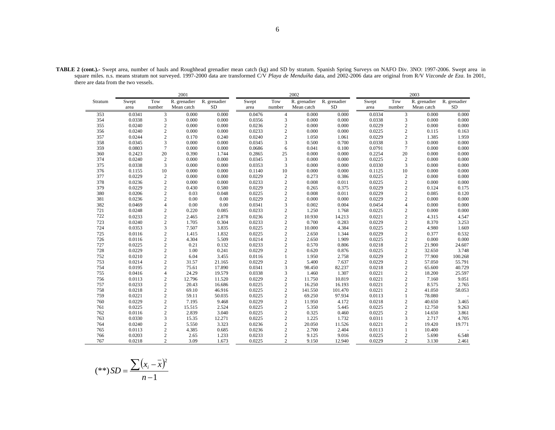|                                                                                                                                                                                 |               |                        | 2001                       |                    |               |                | 2002                       |                    |               |                        | 2003                       |                           |
|---------------------------------------------------------------------------------------------------------------------------------------------------------------------------------|---------------|------------------------|----------------------------|--------------------|---------------|----------------|----------------------------|--------------------|---------------|------------------------|----------------------------|---------------------------|
| Stratum<br>353<br>354<br>355<br>356<br>357<br>358<br>359<br>360<br>374<br>375<br>376<br>377<br>378<br>379<br>380<br>381<br>382<br>721<br>722<br>723<br>724<br>725<br>726<br>727 | Swept<br>area | Tow<br>number          | R. grenadier<br>Mean catch | R. grenadier<br>SD | Swept<br>area | Tow<br>number  | R. grenadier<br>Mean catch | R. grenadier<br>SD | Swept<br>area | Tow<br>number          | R. grenadier<br>Mean catch | R. grenadier<br><b>SD</b> |
|                                                                                                                                                                                 | 0.0341        | 3                      | 0.000                      | 0.000              | 0.0476        | $\overline{4}$ | 0.000                      | 0.000              | 0.0334        | 3                      | 0.000                      | 0.000                     |
|                                                                                                                                                                                 | 0.0338        | 3                      | 0.000                      | 0.000              | 0.0356        | 3              | 0.000                      | 0.000              | 0.0338        | 3                      | 0.000                      | 0.000                     |
|                                                                                                                                                                                 | 0.0240        | $\mathfrak{2}$         | 0.000                      | 0.000              | 0.0236        | $\overline{c}$ | 0.000                      | 0.000              | 0.0229        | 2                      | 0.000                      | 0.000                     |
|                                                                                                                                                                                 | 0.0240        | $\overline{c}$         | 0.000                      | 0.000              | 0.0233        | 2              | 0.000                      | 0.000              | 0.0225        | $\mathfrak{2}$         | 0.115                      | 0.163                     |
|                                                                                                                                                                                 | 0.0244        | $\overline{c}$         | 0.170                      | 0.240              | 0.0240        | $\overline{c}$ | 1.050                      | 1.061              | 0.0229        | $\overline{c}$         | 1.385                      | 1.959                     |
|                                                                                                                                                                                 | 0.0345        | 3                      | 0.000                      | 0.000              | 0.0345        | 3              | 0.500                      | 0.700              | 0.0338        | 3                      | 0.000                      | 0.000                     |
|                                                                                                                                                                                 | 0.0803        | $\overline{7}$         | 0.000                      | 0.000              | 0.0686        | 6              | 0.041                      | 0.100              | 0.0791        | $\overline{7}$         | 0.000                      | 0.000                     |
|                                                                                                                                                                                 | 0.2423        | 20                     | 0.390                      | 1.744              | 0.2865        | 25             | 0.000                      | 0.000              | 0.2254        | 20                     | 0.000                      | 0.000                     |
|                                                                                                                                                                                 | 0.0240        | 2                      | 0.000                      | 0.000              | 0.0345        | $\overline{3}$ | 0.000                      | 0.000              | 0.0225        | $\overline{2}$         | 0.000                      | 0.000                     |
|                                                                                                                                                                                 | 0.0338        | 3                      | 0.000                      | 0.000              | 0.0353        | 3              | 0.000                      | 0.000              | 0.0330        | 3                      | 0.000                      | 0.000                     |
|                                                                                                                                                                                 | 0.1155        | 10                     | 0.000                      | 0.000              | 0.1140        | 10             | 0.000                      | 0.000              | 0.1125        | 10                     | 0.000                      | 0.000                     |
|                                                                                                                                                                                 | 0.0229        | $\mathfrak{2}$         | 0.000                      | 0.000              | 0.0229        | $\overline{2}$ | 0.273                      | 0.386              | 0.0225        | $\boldsymbol{2}$       | 0.000                      | 0.000                     |
|                                                                                                                                                                                 | 0.0236        | $\mathfrak{2}$         | 0.000                      | 0.000              | 0.0233        | $\overline{2}$ | 0.008                      | 0.011              | 0.0225        | $\overline{c}$         | 0.000                      | 0.000                     |
|                                                                                                                                                                                 | 0.0229        | 2                      | 0.430                      | 0.580              | 0.0229        | $\overline{2}$ | 0.265                      | 0.375              | 0.0229        | $\overline{c}$         | 0.124                      | 0.175                     |
|                                                                                                                                                                                 | 0.0206        | $\mathfrak{2}$         | 0.03                       | 0.048              | 0.0225        | $\overline{2}$ | 0.008                      | 0.011              | 0.0229        | $\overline{c}$         | 0.085                      | 0.120                     |
|                                                                                                                                                                                 | 0.0236        | $\mathbf{2}$           | 0.00                       | 0.00               | 0.0229        | $\overline{2}$ | 0.000                      | 0.000              | 0.0229        | $\overline{c}$         | 0.000                      | 0.000                     |
|                                                                                                                                                                                 | 0.0469        | $\overline{4}$         | 0.00                       | 0.00               | 0.0341        | 3              | 0.002                      | 0.004              | 0.0454        | 4                      | 0.000                      | 0.000                     |
|                                                                                                                                                                                 | 0.0248        | $\mathfrak{2}$         | 0.220                      | 0.085              | 0.0233        | $\overline{c}$ | 1.250                      | 1.768              | 0.0225        | $\overline{c}$         | 0.000                      | 0.000                     |
|                                                                                                                                                                                 | 0.0233        | $\overline{c}$         | 2.465                      | 2.878              | 0.0236        | $\overline{c}$ | 10.930                     | 14.213             | 0.0221        | $\overline{c}$         | 4.315                      | 4.547                     |
|                                                                                                                                                                                 | 0.0240        | $\overline{2}$         | 1.705                      | 0.304              | 0.0233        | $\overline{c}$ | 0.700                      | 0.283              | 0.0229        | $\overline{c}$         | 8.370                      | 3.253                     |
|                                                                                                                                                                                 | 0.0353        | 3                      | 7.507                      | 3.835              | 0.0225        | $\overline{c}$ | 10.000                     | 4.384              | 0.0225        | $\overline{c}$         | 4.980                      | 1.669                     |
|                                                                                                                                                                                 | 0.0116        | $\overline{2}$         | 1.415                      | 1.832              | 0.0225        | $\overline{c}$ | 2.650                      | 1.344              | 0.0229        | $\overline{2}$         | 0.377                      | 0.532                     |
|                                                                                                                                                                                 | 0.0116        | $\overline{2}$         | 4.304                      | 5.509              | 0.0214        | $\overline{c}$ | 2.650                      | 1.909              | 0.0225        | $\overline{2}$         | 0.000                      | 0.000                     |
|                                                                                                                                                                                 | 0.0225        | $\mathfrak{2}$         | 0.21                       | 0.132              | 0.0233        | $\overline{c}$ | 0.570                      | 0.806              | 0.0218        | $\overline{2}$         | 21.900                     | 24.607                    |
| 728                                                                                                                                                                             | 0.0229        | $\sqrt{2}$             | 1.00                       | 0.241              | 0.0229        | $\overline{c}$ | 0.620                      | 0.876              | 0.0225        | $\mathfrak{2}$         | 32.650                     | 3.748                     |
| 752                                                                                                                                                                             | 0.0210        | $\mathfrak{2}$         | 6.04                       | 3.455              | 0.0116        |                | 1.950                      | 2.758              | 0.0229        | $\mathfrak{2}$         | 77.900                     | 100.268                   |
| 753                                                                                                                                                                             | 0.0214        | $\mathfrak{2}$         | 31.57                      | 21.165             | 0.0229        | $\overline{2}$ | 5.400                      | 7.637              | 0.0229        | $\mathfrak{2}$         | 57.050                     | 55.791                    |
| 754                                                                                                                                                                             | 0.0195        | $\overline{c}$         | 75.61                      | 17.890             | 0.0341        | 3              | 98.450                     | 82.237             | 0.0218        | $\mathfrak{2}$         | 65.600                     | 40.729                    |
| 755                                                                                                                                                                             | 0.0416        | $\overline{4}$         | 24.29                      | 19.579             | 0.0338        | 3              | 1.460                      | 1.307              | 0.0221        | $\mathfrak{2}$         | 18.200                     | 25.597                    |
| 756                                                                                                                                                                             | 0.0113        | 2                      | 12.796                     | 11.520             | 0.0229        | $\overline{2}$ | 11.750                     | 10.819             | 0.0221        | $\overline{2}$         | 7.160                      | 9.051                     |
| 757                                                                                                                                                                             | 0.0233        | $\mathcal{D}_{\alpha}$ | 20.43                      | 16.686             | 0.0225        | $\mathcal{D}$  | 16.250                     | 16.193             | 0.0221        | $\mathcal{D}_{\alpha}$ | 8.575                      | 2.765                     |

757 0.0233 2 20.43 16.686 0.0225 2 16.250 16.193 0.0221 2 8.575 2.765758 0.0218 2 69.10 46.916 0.0225 2 141.550 101.470 0.0221 2 41.050 58.053759 0.0221 2 59.11 50.035 0.0225 2 69.250 97.934 0.0113 1 78.080 -760 0.0229 2 7.195 9.468 0.0229 2 11.950 4.172 0.0218 2 40.650 3.465761 0.0225 2 15.515 2.524 0.0225 2 5.350 5.445 0.0225 2 12.750 9.263

762 0.0116 2 2.839 3.040 0.0225 2 0.325 0.460 0.0225 2 14.650 3.861763 0.0330 3 15.35 12.271 0.0225 2 1.225 1.732 0.0311 3 2.717 4.705764 0.0240 2 5.550 3.323 0.0236 2 20.050 11.526 0.0221 2 19.420 19.771

765 0.0113 2 4.385 0.685 0.0236 2 2.700 2.404 0.0113 1 10.400 -

766 0.0203 2 2.65 1.233 0.0233 2 9.125 9.016 0.0225 2 5.690 6.548767 0.0218 2 3.09 1.673 0.0225 2 9.150 12.940 0.0229 2 3.130 2.461

 $9.263$ <br> $3.861$ 

19.771

6.548

TABLE 2 (cont.).- Swept area, number of hauls and Roughhead grenadier mean catch (kg) and SD by stratum. Spanish Spring Surveys on NAFO Div. 3NO: 1997-2006. Swept area in square miles. n.s. means stratum not surveyed. 1997-2000 data are transformed C/V *Playa de Menduíña* data, and 2002-2006 data are original from R/V *Vizconde de Eza*. In 2001, there are data from the two vessels.

$$
(**) SD = \frac{\sum (x_i - \bar{x})^2}{n - 1}
$$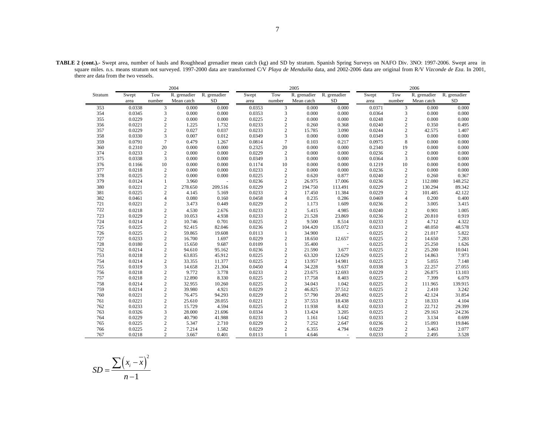|         |        |                | 2004         |              |        |                | 2005         |              |        |                  | 2006         |              |
|---------|--------|----------------|--------------|--------------|--------|----------------|--------------|--------------|--------|------------------|--------------|--------------|
| Stratum | Swept  | Tow            | R. grenadier | R. grenadier | Swept  | Tow            | R. grenadier | R. grenadier | Swept  | Tow              | R. grenadier | R. grenadier |
|         | area   | number         | Mean catch   | SD           | area   | number         | Mean catch   | <b>SD</b>    | area   | number           | Mean catch   | <b>SD</b>    |
| 353     | 0.0338 | $\overline{3}$ | 0.000        | 0.000        | 0.0353 | $\overline{3}$ | 0.000        | 0.000        | 0.0371 | 3                | 0.000        | 0.000        |
| 354     | 0.0345 | 3              | 0.000        | 0.000        | 0.0353 | 3              | 0.000        | 0.000        | 0.0364 | 3                | 0.000        | 0.000        |
| 355     | 0.0229 | $\sqrt{2}$     | 0.000        | 0.000        | 0.0225 | $\sqrt{2}$     | 0.000        | 0.000        | 0.0248 | $\mathfrak{2}$   | 0.000        | 0.000        |
| 356     | 0.0221 | $\overline{c}$ | 1.225        | 1.732        | 0.0233 | $\overline{c}$ | 0.260        | 0.368        | 0.0240 | $\overline{c}$   | 0.350        | 0.495        |
| 357     | 0.0229 | $\sqrt{2}$     | 0.027        | 0.037        | 0.0233 | $\overline{c}$ | 15.785       | 3.090        | 0.0244 | $\mathbf{2}$     | 42.575       | 1.407        |
| 358     | 0.0330 | 3              | 0.007        | 0.012        | 0.0349 | 3              | 0.000        | 0.000        | 0.0349 | 3                | 0.000        | 0.000        |
| 359     | 0.0791 | $\tau$         | 0.479        | 1.267        | 0.0814 | $\overline{7}$ | 0.103        | 0.217        | 0.0975 | 8                | 0.000        | 0.000        |
| 360     | 0.2310 | 20             | 0.000        | 0.000        | 0.2325 | 20             | 0.000        | 0.000        | 0.2340 | 19               | 0.000        | 0.000        |
| 374     | 0.0233 | $\sqrt{2}$     | 0.000        | 0.000        | 0.0229 | $\overline{2}$ | 0.000        | 0.000        | 0.0236 | $\sqrt{2}$       | 0.000        | 0.000        |
| 375     | 0.0338 | $\overline{3}$ | 0.000        | 0.000        | 0.0349 | 3              | 0.000        | 0.000        | 0.0364 | 3                | 0.000        | 0.000        |
| 376     | 0.1166 | 10             | 0.000        | 0.000        | 0.1174 | 10             | 0.000        | 0.000        | 0.1219 | 10               | 0.000        | 0.000        |
| 377     | 0.0218 | $\sqrt{2}$     | 0.000        | 0.000        | 0.0233 | 2              | 0.000        | 0.000        | 0.0236 | $\mathbf{2}$     | 0.000        | 0.000        |
| 378     | 0.0225 | $\sqrt{2}$     | 0.000        | 0.000        | 0.0225 | $\overline{2}$ | 0.620        | 0.877        | 0.0240 | $\overline{c}$   | 0.260        | 0.367        |
| 379     | 0.0124 | 1              | 3.960        |              | 0.0236 | $\overline{c}$ | 26.975       | 17.006       | 0.0236 | $\overline{c}$   | 112.080      | 148.252      |
| 380     | 0.0221 | $\sqrt{2}$     | 278.650      | 209.516      | 0.0229 | $\overline{c}$ | 194.750      | 113.491      | 0.0229 | $\overline{c}$   | 130.294      | 89.342       |
| 381     | 0.0225 | $\sqrt{2}$     | 4.145        | 5.169        | 0.0233 | $\overline{c}$ | 17.450       | 11.384       | 0.0229 | $\overline{c}$   | 101.485      | 42.122       |
| 382     | 0.0461 | $\overline{4}$ | 0.080        | 0.160        | 0.0458 | $\overline{4}$ | 0.235        | 0.286        | 0.0469 | $\overline{4}$   | 0.200        | 0.400        |
| 721     | 0.0221 | $\sqrt{2}$     | 3.473        | 0.449        | 0.0229 | $\overline{c}$ | 1.173        | 1.609        | 0.0236 | $\sqrt{2}$       | 3.005        | 3.415        |
| 722     | 0.0218 | $\sqrt{2}$     | 4.530        | 2.676        | 0.0233 | $\overline{2}$ | 5.415        | 4.985        | 0.0240 | $\overline{c}$   | 0.901        | 1.005        |
| 723     | 0.0229 | $\,2$          | 10.053       | 4.938        | 0.0233 | $\overline{c}$ | 21.528       | 23.869       | 0.0236 | $\boldsymbol{2}$ | 20.810       | 0.919        |
| 724     | 0.0214 | $\overline{c}$ | 10.746       | 0.701        | 0.0225 | $\overline{c}$ | 9.500        | 8.514        | 0.0233 | $\overline{c}$   | 4.712        | 4.322        |
| 725     | 0.0225 | $\overline{c}$ | 92.415       | 82.046       | 0.0236 | $\overline{c}$ | 104.420      | 135.072      | 0.0233 | $\overline{2}$   | 48.050       | 48.578       |
| 726     | 0.0225 | $\sqrt{2}$     | 59.865       | 19.608       | 0.0113 | 1              | 34.900       | ÷,           | 0.0225 | $\overline{c}$   | 21.017       | 5.822        |
| 727     | 0.0233 | $\sqrt{2}$     | 16.700       | 1.697        | 0.0229 | $\overline{c}$ | 18.650       | 12.657       | 0.0225 | $\overline{c}$   | 14.650       | 7.283        |
| 728     | 0.0180 | $\overline{c}$ | 15.650       | 9.687        | 0.0109 | $\mathbf{1}$   | 35.400       |              | 0.0225 | $\overline{c}$   | 25.250       | 1.626        |
| 752     | 0.0214 | $\sqrt{2}$     | 94.610       | 95.162       | 0.0236 | $\overline{c}$ | 21.590       | 3.677        | 0.0225 | $\boldsymbol{2}$ | 25.200       | 10.041       |
| 753     | 0.0218 | $\sqrt{2}$     | 63.835       | 45.912       | 0.0225 | $\sqrt{2}$     | 63.320       | 12.629       | 0.0225 | $\sqrt{2}$       | 14.863       | 7.973        |
| 754     | 0.0214 | $\overline{c}$ | 33.355       | 11.377       | 0.0225 | $\overline{c}$ | 13.957       | 14.981       | 0.0225 | $\overline{c}$   | 5.055        | 7.148        |
| 755     | 0.0319 | 3              | 14.658       | 21.304       | 0.0450 | $\overline{4}$ | 34.228       | 9.637        | 0.0338 | 3                | 22.257       | 27.055       |
| 756     | 0.0218 | $\sqrt{2}$     | 9.772        | 3.778        | 0.0233 | $\overline{c}$ | 23.675       | 12.693       | 0.0229 | $\overline{c}$   | 26.875       | 13.103       |
| 757     | 0.0218 | $\sqrt{2}$     | 12.890       | 8.330        | 0.0225 | $\overline{c}$ | 17.758       | 8.403        | 0.0225 | $\overline{c}$   | 7.399        | 6.079        |
| 758     | 0.0214 | $\overline{c}$ | 32.955       | 10.260       | 0.0225 | $\overline{c}$ | 34.043       | 1.042        | 0.0225 | $\overline{c}$   | 111.965      | 139.915      |
| 759     | 0.0214 | $\sqrt{2}$     | 39.980       | 4.921        | 0.0229 | $\overline{c}$ | 46.825       | 37.512       | 0.0225 | $\overline{c}$   | 2.410        | 3.242        |
| 760     | 0.0221 | $\sqrt{2}$     | 76.475       | 94.293       | 0.0229 | $\overline{c}$ | 57.790       | 20.492       | 0.0225 | $\overline{c}$   | 42.124       | 31.854       |
| 761     | 0.0221 | $\sqrt{2}$     | 25.610       | 28.055       | 0.0221 | $\overline{c}$ | 37.553       | 18.438       | 0.0233 | $\overline{c}$   | 18.333       | 4.104        |
| 762     | 0.0233 | $\sqrt{2}$     | 15.729       | 4.594        | 0.0225 | $\overline{c}$ | 11.938       | 8.432        | 0.0233 | $\overline{c}$   | 22.712       | 29.399       |
| 763     | 0.0326 | $\overline{3}$ | 28,000       | 21.696       | 0.0334 | 3              | 13.424       | 3.205        | 0.0225 | $\overline{2}$   | 29.163       | 24.236       |
| 764     | 0.0229 | $\overline{2}$ | 40.790       | 41.988       | 0.0233 | 2              | 1.161        | 1.642        | 0.0233 | $\overline{c}$   | 3.134        | 0.699        |
| 765     | 0.0225 | $\sqrt{2}$     | 5.347        | 2.710        | 0.0229 | $\overline{c}$ | 7.252        | 2.647        | 0.0236 | $\overline{c}$   | 15.093       | 19.846       |
| 766     | 0.0225 | $\sqrt{2}$     | 7.214        | 1.582        | 0.0229 | $\overline{c}$ | 6.355        | 4.794        | 0.0229 | $\overline{c}$   | 3.463        | 2.077        |
| 767     | 0.0218 | $\overline{2}$ | 3.667        | 0.401        | 0.0113 |                | 4.646        |              | 0.0233 | 2                | 2.495        | 3.528        |

**TABLE 2 (cont.).-** Swept area, number of hauls and Roughhead grenadier mean catch (kg) and SD by stratum. Spanish Spring Surveys on NAFO Div. 3NO: 1997-2006. Swept area in square miles. n.s. means stratum not surveyed. 1997-2000 data are transformed C/V *Playa de Menduíña* data, and 2002-2006 data are original from R/V *Vizconde de Eza*. In 2001, there are data from the two vessels.

$$
SD = \frac{\sum (x_i - \overline{x})^2}{n - 1}
$$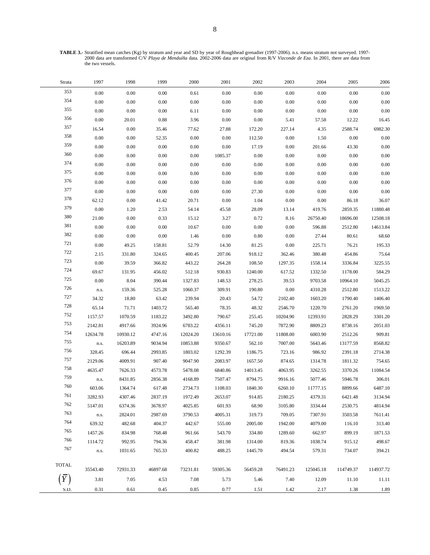**TABLE 3.-** Stratified mean catches (Kg) by stratum and year and SD by year of Roughhead grenadier (1997-2006). n.s. means stratum not surveyed. 1997- 2000 data are transformed C/V *Playa de Menduíña* data. 2002-2006 data are original from R/V *Vizconde de Eza*. In 2001, there are data from the two vessels.

| Strata         | 1997     | 1998     | 1999     | 2000     | 2001     | 2002     | 2003     | 2004      | 2005      | 2006      |
|----------------|----------|----------|----------|----------|----------|----------|----------|-----------|-----------|-----------|
| 353            | 0.00     | 0.00     | 0.00     | 0.61     | 0.00     | 0.00     | $0.00\,$ | $0.00\,$  | $0.00\,$  | 0.00      |
| 354            | 0.00     | 0.00     | $0.00\,$ | $0.00\,$ | 0.00     | $0.00\,$ | $0.00\,$ | $0.00\,$  | $0.00\,$  | $0.00\,$  |
| 355            | 0.00     | 0.00     | 0.00     | 6.11     | 0.00     | 0.00     | $0.00\,$ | 0.00      | 0.00      | $0.00\,$  |
| 356            | 0.00     | 20.01    | 0.88     | 3.96     | 0.00     | 0.00     | 5.41     | 57.58     | 12.22     | 16.45     |
| 357            | 16.54    | 0.00     | 35.46    | 77.62    | 27.88    | 172.20   | 227.14   | 4.35      | 2588.74   | 6982.30   |
| 358            | 0.00     | 0.00     | 52.35    | 0.00     | 0.00     | 112.50   | 0.00     | 1.50      | 0.00      | 0.00      |
| 359            | 0.00     | 0.00     | $0.00\,$ | $0.00\,$ | 0.00     | 17.19    | $0.00\,$ | 201.66    | 43.30     | 0.00      |
| 360            | 0.00     | 0.00     | 0.00     | 0.00     | 1085.37  | $0.00\,$ | 0.00     | $0.00\,$  | 0.00      | $0.00\,$  |
| 374            | 0.00     | 0.00     | 0.00     | 0.00     | 0.00     | 0.00     | $0.00\,$ | $0.00\,$  | 0.00      | 0.00      |
| 375            | 0.00     | 0.00     | 0.00     | 0.00     | 0.00     | $0.00\,$ | $0.00\,$ | $0.00\,$  | 0.00      | $0.00\,$  |
| 376            | 0.00     | 0.00     | 0.00     | 0.00     | 0.00     | 0.00     | $0.00\,$ | $0.00\,$  | 0.00      | $0.00\,$  |
| 377            | 0.00     | 0.00     | 0.00     | 0.00     | 0.00     | 27.30    | $0.00\,$ | $0.00\,$  | 0.00      | $0.00\,$  |
| 378            | 62.12    | 0.00     | 41.42    | 20.71    | 0.00     | 1.04     | 0.00     | $0.00\,$  | 86.18     | 36.07     |
| 379            | 0.00     | 1.20     | 2.53     | 54.14    | 45.58    | 28.09    | 13.14    | 419.76    | 2859.35   | 11880.48  |
| 380            | 21.00    | 0.00     | 0.33     | 15.12    | 3.27     | 0.72     | 8.16     | 26750.40  | 18696.00  | 12508.18  |
| 381            | 0.00     | 0.00     | 0.00     | 10.67    | 0.00     | $0.00\,$ | $0.00\,$ | 596.88    | 2512.80   | 14613.84  |
| 382            | 0.00     | 0.00     | 0.00     | 1.46     | 0.00     | 0.80     | $0.00\,$ | 27.44     | 80.61     | 68.60     |
| 721            | 0.00     | 49.25    | 158.81   | 52.79    | 14.30    | 81.25    | 0.00     | 225.71    | 76.21     | 195.33    |
| 722            | 2.15     | 331.80   | 324.65   | 400.45   | 207.06   | 918.12   | 362.46   | 380.48    | 454.86    | 75.64     |
| 723            | 0.00     | 39.59    | 366.82   | 443.22   | 264.28   | 108.50   | 1297.35  | 1558.14   | 3336.84   | 3225.55   |
| 724            | 69.67    | 131.95   | 456.02   | 512.18   | 930.83   | 1240.00  | 617.52   | 1332.50   | 1178.00   | 584.29    |
| 725            | 0.00     | 8.04     | 390.44   | 1327.83  | 148.53   | 278.25   | 39.53    | 9703.58   | 10964.10  | 5045.25   |
| 726            | n.s.     | 159.36   | 525.28   | 1060.37  | 309.91   | 190.80   | 0.00     | 4310.28   | 2512.80   | 1513.22   |
| 727            | 34.32    | 18.80    | 63.42    | 239.94   | 20.43    | 54.72    | 2102.40  | 1603.20   | 1790.40   | 1406.40   |
| 728            | 65.14    | 71.71    | 1403.72  | 565.40   | 78.35    | 48.32    | 2546.70  | 1220.70   | 2761.20   | 1969.50   |
| 752            | 1157.57  | 1070.59  | 1183.22  | 3492.80  | 790.67   | 255.45   | 10204.90 | 12393.91  | 2828.29   | 3301.20   |
| 753            | 2142.81  | 4917.66  | 3924.96  | 6783.22  | 4356.11  | 745.20   | 7872.90  | 8809.23   | 8738.16   | 2051.03   |
| 754            | 12634.78 | 10930.12 | 4747.16  | 12024.20 | 13610.16 | 17721.00 | 11808.00 | 6003.90   | 2512.26   | 909.81    |
| 755            | n.s.     | 16203.89 | 9034.94  | 10853.88 | 9350.67  | 562.10   | 7007.00  | 5643.46   | 13177.59  | 8568.82   |
| 756            | 328.45   | 696.44   | 2993.85  | 1803.02  | 1292.39  | 1186.75  | 723.16   | 986.92    | 2391.18   | 2714.38   |
| 757            | 2129.06  | 4009.91  | 907.40   | 9047.90  | 2083.97  | 1657.50  | 874.65   | 1314.78   | 1811.32   | 754.65    |
| 758            | 4635.47  | 7626.33  | 4573.78  | 5478.08  | 6840.86  | 14013.45 | 4063.95  | 3262.55   | 3370.26   | 11084.54  |
| 759            | n.s.     | 8431.85  | 2856.38  | 4168.89  | 7507.47  | 8794.75  | 9916.16  | 5077.46   | 5946.78   | 306.01    |
| 760            | 603.06   | 1364.74  | 617.48   | 2734.73  | 1108.03  | 1840.30  | 6260.10  | 11777.15  | 8899.66   | 6487.10   |
| 761            | 3282.93  | 4307.46  | 2837.19  | 1972.49  | 2653.07  | 914.85   | 2180.25  | 4379.31   | 6421.48   | 3134.94   |
| 762            | 5147.01  | 6374.36  | 3678.97  | 4025.85  | 601.93   | 68.90    | 3105.80  | 3334.44   | 2530.75   | 4814.94   |
| 763            | n.s.     | 2824.01  | 2987.69  | 3790.53  | 4005.31  | 319.73   | 709.05   | 7307.91   | 3503.58   | 7611.41   |
| 764            | 639.32   | 482.68   | 404.37   | 442.67   | 555.00   | 2005.00  | 1942.00  | 4079.00   | 116.10    | 313.40    |
| 765            | 1457.26  | 834.98   | 768.48   | 961.66   | 543.70   | 334.80   | 1289.60  | 662.97    | 899.19    | 1871.53   |
| 766            | 1114.72  | 992.95   | 794.36   | 458.47   | 381.98   | 1314.00  | 819.36   | 1038.74   | 915.12    | 498.67    |
| 767            | n.s.     | 1031.65  | 765.33   | 400.82   | 488.25   | 1445.70  | 494.54   | 579.31    | 734.07    | 394.21    |
| <b>TOTAL</b>   | 35543.40 | 72931.33 | 46897.68 | 73231.81 | 59305.36 | 56459.28 | 76491.23 | 125045.18 | 114749.37 | 114937.72 |
| $\overline{Y}$ | 3.81     | 7.05     | 4.53     | 7.08     | 5.73     | 5.46     | 7.40     | 12.09     | 11.10     | 11.11     |
| S.D.           | 0.31     | 0.61     | 0.45     | 0.85     | 0.77     | 1.51     | 1.42     | 2.17      | 1.38      | 1.89      |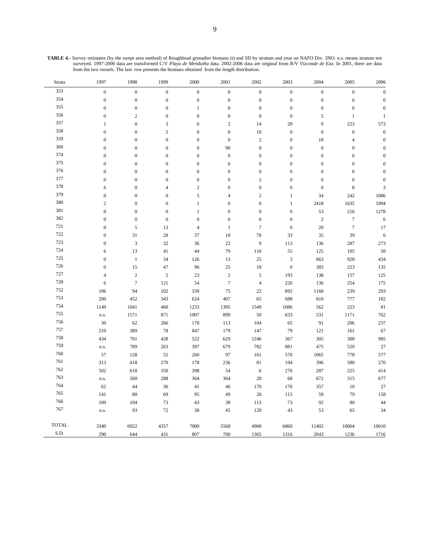| <b>TABLE 4.-</b> Survey estimates (by the swept area method) of Roughhead grenadier biomass (t) and SD by stratum and year on NAFO Div. 3NO. n.s. means stratum not |  |
|---------------------------------------------------------------------------------------------------------------------------------------------------------------------|--|
| surveyed. 1997-2000 data are transformed C/V Playa de Menduíña data. 2002-2006 data are original from R/V Vizconde de Eza. In 2001, there are data                  |  |
| from the two vessels. The last row presents the biomass obtained from the length distribution.                                                                      |  |

| Strata       | 1997             | 1998             | 1999                      | 2000             | 2001             | 2002             | 2003             | 2004             | 2005             | 2006             |
|--------------|------------------|------------------|---------------------------|------------------|------------------|------------------|------------------|------------------|------------------|------------------|
| 353          | $\boldsymbol{0}$ | $\boldsymbol{0}$ | $\boldsymbol{0}$          | $\boldsymbol{0}$ | $\boldsymbol{0}$ | $\boldsymbol{0}$ | $\boldsymbol{0}$ | $\boldsymbol{0}$ | $\boldsymbol{0}$ | $\boldsymbol{0}$ |
| 354          | $\boldsymbol{0}$ | $\boldsymbol{0}$ | $\boldsymbol{0}$          | $\boldsymbol{0}$ | $\boldsymbol{0}$ | $\boldsymbol{0}$ | $\boldsymbol{0}$ | $\boldsymbol{0}$ | $\boldsymbol{0}$ | $\boldsymbol{0}$ |
| 355          | $\boldsymbol{0}$ | $\boldsymbol{0}$ | $\boldsymbol{0}$          | $\mathbf{1}$     | $\boldsymbol{0}$ | $\boldsymbol{0}$ | $\boldsymbol{0}$ | $\boldsymbol{0}$ | $\boldsymbol{0}$ | $\boldsymbol{0}$ |
| 356          | $\boldsymbol{0}$ | $\sqrt{2}$       | $\boldsymbol{0}$          | $\boldsymbol{0}$ | $\boldsymbol{0}$ | $\boldsymbol{0}$ | $\boldsymbol{0}$ | $\sqrt{5}$       | $\,1\,$          | $\,1\,$          |
| 357          | $\mathbf{1}$     | $\boldsymbol{0}$ | $\ensuremath{\mathsf{3}}$ | 6                | $\overline{c}$   | 14               | $20\,$           | $\boldsymbol{0}$ | 223              | 573              |
| 358          | $\boldsymbol{0}$ | $\boldsymbol{0}$ | $\sqrt{5}$                | $\boldsymbol{0}$ | $\boldsymbol{0}$ | $10\,$           | $\boldsymbol{0}$ | $\boldsymbol{0}$ | $\boldsymbol{0}$ | $\boldsymbol{0}$ |
| 359          | $\boldsymbol{0}$ | $\boldsymbol{0}$ | $\boldsymbol{0}$          | $\boldsymbol{0}$ | $\boldsymbol{0}$ | $\sqrt{2}$       | $\boldsymbol{0}$ | $18\,$           | $\overline{4}$   | $\boldsymbol{0}$ |
| 360          | $\boldsymbol{0}$ | $\boldsymbol{0}$ | $\boldsymbol{0}$          | $\boldsymbol{0}$ | 90               | $\boldsymbol{0}$ | $\boldsymbol{0}$ | $\boldsymbol{0}$ | $\boldsymbol{0}$ | $\boldsymbol{0}$ |
| 374          | $\boldsymbol{0}$ | $\boldsymbol{0}$ | $\boldsymbol{0}$          | $\boldsymbol{0}$ | $\boldsymbol{0}$ | $\boldsymbol{0}$ | $\boldsymbol{0}$ | $\boldsymbol{0}$ | $\boldsymbol{0}$ | $\boldsymbol{0}$ |
| 375          | $\boldsymbol{0}$ | $\mathbf{0}$     | $\boldsymbol{0}$          | $\boldsymbol{0}$ | $\boldsymbol{0}$ | $\boldsymbol{0}$ | $\boldsymbol{0}$ | $\boldsymbol{0}$ | $\boldsymbol{0}$ | $\boldsymbol{0}$ |
| 376          | $\boldsymbol{0}$ | $\boldsymbol{0}$ | $\boldsymbol{0}$          | $\boldsymbol{0}$ | $\boldsymbol{0}$ | $\boldsymbol{0}$ | $\boldsymbol{0}$ | $\boldsymbol{0}$ | $\boldsymbol{0}$ | $\boldsymbol{0}$ |
| 377          | $\boldsymbol{0}$ | $\boldsymbol{0}$ | $\boldsymbol{0}$          | $\boldsymbol{0}$ | $\boldsymbol{0}$ | $\sqrt{2}$       | $\boldsymbol{0}$ | $\boldsymbol{0}$ | $\boldsymbol{0}$ | $\boldsymbol{0}$ |
| 378          | 6                | $\boldsymbol{0}$ | $\overline{4}$            | $\sqrt{2}$       | $\boldsymbol{0}$ | $\boldsymbol{0}$ | $\boldsymbol{0}$ | $\boldsymbol{0}$ | $\,$ 8 $\,$      | $\sqrt{3}$       |
| 379          | $\boldsymbol{0}$ | $\mathbf{0}$     | $\boldsymbol{0}$          | $\sqrt{5}$       | $\overline{4}$   | $\mathbf{2}$     | $\mathbf{1}$     | 34               | 242              | 1006             |
| 380          | $\mathbf{2}$     | $\boldsymbol{0}$ | $\boldsymbol{0}$          | $\mathbf{1}$     | $\boldsymbol{0}$ | $\boldsymbol{0}$ | $\,1$            | 2418             | 1635             | 1094             |
| 381          | $\boldsymbol{0}$ | $\boldsymbol{0}$ | $\boldsymbol{0}$          | $\mathbf{1}$     | $\boldsymbol{0}$ | $\boldsymbol{0}$ | $\boldsymbol{0}$ | 53               | 216              | 1278             |
| 382          | $\boldsymbol{0}$ | $\boldsymbol{0}$ | $\boldsymbol{0}$          | $\mathbf{0}$     | $\boldsymbol{0}$ | $\boldsymbol{0}$ | $\boldsymbol{0}$ | $\sqrt{2}$       | $\boldsymbol{7}$ | 6                |
| 721          | $\boldsymbol{0}$ | $\mathfrak s$    | 13                        | $\overline{4}$   | $\,1$            | $\boldsymbol{7}$ | $\boldsymbol{0}$ | $20\,$           | $\boldsymbol{7}$ | 17               |
| 722          | $\boldsymbol{0}$ | 31               | $28\,$                    | 37               | 18               | $78\,$           | 33               | 35               | 39               | $\sqrt{6}$       |
| 723          | $\boldsymbol{0}$ | $\sqrt{3}$       | 32                        | 36               | $22\,$           | 9                | 113              | 136              | 287              | 273              |
| 724          | 6                | 13               | 41                        | 44               | 79               | 110              | 55               | 125              | 105              | 50               |
| 725          | $\boldsymbol{0}$ | $\,1\,$          | 34                        | 126              | 13               | $25\,$           | $\sqrt{3}$       | 863              | 928              | 434              |
| 726          | $\boldsymbol{0}$ | 15               | 47                        | 96               | $25\,$           | 18               | $\boldsymbol{0}$ | 383              | 223              | 135              |
| 727          | $\overline{4}$   | $\sqrt{2}$       | $\sqrt{5}$                | 23               | $\,2$            | $\sqrt{5}$       | 193              | 138              | 157              | 125              |
| 728          | 6                | $\boldsymbol{7}$ | 121                       | 54               | $\boldsymbol{7}$ | $\overline{4}$   | 226              | 136              | 254              | 175              |
| 752          | 106              | 94               | 102                       | 339              | 75               | 22               | 892              | 1160             | 239              | 293              |
| 753          | $200\,$          | 452              | 343                       | 624              | 407              | 65               | 688              | 810              | $777\,$          | 182              |
| 754          | 1149             | 1041             | 460                       | 1233             | 1395             | 1549             | 1086             | 562              | 223              | 81               |
| 755          | n.s.             | 1571             | 871                       | 1007             | 899              | 50               | 633              | 531              | 1171             | 762              |
| 756          | 30               | 62               | 266                       | 178              | 113              | 104              | 65               | 91               | 206              | 237              |
| 757          | 210              | 389              | $78\,$                    | 847              | 179              | 147              | 79               | 121              | 161              | 67               |
| 758          | 434              | 701              | 428                       | 522              | 629              | 1246             | 367              | $305\,$          | 300              | 985              |
| 759          | n.s.             | 789              | 263                       | 397              | 679              | 782              | 881              | 475              | 520              | 27               |
| 760          | 57               | 128              | 55                        | 260              | 97               | 161              | 576              | 1065             | 778              | 577              |
| 761          | 313              | 418              | 270                       | 178              | 236              | $8\sqrt{1}$      | 194              | 396              | 580              | 270              |
| 762          | 502              | 618              | 350                       | 398              | 54               | $\sqrt{6}$       | 276              | 287              | 225              | 414              |
| 763          | n.s.             | 260              | 288                       | 364              | 364              | 28               | 68               | 672              | 315              | 677              |
| 764          | 62               | 44               | 36                        | 41               | $46\,$           | 170              | 176              | 357              | 10               | 27               |
| 765          | 141              | 80               | 69                        | 95               | 49               | 28               | 115              | 59               | 79               | 158              |
| 766          | 109              | 104              | 73                        | 43               | 38               | 113              | 73               | 92               | $80\,$           | 44               |
| 767          | n.s.             | 93               | 72                        | 38               | 45               | 129              | 43               | 53               | 65               | 34               |
|              |                  |                  |                           |                  |                  |                  |                  |                  |                  |                  |
| <b>TOTAL</b> | 3340             | 6922             | 4357                      | 7000             | 5568             | 4968             | 6860             | 11402            | 10064            | 10010            |
| S.D.         | 290              | 644              | 431                       | 807              | 700              | 1365             | 1316             | 2043             | 1236             | 1716             |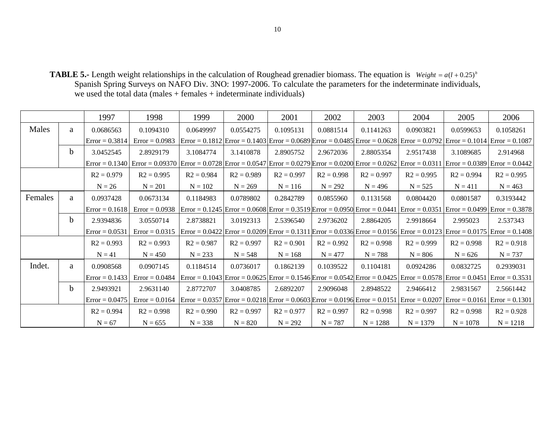**TABLE 5.-** Length weight relationships in the calculation of Roughead grenadier biomass. The equation is  $Weight = a(l + 0.25)^{b}$ Spanish Spring Surveys on NAFO Div. 3NO: 1997-2006. To calculate the parameters for the indeterminate individuals, we used the total data (males + females + indeterminate individuals)

|         |             | 1997             | 1998                                                                                                                                                   | 1999         | 2000         | 2001         | 2002         | 2003                                                                                                                                       | 2004                                                                                                                                                                                        | 2005                                           | 2006                              |
|---------|-------------|------------------|--------------------------------------------------------------------------------------------------------------------------------------------------------|--------------|--------------|--------------|--------------|--------------------------------------------------------------------------------------------------------------------------------------------|---------------------------------------------------------------------------------------------------------------------------------------------------------------------------------------------|------------------------------------------------|-----------------------------------|
| Males   | a           | 0.0686563        | 0.1094310                                                                                                                                              | 0.0649997    | 0.0554275    | 0.1095131    | 0.0881514    | 0.1141263                                                                                                                                  | 0.0903821                                                                                                                                                                                   | 0.0599653                                      | 0.1058261                         |
|         |             | $Error = 0.3814$ | $Error = 0.0983$                                                                                                                                       |              |              |              |              |                                                                                                                                            | $\text{Error} = 0.1812 \text{Error} = 0.1403 \text{Error} = 0.0689 \text{Error} = 0.0485 \text{Error} = 0.0628 \text{Error} = 0.0792 \text{Error} = 0.1014 \text{Error} = 0.1087 \text{$    |                                                |                                   |
|         | b.          | 3.0452545        | 2.8929179                                                                                                                                              | 3.1084774    | 3.1410878    | 2.8905752    | 2.9672036    | 2.8805354                                                                                                                                  | 2.9517438                                                                                                                                                                                   | 3.1089685                                      | 2.914968                          |
|         |             |                  | Error = 0.0340 Error = 0.09370 Error = 0.0728 Error = 0.0547 Error = 0.0279 Error = 0.0200 Error = 0.0262 Error = 0.0311 Error = 0.0389 Error = 0.0442 |              |              |              |              |                                                                                                                                            |                                                                                                                                                                                             |                                                |                                   |
|         |             | $R2 = 0.979$     | $R2 = 0.995$                                                                                                                                           | $R2 = 0.984$ | $R2 = 0.989$ | $R2 = 0.997$ | $R2 = 0.998$ | $R2 = 0.997$                                                                                                                               | $R2 = 0.995$                                                                                                                                                                                | $R2 = 0.994$                                   | $R2 = 0.995$                      |
|         |             | $N = 26$         | $N = 201$                                                                                                                                              | $N = 102$    | $N = 269$    | $N = 116$    | $N = 292$    | $N = 496$                                                                                                                                  | $N = 525$                                                                                                                                                                                   | $N = 411$                                      | $N = 463$                         |
| Females | a           | 0.0937428        | 0.0673134                                                                                                                                              | 0.1184983    | 0.0789802    | 0.2842789    | 0.0855960    | 0.1131568                                                                                                                                  | 0.0804420                                                                                                                                                                                   | 0.0801587                                      | 0.3193442                         |
|         |             | $Error = 0.1618$ | $Error = 0.0938$                                                                                                                                       |              |              |              |              | $\text{Error} = 0.1245 \text{ Error} = 0.0608 \text{ Error} = 0.3519 \text{ Error} = 0.0950 \text{ Error} = 0.0441 \text{ Error} = 0.0351$ |                                                                                                                                                                                             |                                                | $Error = 0.0499$ $Error = 0.3878$ |
|         | b.          | 2.9394836        | 3.0550714                                                                                                                                              | 2.8738821    | 3.0192313    | 2.5396540    | 2.9736202    | 2.8864205                                                                                                                                  | 2.9918664                                                                                                                                                                                   | 2.995023                                       | 2.537343                          |
|         |             | $Error = 0.0531$ | $Error = 0.0315$                                                                                                                                       |              |              |              |              |                                                                                                                                            | $\text{Error} = 0.0422 \text{Error} = 0.0209 \text{Error} = 0.1311 \text{Error} = 0.0336 \text{ Error} = 0.0156 \text{Error} = 0.0123 \text{ Error} = 0.0175 \text{ Error} = 0.1408 \text{$ |                                                |                                   |
|         |             | $R2 = 0.993$     | $R2 = 0.993$                                                                                                                                           | $R2 = 0.987$ | $R2 = 0.997$ | $R2 = 0.901$ | $R2 = 0.992$ | $R2 = 0.998$                                                                                                                               | $R2 = 0.999$                                                                                                                                                                                | $R2 = 0.998$                                   | $R2 = 0.918$                      |
|         |             | $N = 41$         | $N = 450$                                                                                                                                              | $N = 233$    | $N = 548$    | $N = 168$    | $N = 477$    | $N = 788$                                                                                                                                  | $N = 806$                                                                                                                                                                                   | $N = 626$                                      | $N = 737$                         |
| Indet.  | a           | 0.0908568        | 0.0907145                                                                                                                                              | 0.1184514    | 0.0736017    | 0.1862139    | 0.1039522    | 0.1104181                                                                                                                                  | 0.0924286                                                                                                                                                                                   | 0.0832725                                      | 0.2939031                         |
|         |             | $Error = 0.1433$ | $Error = 0.0484$                                                                                                                                       |              |              |              |              |                                                                                                                                            | $\text{Error} = 0.1043 \text{ Error} = 0.0625 \text{ Error} = 0.1546 \text{ Error} = 0.0542 \text{ Error} = 0.0425 \text{ Error} = 0.0578 \text{ Error} = 0.0451 \text{ Error} = 0.3531$    |                                                |                                   |
|         | $\mathbf b$ | 2.9493921        | 2.9631140                                                                                                                                              | 2.8772707    | 3.0408785    | 2.6892207    | 2.9096048    | 2.8948522                                                                                                                                  | 2.9466412                                                                                                                                                                                   | 2.9831567                                      | 2.5661442                         |
|         |             | $Error = 0.0475$ | $Error = 0.0164$                                                                                                                                       |              |              |              |              |                                                                                                                                            | $\text{Error} = 0.0357 \text{ Error} = 0.0218 \text{ Error} = 0.0603 \text{ Error} = 0.0196 \text{ Error} = 0.0151 \text{ Error} = 0.0207$                                                  | $\text{Error} = 0.0161 \text{ Error} = 0.1301$ |                                   |
|         |             | $R2 = 0.994$     | $R2 = 0.998$                                                                                                                                           | $R2 = 0.990$ | $R2 = 0.997$ | $R2 = 0.977$ | $R2 = 0.997$ | $R2 = 0.998$                                                                                                                               | $R2 = 0.997$                                                                                                                                                                                | $R2 = 0.998$                                   | $R2 = 0.928$                      |
|         |             | $N = 67$         | $N = 655$                                                                                                                                              | $N = 338$    | $N = 820$    | $N = 292$    | $N = 787$    | $N = 1288$                                                                                                                                 | $N = 1379$                                                                                                                                                                                  | $N = 1078$                                     | $N = 1218$                        |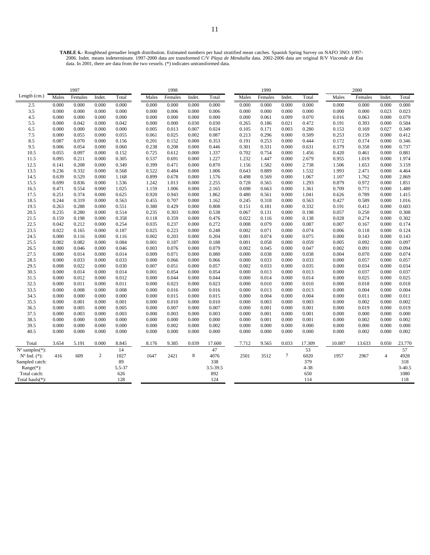2006. Indet. means indeterminate. 1997-2000 data are transformed C/V *Playa de Menduíña* data. 2002-2006 data are original R/V *Vizconde de Eza*  data. In 2001, there are data from the two vessels. (\*) indicates untransformed data.

|                             |       | 1997    |        |        |       | 1998    |        |          |       | 1999    |                |          |        | 2000    |                |            |
|-----------------------------|-------|---------|--------|--------|-------|---------|--------|----------|-------|---------|----------------|----------|--------|---------|----------------|------------|
| Length (cm.)                | Males | Females | Indet. | Total  | Males | Females | Indet. | Total    | Males | Females | Indet.         | Total    | Males  | Females | Indet.         | Total      |
| 2.5                         | 0.000 | 0.000   | 0.000  | 0.000  | 0.000 | 0.000   | 0.000  | 0.000    | 0.000 | 0.000   | 0.000          | 0.000    | 0.000  | 0.000   | 0.000          | 0.000      |
| 3.5                         | 0.000 | 0.000   | 0.000  | 0.000  | 0.000 | 0.006   | 0.000  | 0.006    | 0.000 | 0.000   | 0.000          | 0.000    | 0.000  | 0.000   | 0.023          | 0.023      |
| 4.5                         | 0.000 | 0.000   | 0.000  | 0.000  | 0.000 | 0.000   | 0.000  | 0.000    | 0.000 | 0.061   | 0.009          | 0.070    | 0.016  | 0.063   | 0.000          | 0.079      |
| 5.5                         | 0.000 | 0.042   | 0.000  | 0.042  | 0.000 | 0.000   | 0.030  | 0.030    | 0.265 | 0.186   | 0.021          | 0.472    | 0.191  | 0.393   | 0.000          | 0.584      |
| 6.5                         | 0.000 | 0.000   | 0.000  | 0.000  | 0.005 | 0.013   | 0.007  | 0.024    | 0.105 | 0.171   | 0.003          | 0.280    | 0.153  | 0.169   | 0.027          | 0.349      |
| 7.5                         | 0.000 | 0.055   | 0.000  | 0.055  | 0.061 | 0.025   | 0.002  | 0.087    | 0.213 | 0.296   | 0.000          | 0.509    | 0.253  | 0.159   | 0.000          | 0.412      |
| 8.5                         | 0.087 | 0.070   | 0.000  | 0.156  | 0.201 | 0.152   | 0.000  | 0.353    | 0.191 | 0.253   | 0.000          | 0.444    | 0.172  | 0.174   | 0.000          | 0.346      |
| 9.5                         | 0.006 | 0.054   | 0.000  | 0.060  | 0.238 | 0.208   | 0.000  | 0.446    | 0.301 | 0.331   | 0.000          | 0.631    | 0.379  | 0.358   | 0.000          | 0.737      |
| 10.5                        | 0.055 | 0.097   | 0.000  | 0.152  | 0.725 | 0.612   | 0.000  | 1.337    | 0.702 | 0.754   | 0.000          | 1.456    | 0.420  | 0.461   | 0.000          | 0.881      |
| 11.5                        | 0.095 | 0.211   | 0.000  | 0.305  | 0.537 | 0.691   | 0.000  | 1.227    | 1.232 | 1.447   | 0.000          | 2.679    | 0.955  | 1.019   | 0.000          | 1.974      |
| 12.5                        | 0.141 | 0.208   | 0.000  | 0.349  | 0.399 | 0.471   | 0.000  | 0.870    | 1.156 | 1.582   | 0.000          | 2.738    | 1.506  | 1.653   | 0.000          | 3.159      |
| 13.5                        | 0.236 | 0.332   | 0.000  | 0.568  | 0.522 | 0.484   | 0.000  | 1.006    | 0.643 | 0.889   | 0.000          | 1.532    | 1.993  | 2.471   | 0.000          | 4.464      |
| 14.5                        | 0.639 | 0.529   | 0.000  | 1.168  | 0.899 | 0.678   | 0.000  | 1.576    | 0.498 | 0.569   | 0.000          | 1.067    | 1.107  | 1.762   | 0.000          | 2.869      |
| 15.5                        | 0.699 | 0.836   | 0.000  | 1.536  | 1.242 | 1.013   | 0.000  | 2.255    | 0.728 | 0.565   | 0.000          | 1.293    | 0.879  | 0.972   | 0.000          | 1.851      |
| 16.5                        | 0.471 | 0.554   | 0.000  | 1.025  | 1.159 | 1.006   | 0.000  | 2.165    | 0.698 | 0.663   | 0.000          | 1.361    | 0.709  | 0.771   | 0.000          | 1.480      |
| 17.5                        | 0.251 | 0.374   | 0.000  | 0.625  | 0.920 | 0.943   | 0.000  | 1.862    | 0.480 | 0.561   | 0.000          | 1.041    | 0.626  | 0.789   | 0.000          | 1.415      |
| 18.5                        | 0.244 | 0.319   | 0.000  | 0.563  | 0.455 | 0.707   | 0.000  | 1.162    | 0.245 | 0.318   | 0.000          | 0.563    | 0.427  | 0.589   | 0.000          | 1.016      |
| 19.5                        | 0.263 | 0.288   | 0.000  | 0.551  | 0.380 | 0.429   | 0.000  | 0.808    | 0.151 | 0.181   | 0.000          | 0.332    | 0.191  | 0.412   | 0.000          | 0.603      |
| 20.5                        | 0.235 | 0.280   | 0.000  | 0.514  | 0.235 | 0.303   | 0.000  | 0.538    | 0.067 | 0.131   | 0.000          | 0.198    | 0.057  | 0.250   | 0.000          | 0.308      |
| 21.5                        | 0.159 | 0.198   | 0.000  | 0.358  | 0.118 | 0.359   | 0.000  | 0.476    | 0.022 | 0.116   | 0.000          | 0.138    | 0.028  | 0.274   | 0.000          | 0.302      |
| 22.5                        | 0.042 | 0.212   | 0.000  | 0.254  | 0.035 | 0.237   | 0.000  | 0.272    | 0.008 | 0.079   | 0.000          | 0.087    | 0.007  | 0.167   | 0.000          | 0.174      |
| 23.5                        | 0.022 | 0.165   | 0.000  | 0.187  | 0.025 | 0.223   | 0.000  | 0.248    | 0.002 | 0.071   | 0.000          | 0.074    | 0.006  | 0.118   | 0.000          | 0.124      |
| 24.5                        | 0.000 | 0.116   | 0.000  | 0.116  | 0.002 | 0.203   | 0.000  | 0.204    | 0.001 | 0.074   | 0.000          | 0.075    | 0.000  | 0.143   | 0.000          | 0.143      |
| 25.5                        | 0.002 | 0.082   | 0.000  | 0.084  | 0.001 | 0.187   | 0.000  | 0.188    | 0.001 | 0.058   | 0.000          | 0.059    | 0.005  | 0.092   | 0.000          | 0.097      |
| 26.5                        | 0.000 | 0.046   | 0.000  | 0.046  | 0.003 | 0.076   | 0.000  | 0.079    | 0.002 | 0.045   | 0.000          | 0.047    | 0.002  | 0.091   | 0.000          | 0.094      |
| 27.5                        | 0.000 | 0.014   | 0.000  | 0.014  | 0.009 | 0.071   | 0.000  | 0.080    | 0.000 | 0.038   | 0.000          | 0.038    | 0.004  | 0.070   | 0.000          | 0.074      |
| 28.5                        | 0.000 | 0.033   | 0.000  | 0.033  | 0.000 | 0.066   | 0.000  | 0.066    | 0.000 | 0.033   | 0.000          | 0.033    | 0.000  | 0.057   | 0.000          | 0.057      |
| 29.5                        | 0.008 | 0.022   | 0.000  | 0.030  | 0.007 | 0.051   | 0.000  | 0.057    | 0.002 | 0.033   | 0.000          | 0.035    | 0.000  | 0.034   | 0.000          | 0.034      |
| 30.5                        | 0.000 | 0.014   | 0.000  | 0.014  | 0.001 | 0.054   | 0.000  | 0.054    | 0.000 | 0.013   | 0.000          | 0.013    | 0.000  | 0.037   | 0.000          | 0.037      |
| 31.5                        | 0.000 | 0.012   | 0.000  | 0.012  | 0.000 | 0.044   | 0.000  | 0.044    | 0.000 | 0.014   | 0.000          | 0.014    | 0.000  | 0.025   | 0.000          | 0.025      |
| 32.5                        | 0.000 | 0.011   | 0.000  | 0.011  | 0.000 | 0.023   | 0.000  | 0.023    | 0.000 | 0.010   | 0.000          | 0.010    | 0.000  | 0.018   | 0.000          | 0.018      |
| 33.5                        | 0.000 | 0.008   | 0.000  | 0.008  | 0.000 | 0.016   | 0.000  | 0.016    | 0.000 | 0.013   | 0.000          | 0.013    | 0.000  | 0.004   | 0.000          | 0.004      |
| 34.5                        | 0.000 | 0.000   | 0.000  | 0.000  | 0.000 | 0.015   | 0.000  | 0.015    | 0.000 | 0.004   | 0.000          | 0.004    | 0.000  | 0.011   | 0.000          | 0.011      |
| 35.5                        | 0.000 | 0.001   | 0.000  | 0.001  | 0.000 | 0.010   | 0.000  | 0.010    | 0.000 | 0.003   | 0.000          | 0.003    | 0.000  | 0.002   | 0.000          | 0.002      |
| 36.5                        | 0.000 | 0.005   | 0.000  | 0.005  | 0.000 | 0.007   | 0.000  | 0.007    | 0.000 | 0.001   | 0.000          | 0.001    | 0.000  | 0.019   | 0.000          | 0.019      |
| 37.5                        | 0.000 | 0.003   | 0.000  | 0.003  | 0.000 | 0.003   | 0.000  | 0.003    | 0.000 | 0.001   | 0.000          | 0.001    | 0.000  | 0.000   | 0.000          | 0.000      |
| 38.5                        | 0.000 | 0.000   | 0.000  | 0.000  | 0.000 | 0.000   | 0.000  | 0.000    | 0.000 | 0.001   | 0.000          | 0.001    | 0.000  | 0.002   | 0.000          | 0.002      |
| 39.5                        | 0.000 | 0.000   | 0.000  | 0.000  | 0.000 | 0.002   | 0.000  | 0.002    | 0.000 | 0.000   | 0.000          | 0.000    | 0.000  | 0.000   | 0.000          | 0.000      |
| 40.5                        | 0.000 | 0.000   | 0.000  | 0.000  | 0.000 | 0.000   | 0.000  | 0.000    | 0.000 | 0.000   | 0.000          | 0.000    | 0.000  | 0.002   | 0.000          | 0.002      |
|                             |       |         |        |        |       |         |        |          |       |         |                |          |        |         |                |            |
| Total                       | 3.654 | 5.191   | 0.000  | 8.845  | 8.176 | 9.385   | 0.039  | 17.600   | 7.712 | 9.565   | 0.033          | 17.309   | 10.087 | 13.633  | 0.050          | 23.770     |
| $N^{\circ}$ samples $(*)$ : |       |         |        | 14     |       |         |        | 47       |       |         |                | 53       |        |         |                | 57         |
| $N^{o}$ Ind. $(*)$ :        | 416   | 609     | 2      | 1027   | 1647  | 2421    | 8      | 4076     | 2501  | 3512    | $\overline{7}$ | 6020     | 1957   | 2967    | $\overline{4}$ | 4928       |
| Sampled catch:              |       |         |        | 89     |       |         |        | 338      |       |         |                | 379      |        |         |                | 318        |
| Range $(*)$ :               |       |         |        | 5.5-37 |       |         |        | 3.5-39.5 |       |         |                | $4 - 38$ |        |         |                | $3 - 40.5$ |
| Total catch:                |       |         |        | 626    |       |         |        | 892      |       |         |                | 650      |        |         |                | 1080       |
| Total hauls $(*)$ :         |       |         |        | 128    |       |         |        | 124      |       |         |                | 114      |        |         |                | 118        |
|                             |       |         |        |        |       |         |        |          |       |         |                |          |        |         |                |            |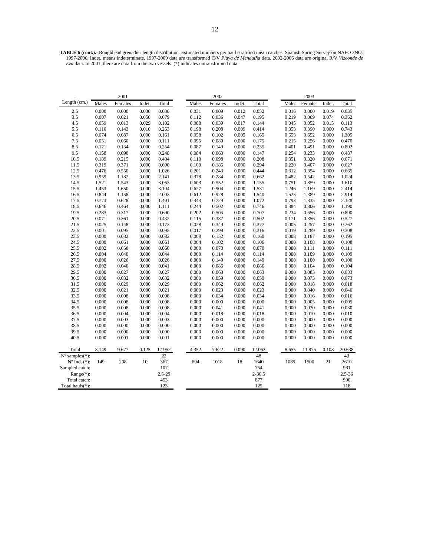|                          |       | 2001    |        |            |       | 2002    |        |            |       | 2003    |        |            |
|--------------------------|-------|---------|--------|------------|-------|---------|--------|------------|-------|---------|--------|------------|
| Length (cm.)             | Males | Females | Indet. | Total      | Males | Females | Indet. | Total      | Males | Females | Indet. | Total      |
| 2.5                      | 0.000 | 0.000   | 0.036  | 0.036      | 0.031 | 0.009   | 0.012  | 0.052      | 0.016 | 0.000   | 0.019  | 0.035      |
| 3.5                      | 0.007 | 0.021   | 0.050  | 0.079      | 0.112 | 0.036   | 0.047  | 0.195      | 0.219 | 0.069   | 0.074  | 0.362      |
| 4.5                      | 0.059 | 0.013   | 0.029  | 0.102      | 0.088 | 0.039   | 0.017  | 0.144      | 0.045 | 0.052   | 0.015  | 0.113      |
| 5.5                      | 0.110 | 0.143   | 0.010  | 0.263      | 0.198 | 0.208   | 0.009  | 0.414      | 0.353 | 0.390   | 0.000  | 0.743      |
| 6.5                      | 0.074 | 0.087   | 0.000  | 0.161      | 0.058 | 0.102   | 0.005  | 0.165      | 0.653 | 0.652   | 0.000  | 1.305      |
| 7.5                      | 0.051 | 0.060   | 0.000  | 0.111      | 0.095 | 0.080   | 0.000  | 0.175      | 0.215 | 0.256   | 0.000  | 0.470      |
| 8.5                      | 0.121 | 0.134   | 0.000  | 0.254      | 0.087 | 0.149   | 0.000  | 0.235      | 0.401 | 0.491   | 0.000  | 0.892      |
| 9.5                      | 0.158 | 0.090   | 0.000  | 0.248      | 0.084 | 0.063   | 0.000  | 0.147      | 0.254 | 0.233   | 0.000  | 0.487      |
| 10.5                     | 0.189 | 0.215   | 0.000  | 0.404      | 0.110 | 0.098   | 0.000  | 0.208      | 0.351 | 0.320   | 0.000  | 0.671      |
| 11.5                     | 0.319 | 0.371   | 0.000  | 0.690      | 0.109 | 0.185   | 0.000  | 0.294      | 0.220 | 0.407   | 0.000  | 0.627      |
| 12.5                     | 0.476 | 0.550   | 0.000  | 1.026      | 0.201 | 0.243   | 0.000  | 0.444      | 0.312 | 0.354   | 0.000  | 0.665      |
| 13.5                     | 0.959 | 1.182   | 0.000  | 2.141      | 0.378 | 0.284   | 0.000  | 0.662      | 0.482 | 0.542   | 0.000  | 1.024      |
| 14.5                     | 1.521 | 1.543   | 0.000  | 3.063      | 0.603 | 0.552   | 0.000  | 1.155      | 0.751 | 0.859   | 0.000  | 1.610      |
| 15.5                     | 1.453 | 1.650   | 0.000  | 3.104      | 0.627 | 0.904   | 0.000  | 1.531      | 1.246 | 1.169   | 0.000  | 2.414      |
| 16.5                     | 0.844 | 1.158   | 0.000  | 2.003      | 0.612 | 0.928   | 0.000  | 1.540      | 1.525 | 1.389   | 0.000  | 2.914      |
| 17.5                     | 0.773 | 0.628   | 0.000  | 1.401      | 0.343 | 0.729   | 0.000  | 1.072      | 0.793 | 1.335   | 0.000  | 2.128      |
| 18.5                     | 0.646 | 0.464   | 0.000  | 1.111      | 0.244 | 0.502   | 0.000  | 0.746      | 0.384 | 0.806   | 0.000  | 1.190      |
| 19.5                     | 0.283 | 0.317   | 0.000  | 0.600      | 0.202 | 0.505   | 0.000  | 0.707      | 0.234 | 0.656   | 0.000  | 0.890      |
| 20.5                     | 0.071 | 0.361   | 0.000  | 0.432      | 0.115 | 0.387   | 0.000  | 0.502      | 0.171 | 0.356   | 0.000  | 0.527      |
| 21.5                     | 0.025 | 0.148   | 0.000  | 0.173      | 0.028 | 0.349   | 0.000  | 0.377      | 0.005 | 0.257   | 0.000  | 0.262      |
| 22.5                     | 0.001 | 0.095   | 0.000  | 0.095      | 0.017 | 0.299   | 0.000  | 0.316      | 0.019 | 0.289   | 0.000  | 0.308      |
| 23.5                     | 0.000 | 0.082   | 0.000  | 0.082      | 0.008 | 0.152   | 0.000  | 0.160      | 0.008 | 0.187   | 0.000  | 0.195      |
| 24.5                     | 0.000 | 0.061   | 0.000  | 0.061      | 0.004 | 0.102   | 0.000  | 0.106      | 0.000 | 0.108   | 0.000  | 0.108      |
| 25.5                     | 0.002 | 0.058   | 0.000  | 0.060      | 0.000 | 0.070   | 0.000  | 0.070      | 0.000 | 0.111   | 0.000  | 0.111      |
| 26.5                     | 0.004 | 0.040   | 0.000  | 0.044      | 0.000 | 0.114   | 0.000  | 0.114      | 0.000 | 0.109   | 0.000  | 0.109      |
| 27.5                     | 0.000 | 0.026   | 0.000  | 0.026      | 0.000 | 0.149   | 0.000  | 0.149      | 0.000 | 0.100   | 0.000  | 0.100      |
| 28.5                     | 0.002 | 0.040   | 0.000  | 0.041      | 0.000 | 0.086   | 0.000  | 0.086      | 0.000 | 0.104   | 0.000  | 0.104      |
| 29.5                     | 0.000 | 0.027   | 0.000  | 0.027      | 0.000 | 0.063   | 0.000  | 0.063      | 0.000 | 0.083   | 0.000  | 0.083      |
| 30.5                     | 0.000 | 0.032   | 0.000  | 0.032      | 0.000 | 0.059   | 0.000  | 0.059      | 0.000 | 0.073   | 0.000  | 0.073      |
| 31.5                     | 0.000 | 0.029   | 0.000  | 0.029      | 0.000 | 0.062   | 0.000  | 0.062      | 0.000 | 0.018   | 0.000  | 0.018      |
| 32.5                     | 0.000 | 0.021   | 0.000  | 0.021      | 0.000 | 0.023   | 0.000  | 0.023      | 0.000 | 0.040   | 0.000  | 0.040      |
| 33.5                     | 0.000 | 0.008   | 0.000  | 0.008      | 0.000 | 0.034   | 0.000  | 0.034      | 0.000 | 0.016   | 0.000  | 0.016      |
| 34.5                     | 0.000 | 0.008   | 0.000  | 0.008      | 0.000 | 0.000   | 0.000  | 0.000      | 0.000 | 0.005   | 0.000  | 0.005      |
| 35.5                     | 0.000 | 0.008   | 0.000  | 0.008      | 0.000 | 0.041   | 0.000  | 0.041      | 0.000 | 0.030   | 0.000  | 0.030      |
| 36.5                     | 0.000 | 0.004   | 0.000  | 0.004      | 0.000 | 0.018   | 0.000  | 0.018      | 0.000 | 0.010   | 0.000  | 0.010      |
| 37.5                     | 0.000 | 0.003   | 0.000  | 0.003      | 0.000 | 0.000   | 0.000  | 0.000      | 0.000 | 0.000   | 0.000  | 0.000      |
| 38.5                     | 0.000 | 0.000   | 0.000  | 0.000      | 0.000 | 0.000   | 0.000  | 0.000      | 0.000 | 0.000   | 0.000  | 0.000      |
| 39.5                     | 0.000 | 0.000   | 0.000  | 0.000      | 0.000 | 0.000   | 0.000  | 0.000      | 0.000 | 0.000   | 0.000  | 0.000      |
| 40.5                     | 0.000 | 0.001   | 0.000  | 0.001      | 0.000 | 0.000   | 0.000  | 0.000      | 0.000 | 0.000   | 0.000  | 0.000      |
| Total                    | 8.149 | 9.677   | 0.125  | 17.952     | 4.352 | 7.622   | 0.090  | 12.063     | 8.655 | 11.875  | 0.108  | 20.638     |
| $N^{\circ}$ samples(*):  |       |         |        | 22         |       |         |        | 48         |       |         |        | 43         |
| $N^{\circ}$ Ind. $(*)$ : | 149   | 208     | 10     | 367        | 604   | 1018    | 18     | 1640       | 1089  | 1500    | 21     | 2610       |
| Sampled catch:           |       |         |        | 107        |       |         |        | 754        |       |         |        | 931        |
| $Range(*)$ :             |       |         |        | $2.5 - 29$ |       |         |        | $2 - 36.5$ |       |         |        | $2.5 - 36$ |
| Total catch:             |       |         |        | 453        |       |         |        | 877        |       |         |        | 990        |
| Total hauls(*):          |       |         |        | 123        |       |         |        | 125        |       |         |        | 118        |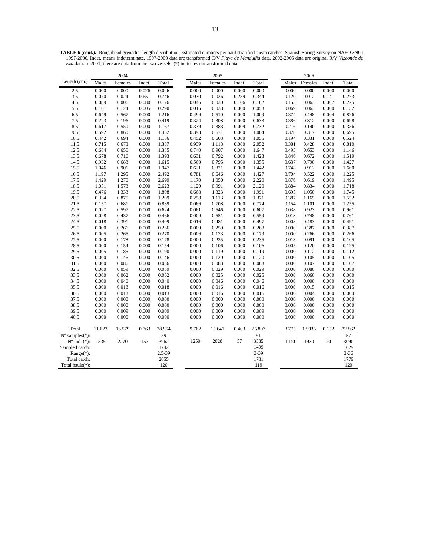**TABLE 6 (cont.).-** Roughhead grenadier length distribution. Estimated numbers per haul stratified mean catches. Spanish Spring Survey on NAFO 3NO: 1997-2006. Indet. means indeterminate. 1997-2000 data are transformed C/V *Playa de Menduíña* data. 2002-2006 data are original R/V *Vizconde de Eza* data. In 2001, there are data from the two vessels. (\*) indicates untransformed data.

|                         |        | 2004    |        |            |       | 2005    |        |          |       | 2006    |        |          |
|-------------------------|--------|---------|--------|------------|-------|---------|--------|----------|-------|---------|--------|----------|
| Length (cm.)            | Males  | Females | Indet. | Total      | Males | Females | Indet. | Total    | Males | Females | Indet. | Total    |
| 2.5                     | 0.000  | 0.000   | 0.026  | 0.026      | 0.000 | 0.000   | 0.000  | 0.000    | 0.000 | 0.000   | 0.000  | 0.000    |
| 3.5                     | 0.070  | 0.024   | 0.651  | 0.746      | 0.030 | 0.026   | 0.289  | 0.344    | 0.120 | 0.012   | 0.141  | 0.273    |
| 4.5                     | 0.089  | 0.006   | 0.080  | 0.176      | 0.046 | 0.030   | 0.106  | 0.182    | 0.155 | 0.063   | 0.007  | 0.225    |
| 5.5                     | 0.161  | 0.124   | 0.005  | 0.290      | 0.015 | 0.038   | 0.000  | 0.053    | 0.069 | 0.063   | 0.000  | 0.132    |
| 6.5                     | 0.649  | 0.567   | 0.000  | 1.216      | 0.499 | 0.510   | 0.000  | 1.009    | 0.374 | 0.448   | 0.004  | 0.826    |
| 7.5                     | 0.223  | 0.196   | 0.000  | 0.419      | 0.324 | 0.308   | 0.000  | 0.633    | 0.386 | 0.312   | 0.000  | 0.698    |
| 8.5                     | 0.617  | 0.550   | 0.000  | 1.167      | 0.339 | 0.383   | 0.009  | 0.732    | 0.216 | 0.140   | 0.000  | 0.356    |
| 9.5                     | 0.592  | 0.860   | 0.000  | 1.452      | 0.393 | 0.671   | 0.000  | 1.064    | 0.378 | 0.317   | 0.000  | 0.695    |
| 10.5                    | 0.442  | 0.694   | 0.000  | 1.136      | 0.452 | 0.603   | 0.000  | 1.055    | 0.194 | 0.331   | 0.000  | 0.524    |
| 11.5                    | 0.715  | 0.673   | 0.000  | 1.387      | 0.939 | 1.113   | 0.000  | 2.052    | 0.381 | 0.428   | 0.000  | 0.810    |
| 12.5                    | 0.684  | 0.650   | 0.000  | 1.335      | 0.740 | 0.907   | 0.000  | 1.647    | 0.493 | 0.653   | 0.000  | 1.146    |
| 13.5                    | 0.678  | 0.716   | 0.000  | 1.393      | 0.631 | 0.792   | 0.000  | 1.423    | 0.846 | 0.672   | 0.000  | 1.519    |
| 14.5                    | 0.932  | 0.683   | 0.000  | 1.615      | 0.560 | 0.795   | 0.000  | 1.355    | 0.637 | 0.790   | 0.000  | 1.427    |
| 15.5                    | 1.046  | 0.901   | 0.000  | 1.947      | 0.621 | 0.821   | 0.000  | 1.442    | 0.748 | 0.912   | 0.000  | 1.660    |
| 16.5                    | 1.197  | 1.295   | 0.000  | 2.492      | 0.781 | 0.646   | 0.000  | 1.427    | 0.704 | 0.522   | 0.000  | 1.225    |
| 17.5                    | 1.429  | 1.270   | 0.000  | 2.699      | 1.170 | 1.050   | 0.000  | 2.220    | 0.876 | 0.619   | 0.000  | 1.495    |
| 18.5                    | 1.051  | 1.573   | 0.000  | 2.623      | 1.129 | 0.991   | 0.000  | 2.120    | 0.884 | 0.834   | 0.000  | 1.718    |
| 19.5                    | 0.476  | 1.333   | 0.000  | 1.808      | 0.668 | 1.323   | 0.000  | 1.991    | 0.695 | 1.050   | 0.000  | 1.745    |
| 20.5                    | 0.334  | 0.875   | 0.000  | 1.209      | 0.258 | 1.113   | 0.000  | 1.371    | 0.387 | 1.165   | 0.000  | 1.552    |
| 21.5                    | 0.157  | 0.681   | 0.000  | 0.839      | 0.066 | 0.708   | 0.000  | 0.774    | 0.154 | 1.101   | 0.000  | 1.255    |
| 22.5                    | 0.027  | 0.597   | 0.000  | 0.624      | 0.061 | 0.546   | 0.000  | 0.607    | 0.038 | 0.923   | 0.000  | 0.961    |
| 23.5                    | 0.028  | 0.437   | 0.000  | 0.466      | 0.009 | 0.551   | 0.000  | 0.559    | 0.013 | 0.748   | 0.000  | 0.761    |
| 24.5                    | 0.018  | 0.391   | 0.000  | 0.409      | 0.016 | 0.481   | 0.000  | 0.497    | 0.008 | 0.483   | 0.000  | 0.491    |
| 25.5                    | 0.000  | 0.266   | 0.000  | 0.266      | 0.009 | 0.259   | 0.000  | 0.268    | 0.000 | 0.387   | 0.000  | 0.387    |
| 26.5                    | 0.005  | 0.265   | 0.000  | 0.270      | 0.006 | 0.173   | 0.000  | 0.179    | 0.000 | 0.266   | 0.000  | 0.266    |
| 27.5                    | 0.000  | 0.178   | 0.000  | 0.178      | 0.000 | 0.235   | 0.000  | 0.235    | 0.013 | 0.091   | 0.000  | 0.105    |
| 28.5                    | 0.000  | 0.154   | 0.000  | 0.154      | 0.000 | 0.106   | 0.000  | 0.106    | 0.005 | 0.120   | 0.000  | 0.125    |
| 29.5                    | 0.005  | 0.185   | 0.000  | 0.190      | 0.000 | 0.119   | 0.000  | 0.119    | 0.000 | 0.112   | 0.000  | 0.112    |
| 30.5                    | 0.000  | 0.146   | 0.000  | 0.146      | 0.000 | 0.120   | 0.000  | 0.120    | 0.000 | 0.105   | 0.000  | 0.105    |
| 31.5                    | 0.000  | 0.086   | 0.000  | 0.086      | 0.000 | 0.083   | 0.000  | 0.083    | 0.000 | 0.107   | 0.000  | 0.107    |
| 32.5                    | 0.000  | 0.059   | 0.000  | 0.059      | 0.000 | 0.029   | 0.000  | 0.029    | 0.000 | 0.080   | 0.000  | 0.080    |
| 33.5                    | 0.000  | 0.062   | 0.000  | 0.062      | 0.000 | 0.025   | 0.000  | 0.025    | 0.000 | 0.060   | 0.000  | 0.060    |
| 34.5                    | 0.000  | 0.040   | 0.000  | 0.040      | 0.000 | 0.046   | 0.000  | 0.046    | 0.000 | 0.000   | 0.000  | 0.000    |
| 35.5                    | 0.000  | 0.018   | 0.000  | 0.018      | 0.000 | 0.016   | 0.000  | 0.016    | 0.000 | 0.015   | 0.000  | 0.015    |
| 36.5                    | 0.000  | 0.013   | 0.000  | 0.013      | 0.000 | 0.016   | 0.000  | 0.016    | 0.000 | 0.004   | 0.000  | 0.004    |
| 37.5                    | 0.000  | 0.000   | 0.000  | 0.000      | 0.000 | 0.000   | 0.000  | 0.000    | 0.000 | 0.000   | 0.000  | 0.000    |
| 38.5                    | 0.000  | 0.000   | 0.000  | 0.000      | 0.000 | 0.000   | 0.000  | 0.000    | 0.000 | 0.000   | 0.000  | 0.000    |
| 39.5                    | 0.000  | 0.009   | 0.000  | 0.009      | 0.000 | 0.009   | 0.000  | 0.009    | 0.000 | 0.000   | 0.000  | 0.000    |
| 40.5                    | 0.000  | 0.000   | 0.000  | 0.000      | 0.000 | 0.000   | 0.000  | 0.000    | 0.000 | 0.000   | 0.000  | 0.000    |
| Total                   | 11.623 | 16.579  | 0.763  | 28.964     | 9.762 | 15.641  | 0.403  | 25.807   | 8.775 | 13.935  | 0.152  | 22.862   |
| $N^{\circ}$ samples(*): |        |         |        | 59         |       |         |        | 61       |       |         |        | 57       |
| $No$ Ind. $(*)$ :       | 1535   | 2270    | 157    | 3962       | 1250  | 2028    | 57     | 3335     | 1140  | 1930    | 20     | 3090     |
| Sampled catch:          |        |         |        | 1742       |       |         |        | 1499     |       |         |        | 1629     |
| $Range(*)$ :            |        |         |        | $2.5 - 39$ |       |         |        | $3 - 39$ |       |         |        | $3 - 36$ |
| Total catch:            |        |         |        | 2055       |       |         |        | 1781     |       |         |        | 1779     |
| Total hauls $(*)$ :     |        |         |        | 120        |       |         |        | 119      |       |         |        | 120      |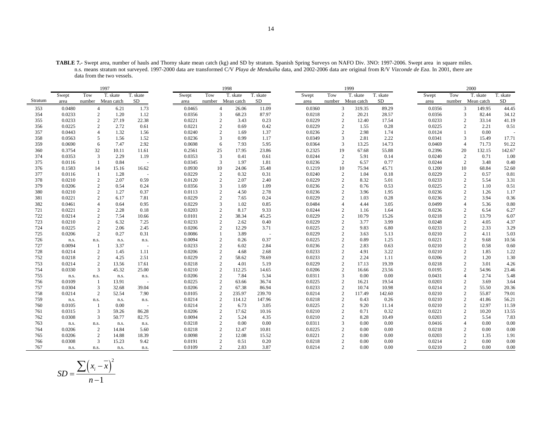**TABLE 7.-** Swept area, number of hauls and Thorny skate mean catch (kg) and SD by stratum. Spanish Spring Surveys on NAFO Div. 3NO: 1997-2006. Swept area in square miles. n.s. means stratum not surveyed. 1997-2000 data are transformed C/V *Playa de Menduíña* data, and 2002-2006 data are original from R/V *Vizconde de Eza*. In 2001, there are data from the two vessels.

|            | 1997             |                |               |          |                  | 1998                             |               |               |                  | 1999                           |               |               |                  |        | 2000                           |               |              |
|------------|------------------|----------------|---------------|----------|------------------|----------------------------------|---------------|---------------|------------------|--------------------------------|---------------|---------------|------------------|--------|--------------------------------|---------------|--------------|
|            | Swept            | Tow            | T. skate      | T. skate | Swept            | Tow                              | T. skate      | T. skate      | Swept            | Tow                            | T. skate      | T. skate      | Swept            | Tow    |                                | T. skate      | T. skate     |
| Stratum    | area             | number         | Mean catch    | SD       | area             | number                           | Mean catch    | SD            | area             | number                         | Mean catch    | SD            | area             | number |                                | Mean catch    | SD           |
| 353        | 0.0480           | $\overline{4}$ | 6.21          | 1.73     | 0.0465           | $\overline{4}$                   | 26.06         | 11.09         | 0.0360           | 3                              | 319.35        | 89.29         | 0.0356           |        | 3                              | 149.95        | 44.45        |
| 354        | 0.0233           | $\overline{c}$ | 1.20          | 1.12     | 0.0356           | 3                                | 68.23         | 87.97         | 0.0218           | $\overline{c}$                 | 20.21         | 28.57         | 0.0356           |        | 3                              | 82.44         | 34.12        |
| 355        | 0.0233           | $\overline{2}$ | 27.19         | 22.38    | 0.0221           | $\overline{c}$                   | 3.43          | 0.23          | 0.0229           | $\overline{c}$                 | 12.40         | 17.54         | 0.0233           |        | $\overline{c}$                 | 33.14         | 41.19        |
| 356        | 0.0225           | $\overline{2}$ | 2.72          | 0.61     | 0.0221           | $\overline{2}$                   | 0.69          | 0.42          | 0.0229           | 2                              | 1.55          | 0.28          | 0.0225           |        | $\overline{2}$                 | 2.21          | 0.51         |
| 357        | 0.0443           | $\overline{4}$ | 1.32          | 1.56     | 0.0240           | 2                                | 1.69          | 1.37          | 0.0236           | 2                              | 2.98          | 1.74          | 0.0124           |        | $\mathbf{1}$                   | 0.00          |              |
| 358        | 0.0563           | 5              | 1.56          | 1.52     | 0.0236           | 3                                | 0.99          | 1.17          | 0.0349           | 3                              | 2.81          | 2.22          | 0.0341           |        | 3                              | 15.49         | 17.71        |
| 359        | 0.0690           | 6              | 7.47          | 2.92     | 0.0698           | 6                                | 7.93          | 5.95          | 0.0364           | 3                              | 13.25         | 14.73         | 0.0469           |        | $\overline{4}$                 | 71.73         | 91.22        |
| 360        | 0.3754           | 32             | 10.11         | 11.61    | 0.2561           | 25                               | 17.95         | 23.86         | 0.2325           | 19                             | 67.68         | 55.88         | 0.2396           |        | 20                             | 132.15        | 142.67       |
| 374        | 0.0353           | 3              | 2.29          | 1.19     | 0.0353           | 3                                | 0.41          | 0.61          | 0.0244           | $\overline{c}$                 | 5.91          | 0.14          | 0.0240           |        | $\sqrt{2}$                     | 0.71          | 1.00         |
| 375        | 0.0116           | $\mathbf{1}$   | 0.84          | $\sim$   | 0.0345           | 3                                | 1.97          | 1.81          | 0.0236           | 2                              | 6.57          | 0.77          | 0.0244           |        | 2                              | 3.48          | 0.40         |
| 376        | 0.1583           | 14             | 15.16         | 16.62    | 0.0930           | 10                               | 24.06         | 35.48         | 0.1219           | 10                             | 75.94         | 45.71         | 0.1200           |        | 10                             | 68.84         | 52.60        |
| 377        | 0.0116           | -1             | 1.28          | $\sim$   | 0.0229           | $\overline{2}$                   | 0.32          | 0.31          | 0.0240           | $\overline{c}$                 | 1.04          | 0.18          | 0.0229           |        | $\mathbf{2}$                   | 0.57          | 0.81         |
| 378        | 0.0210           | $\overline{2}$ | 2.07          | 0.59     | 0.0120           | $\overline{2}$                   | 2.07          | 2.40          | 0.0229           | $\sqrt{2}$                     | 8.32          | 5.01          | 0.0233           |        | 2                              | 5.54          | 3.31         |
| 379        | 0.0206           | $\overline{2}$ | 0.54          | 0.24     | 0.0356           | 3                                | 1.69          | 1.09          | 0.0236           | $\overline{c}$                 | 0.76          | 0.53          | 0.0225           |        | $\sqrt{2}$                     | 1.10          | 0.51         |
| 380        | 0.0210           | 2              | 1.27          | 0.37     | 0.0113           | $\overline{2}$                   | 4.50          | 2.78          | 0.0236           | 2                              | 3.96          | 1.95          | 0.0236           |        | 2                              | 1.26          | 1.17         |
| 381        | 0.0221           | $\overline{2}$ | 6.17          | 7.81     | 0.0229           | $\overline{2}$                   | 7.65          | 0.24          | 0.0229           | 2                              | 1.03          | 0.28          | 0.0236           |        | 2                              | 3.94          | 0.36         |
| 382        | 0.0461           | $\overline{4}$ | 0.64          | 0.95     | 0.0229           | 3                                | 1.02          | 0.85          | 0.0484           | 4                              | 4.44          | 3.05          | 0.0499           |        | $\overline{4}$                 | 5.36          | 0.80         |
| 721        | 0.0221           | $\overline{c}$ | 2.28          | 0.18     | 0.0203           | $\overline{2}$                   | 8.17          | 9.33          | 0.0244           | $\overline{2}$                 | 1.16          | 1.64          | 0.0236           |        | 2                              | 6.54          | 6.27         |
| 722        | 0.0214           | $\overline{2}$ | 7.54          | 10.66    | 0.0101           | $\overline{2}$                   | 38.34         | 45.25         | 0.0229           | $\sqrt{2}$                     | 10.79         | 15.26         | 0.0218           |        | $\mathbf{2}$                   | 13.79         | 6.07         |
| 723        | 0.0210           | $\overline{2}$ | 6.32          | 7.25     | 0.0233           | $\overline{2}$                   | 2.62          | 0.40          | 0.0229           | $\sqrt{2}$                     | 3.77          | 3.99          | 0.0248           |        | $\sqrt{2}$                     | 4.05          | 4.37         |
| 724        | 0.0225           | $\overline{2}$ | 2.06          | 2.45     | 0.0206           | $\overline{2}$                   | 12.29         | 3.71          | 0.0225           | 2                              | 9.83          | 6.80          | 0.0233           |        | $\mathbf{2}$                   | 2.33          | 3.29         |
| 725        | 0.0206           | 2              | 0.27          | 0.31     | 0.0086           |                                  | 3.89          | $\sim$        | 0.0229           | $\mathbf{2}$                   | 3.63          | 5.13          | 0.0210           |        | $\overline{c}$                 | 4.11          | 5.03         |
| 726        | n.s.             | n.s.           | n.s.          | n.s.     | 0.0094           | $\overline{2}$                   | 0.26          | 0.37          | 0.0225           | $\mathbf{2}$                   | 0.89          | 1.25          | 0.0221           |        | $\mathbf{2}$                   | 9.68          | 10.56        |
| 727        | 0.0094           | -1             | 3.37          |          | 0.0233           | $\overline{c}$                   | 6.02          | 2.84          | 0.0236           | $\overline{c}$                 | 2.83          | 0.63          | 0.0210           |        | 2                              | 0.58          | 0.60         |
| 728        | 0.0214           | $\overline{2}$ | 1.45          | 1.11     | 0.0206           | $\overline{2}$                   | 4.68          | 2.68          | 0.0233           | $\overline{2}$                 | 4.91          | 3.22          | 0.0210           |        | $\overline{c}$                 | 1.85          | 1.22         |
| 752        | 0.0218           | $\overline{2}$ | 4.25          | 2.51     | 0.0229           | $\overline{2}$                   | 58.62         | 78.69         | 0.0233           | 2                              | 2.24          | 1.11          | 0.0206           |        | $\mathbf{2}$                   | 1.20          | 1.30         |
| 753        | 0.0214           | 2              | 13.56         | 17.61    | 0.0218           | 2                                | 4.01          | 5.19          | 0.0229           | 2                              | 17.13         | 19.39         | 0.0218           |        | 2                              | 3.01          | 4.26         |
| 754        | 0.0330           | 3              | 45.32         | 25.00    | 0.0210           | $\overline{2}$                   | 112.25        | 14.65         | 0.0206           | $\overline{c}$                 | 16.66<br>0.00 | 23.56         | 0.0195           |        | $\mathbf{2}$<br>$\overline{4}$ | 54.96<br>2.74 | 23.46        |
| 755<br>756 | n.s.             | n.s.<br>1      | n.s.<br>13.91 | n.s.     | 0.0206<br>0.0225 | $\overline{2}$<br>$\overline{2}$ | 7.84<br>63.66 | 5.34<br>36.74 | 0.0311<br>0.0225 | 3                              | 16.21         | 0.00<br>19.54 | 0.0431<br>0.0203 |        |                                | 3.69          | 5.48<br>3.64 |
| 757        | 0.0109<br>0.0304 | 3              | 32.68         | 39.04    | 0.0206           | $\overline{2}$                   | 67.38         | 86.94         | 0.0233           | $\overline{c}$<br>$\mathbf{2}$ | 10.74         | 10.98         | 0.0214           |        | 2<br>2                         | 55.50         | 20.36        |
| 758        | 0.0214           | $\overline{2}$ | 52.54         | 7.90     | 0.0105           | $\overline{2}$                   | 235.97        | 239.70        | 0.0214           | 2                              | 117.49        | 142.60        | 0.0210           |        | 2                              | 55.87         | 79.01        |
| 759        | n.s.             | n.s.           | n.s.          | n.s.     | 0.0214           | $\overline{2}$                   | 114.12        | 147.96        | 0.0218           | 2                              | 0.43          | 0.26          | 0.0210           |        | 2                              | 41.86         | 56.21        |
| 760        | 0.0105           | $\mathbf{1}$   | 0.00          |          | 0.0214           | $\overline{2}$                   | 6.73          | 3.05          | 0.0225           | $\sqrt{2}$                     | 9.20          | 11.14         | 0.0210           |        | $\mathbf{2}$                   | 12.97         | 11.59        |
| 761        | 0.0315           | 3              | 59.26         | 86.28    | 0.0206           | $\overline{2}$                   | 17.62         | 10.16         | 0.0210           | $\overline{c}$                 | 0.71          | 0.32          | 0.0221           |        | 2                              | 10.20         | 13.55        |
| 762        | 0.0308           | 3              | 50.77         | 82.75    | 0.0094           | $\overline{2}$                   | 5.24          | 4.35          | 0.0210           | 2                              | 8.28          | 10.49         | 0.0203           |        | 2                              | 5.54          | 7.83         |
| 763        | n.s.             | n.s.           | n.s.          | n.s.     | 0.0218           | $\overline{2}$                   | 0.00          | 0.00          | 0.0311           | 3                              | 0.00          | 0.00          | 0.0416           |        | $\overline{4}$                 | 0.00          | 0.00         |
| 764        | 0.0206           | 2              | 14.84         | 5.60     | 0.0218           | 2                                | 12.47         | 10.81         | 0.0225           | 2                              | 0.00          | 0.00          | 0.0218           |        | 2                              | 0.00          | 0.00         |
| 765        | 0.0206           | 2              | 14.88         | 18.39    | 0.0098           | $\overline{c}$                   | 12.08         | 15.52         | 0.0221           | 2                              | 0.00          | 0.00          | 0.0203           |        | $\mathbf{2}$                   | 1.35          | 1.91         |
| 766        | 0.0308           | $\overline{3}$ | 15.23         | 9.42     | 0.0191           | $\overline{c}$                   | 0.51          | 0.20          | 0.0218           | $\sqrt{2}$                     | 0.00          | 0.00          | 0.0214           |        | 2                              | 0.00          | 0.00         |
| 767        | n.s.             | n.s.           | n.s.          | n.s.     | 0.0109           | $\overline{c}$                   | 2.83          | 3.87          | 0.0214           | 2                              | 0.00          | 0.00          | 0.0210           |        | 2                              | 0.00          | 0.00         |
|            |                  |                |               |          |                  |                                  |               |               |                  |                                |               |               |                  |        |                                |               |              |

$$
SD = \frac{\sum (x_i - \overline{x})^2}{n - 1}
$$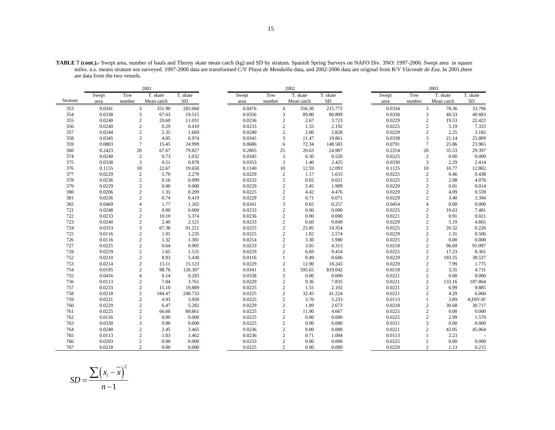|         |        |                 | 2001                    |          |        |                | 2002       |           |        |        | 2003                     |             |
|---------|--------|-----------------|-------------------------|----------|--------|----------------|------------|-----------|--------|--------|--------------------------|-------------|
|         | Swept  | Tow             | T. skate                | T. skate | Swept  | Tow            | T. skate   | T. skate  | Swept  | Tow    | T. skate                 | T. skate    |
| Stratum | area   | number          | Mean catch              | SD.      | area   | number         | Mean catch | <b>SD</b> | area   | number | Mean catch               | <b>SD</b>   |
| 353     | 0.0341 |                 | 3<br>351.90             | 283.060  | 0.0476 | $\overline{4}$ | 356.30     | 215.772   | 0.0334 |        | 3<br>78.36               | 33.796      |
| 354     | 0.0338 |                 | 3<br>67.63              | 19.515   | 0.0356 | 3              | 89.80      | 80.809    | 0.0338 |        | $\mathfrak{Z}$<br>40.33  | 40.683      |
| 355     | 0.0240 |                 | $\mathbf{2}$<br>20.60   | 11.031   | 0.0236 | $\sqrt{2}$     | 2.67       | 3.723     | 0.0229 |        | $\overline{2}$<br>19.53  | 22.422      |
| 356     | 0.0240 |                 | $\mathbf{2}$<br>0.29    | 0.410    | 0.0233 | $\mathfrak{2}$ | 1.55       | 2.192     | 0.0225 |        | $\overline{c}$<br>5.19   | 7.333       |
| 357     | 0.0244 |                 | 2<br>2.35               | 1.669    | 0.0240 | $\mathfrak{2}$ | 2.00       | 2.828     | 0.0229 |        | $\overline{2}$<br>2.25   | 3.182       |
| 358     | 0.0345 |                 | 3<br>4.05               | 6.974    | 0.0345 | 3              | 11.47      | 19.861    | 0.0338 |        | 3<br>21.14               | 25.809      |
| 359     | 0.0803 | $7\phantom{.0}$ | 15.45                   | 24.999   | 0.0686 | 6              | 72.34      | 148.583   | 0.0791 |        | $\overline{7}$<br>25.86  | 23.965      |
| 360     | 0.2423 | 20              | 67.67                   | 79.827   | 0.2865 | 25             | 20.63      | 24.987    | 0.2254 | 20     | 35.53                    | 29.397      |
| 374     | 0.0240 |                 | 2<br>0.73               | 1.032    | 0.0345 | $\overline{3}$ | 0.30       | 0.520     | 0.0225 |        | $\overline{c}$<br>0.00   | 0.000       |
| 375     | 0.0338 |                 | 3<br>0.51               | 0.878    | 0.0353 | 3              | 1.40       | 2.425     | 0.0330 |        | 3<br>2.29                | 2.414       |
| 376     | 0.1155 | 10              | 22.67                   | 19.650   | 0.1140 | 10             | 12.59      | 12.093    | 0.1125 | 10     | 10.77                    | 12.802      |
| 377     | 0.0229 |                 | 2<br>5.70               | 2.270    | 0.0229 | $\sqrt{2}$     | 1.17       | 1.655     | 0.0225 |        | $\overline{c}$<br>0.46   | 0.438       |
| 378     | 0.0236 |                 | $\mathbf{2}$<br>0.16    | 0.099    | 0.0233 | $\mathfrak{2}$ | 0.02       | 0.021     | 0.0225 |        | $\overline{2}$<br>2.98   | 4.076       |
| 379     | 0.0229 |                 | 2<br>0.00               | 0.000    | 0.0229 | $\mathbf{2}$   | 5.45       | 1.909     | 0.0229 |        | 2<br>0.01                | 0.014       |
| 380     | 0.0206 |                 | $\sqrt{2}$<br>1.35      | 0.209    | 0.0225 | $\sqrt{2}$     | 4.42       | 4.476     | 0.0229 |        | $\overline{2}$<br>4.09   | 0.559       |
| 381     | 0.0236 |                 | $\mathbf{2}$<br>0.74    | 0.419    | 0.0229 | $\mathfrak{2}$ | 0.71       | 0.071     | 0.0229 |        | $\overline{2}$<br>3.40   | 3.394       |
| 382     | 0.0469 |                 | 1.77<br>$\overline{4}$  | 1.265    | 0.0341 | 3              | 0.65       | 0.257     | 0.0454 |        | 0.00<br>4                | 0.000       |
| 721     | 0.0248 |                 | 2<br>0.00               | 0.000    | 0.0233 | $\mathfrak{2}$ | 0.00       | 0.000     | 0.0225 |        | $\overline{c}$<br>10.63  | 7.481       |
| 722     | 0.0233 |                 | $\mathbf{2}$<br>10.10   | 5.374    | 0.0236 | $\mathfrak{2}$ | 0.00       | 0.000     | 0.0221 |        | $\overline{2}$<br>0.91   | 0.021       |
| 723     | 0.0240 |                 | 2.40<br>2               | 2.121    | 0.0233 | $\sqrt{2}$     | 0.60       | 0.849     | 0.0229 |        | $\overline{2}$<br>5.19   | 4.865       |
| 724     | 0.0353 |                 | $\overline{3}$<br>67.38 | 91.221   | 0.0225 | $\mathfrak{2}$ | 25.85      | 14.354    | 0.0225 |        | $\sqrt{2}$<br>26.32      | 0.226       |
| 725     | 0.0116 |                 | $\mathbf{2}$<br>1.91    | 1.235    | 0.0225 | $\mathfrak{2}$ | 1.82       | 2.574     | 0.0229 |        | $\overline{c}$<br>1.31   | 0.506       |
| 726     | 0.0116 |                 | $\mathbf{2}$<br>1.32    | 1.381    | 0.0214 | $\sqrt{2}$     | 3.30       | 1.980     | 0.0225 |        | $\overline{2}$<br>0.00   | 0.000       |
| 727     | 0.0225 |                 | 2<br>0.64               | 0.905    | 0.0233 | $\overline{c}$ | 3.05       | 4.313     | 0.0218 |        | $\overline{c}$<br>96.69  | 91.097      |
| 728     | 0.0229 |                 | $\overline{2}$<br>1.65  | 1.531    | 0.0229 | $\mathfrak{2}$ | 6.69       | 9.454     | 0.0225 |        | $\overline{c}$<br>17.23  | 8.301       |
| 752     | 0.0210 |                 | $\sqrt{2}$<br>8.93      | 5.430    | 0.0116 | $\mathbf{1}$   | 0.49       | 0.686     | 0.0229 |        | $\sqrt{2}$<br>183.35     | 38.537      |
| 753     | 0.0214 |                 | $\mathbf{2}$<br>13.11   | 15.123   | 0.0229 | $\overline{c}$ | 12.90      | 18.243    | 0.0229 |        | $\overline{c}$<br>7.99   | 1.775       |
| 754     | 0.0195 |                 | $\overline{2}$<br>98.76 | 126.307  | 0.0341 | 3              | 595.65     | 819.042   | 0.0218 |        | $\overline{c}$<br>3.35   | 4.731       |
| 755     | 0.0416 |                 | $\overline{4}$<br>0.14  | 0.283    | 0.0338 | 3              | 0.00       | 0.000     | 0.0221 |        | $\overline{2}$<br>0.00   | 0.000       |
| 756     | 0.0113 |                 | $\mathbf{2}$<br>7.04    | 3.761    | 0.0229 | $\mathfrak{2}$ | 9.36       | 7.835     | 0.0221 |        | $\overline{c}$<br>133.16 | 187.864     |
| 757     | 0.0233 |                 | $\mathbf{2}$<br>15.10   | 19.889   | 0.0225 | $\overline{c}$ | 1.55       | 2.192     | 0.0221 |        | $\overline{c}$<br>6.99   | 9.885       |
| 758     | 0.0218 |                 | $\mathbf{2}$<br>184.47  | 248.733  | 0.0225 | $\sqrt{2}$     | 32.45      | 41.224    | 0.0221 |        | $\overline{c}$<br>4.29   | 6.060       |
| 759     | 0.0221 |                 | $\mathbf{2}$<br>4.93    | 3.950    | 0.0225 | $\overline{c}$ | 3.70       | 5.233     | 0.0113 |        | $\mathbf{1}$<br>3.89     | $#$ ¡DIV/0! |
| 760     | 0.0229 |                 | $\mathbf{2}$<br>6.47    | 5.282    | 0.0229 | $\mathfrak{2}$ | 1.89       | 2.673     | 0.0218 |        | $\overline{c}$<br>30.68  | 30.717      |
| 761     | 0.0225 |                 | $\mathbf{2}$<br>66.60   | 89.661   | 0.0225 | $\mathfrak{2}$ | 11.90      | 4.667     | 0.0225 |        | $\overline{2}$<br>0.00   | 0.000       |
| 762     | 0.0116 |                 | $\sqrt{2}$<br>0.00      | 0.000    | 0.0225 | $\sqrt{2}$     | 0.00       | 0.000     | 0.0225 |        | $\overline{c}$<br>2.99   | 1.570       |
| 763     | 0.0330 |                 | 3<br>0.00               | 0.000    | 0.0225 | $\mathbf{2}$   | 0.00       | 0.000     | 0.0311 |        | 3<br>0.00                | 0.000       |
| 764     | 0.0240 |                 | $\overline{2}$<br>2.45  | 3.465    | 0.0236 | $\mathfrak{2}$ | 0.00       | 0.000     | 0.0221 |        | $\overline{c}$<br>42.05  | 45.064      |
| 765     | 0.0113 |                 | $\overline{2}$<br>1.03  | 1.462    | 0.0236 | $\mathfrak{2}$ | 0.71       | 1.004     | 0.0113 |        | 2.23<br>$\mathbf{1}$     |             |
| 766     | 0.0203 |                 | $\overline{2}$<br>0.00  | 0.000    | 0.0233 | $\mathbf{2}$   | 0.00       | 0.000     | 0.0225 |        | $\overline{c}$<br>0.00   | 0.000       |
| 767     | 0.0218 |                 | $\overline{c}$<br>0.00  | 0.000    | 0.0225 | $\overline{c}$ | 0.00       | 0.000     | 0.0229 |        | $\overline{c}$<br>1.13   | 0.215       |

**TABLE 7 (cont.).-** Swept area, number of hauls and Thorny skate mean catch (kg) and SD by stratum. Spanish Spring Surveys on NAFO Div. 3NO: 1997-2006. Swept area in square miles. n.s. means stratum not surveyed. 1997-2000 data are transformed C/V *Playa de Menduíña* data, and 2002-2006 data are original from R/V *Vizconde de Eza*. In 2001,there are data from the two vessels.

$$
SD = \frac{\sum (x_i - \overline{x})^2}{n - 1}
$$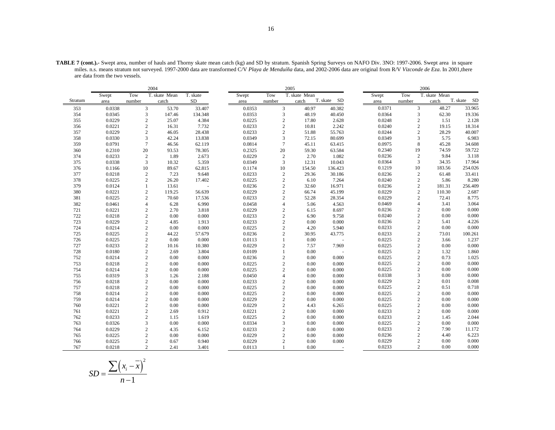|         |        |                | 2004          |           |        |                | 2005          |                |        |                | 2006          |             |
|---------|--------|----------------|---------------|-----------|--------|----------------|---------------|----------------|--------|----------------|---------------|-------------|
|         | Swept  | Tow            | T. skate Mean | T. skate  | Swept  | Tow            | T. skate Mean |                | Swept  | Tow            | T. skate Mean |             |
| Stratum | area   | number         | catch         | <b>SD</b> | area   | number         | catch         | T. skate SD    | area   | number         | catch         | T. skate SD |
| 353     | 0.0338 | 3              | 53.70         | 33.407    | 0.0353 | 3              | 40.97         | 40.382         | 0.0371 | 3              | 48.27         | 33.965      |
| 354     | 0.0345 | 3              | 147.46        | 134.348   | 0.0353 | 3              | 48.19         | 40.450         | 0.0364 | 3              | 62.30         | 19.336      |
| 355     | 0.0229 | $\overline{c}$ | 25.07         | 4.384     | 0.0225 | $\overline{2}$ | 17.80         | 2.628          | 0.0248 | $\sqrt{2}$     | 1.51          | 2.128       |
| 356     | 0.0221 | $\sqrt{2}$     | 16.31         | 7.732     | 0.0233 | $\sqrt{2}$     | 10.81         | 2.242          | 0.0240 | $\sqrt{2}$     | 19.15         | 18.314      |
| 357     | 0.0229 | $\sqrt{2}$     | 46.05         | 28.438    | 0.0233 | $\sqrt{2}$     | 51.88         | 55.763         | 0.0244 | $\sqrt{2}$     | 28.29         | 40.007      |
| 358     | 0.0330 | 3              | 42.24         | 13.838    | 0.0349 | 3              | 72.15         | 80.699         | 0.0349 | $\overline{3}$ | 5.75          | 6.983       |
| 359     | 0.0791 | $\overline{7}$ | 46.56         | 62.119    | 0.0814 | $\overline{7}$ | 45.11         | 63.415         | 0.0975 | $\,8\,$        | 45.28         | 34.608      |
| 360     | 0.2310 | 20             | 93.53         | 78.305    | 0.2325 | 20             | 59.30         | 63.584         | 0.2340 | 19             | 74.59         | 59.722      |
| 374     | 0.0233 | $\overline{c}$ | 1.89          | 2.673     | 0.0229 | $\sqrt{2}$     | 2.70          | 1.082          | 0.0236 | $\sqrt{2}$     | 9.84          | 3.118       |
| 375     | 0.0338 | 3              | 10.32         | 5.359     | 0.0349 | $\overline{3}$ | 12.31         | 10.043         | 0.0364 | 3              | 34.35         | 17.964      |
| 376     | 0.1166 | 10             | 89.67         | 62.815    | 0.1174 | 10             | 154.50        | 136.423        | 0.1219 | 10             | 183.56        | 254.026     |
| 377     | 0.0218 | $\overline{c}$ | 7.23          | 9.648     | 0.0233 | $\overline{2}$ | 29.36         | 30.186         | 0.0236 | 2              | 61.48         | 33.411      |
| 378     | 0.0225 | 2              | 26.20         | 17.402    | 0.0225 | $\overline{2}$ | 6.10          | 7.264          | 0.0240 | $\sqrt{2}$     | 5.86          | 8.280       |
| 379     | 0.0124 | $\mathbf{1}$   | 13.61         |           | 0.0236 | $\overline{2}$ | 32.60         | 16.971         | 0.0236 | $\overline{c}$ | 181.31        | 256.409     |
| 380     | 0.0221 | $\overline{2}$ | 119.25        | 56.639    | 0.0229 | $\overline{c}$ | 66.74         | 45.199         | 0.0229 | $\overline{c}$ | 110.30        | 2.687       |
| 381     | 0.0225 | $\overline{c}$ | 70.60         | 17.536    | 0.0233 | $\sqrt{2}$     | 52.28         | 28.354         | 0.0229 | $\overline{2}$ | 72.41         | 8.775       |
| 382     | 0.0461 | $\overline{4}$ | 6.28          | 6.990     | 0.0458 | $\overline{4}$ | 5.06          | 4.563          | 0.0469 | $\overline{4}$ | 3.41          | 3.064       |
| 721     | 0.0221 | $\overline{c}$ | 2.70          | 3.818     | 0.0229 | $\overline{2}$ | 6.15          | 8.697          | 0.0236 | $\overline{2}$ | 0.00          | 0.000       |
| 722     | 0.0218 | $\sqrt{2}$     | 0.00          | 0.000     | 0.0233 | $\sqrt{2}$     | 6.90          | 9.758          | 0.0240 | $\sqrt{2}$     | 0.00          | 0.000       |
| 723     | 0.0229 | $\sqrt{2}$     | 4.85          | 1.913     | 0.0233 | $\overline{2}$ | 0.00          | 0.000          | 0.0236 | $\sqrt{2}$     | 5.41          | 4.226       |
| 724     | 0.0214 | $\sqrt{2}$     | 0.00          | 0.000     | 0.0225 | $\overline{c}$ | 4.20          | 5.940          | 0.0233 | $\sqrt{2}$     | 0.00          | 0.000       |
| 725     | 0.0225 | $\sqrt{2}$     | 44.22         | 57.679    | 0.0236 | $\overline{c}$ | 30.95         | 43.775         | 0.0233 | $\sqrt{2}$     | 73.01         | 100.261     |
| 726     | 0.0225 | $\sqrt{2}$     | 0.00          | 0.000     | 0.0113 |                | 0.00          |                | 0.0225 | $\sqrt{2}$     | 3.66          | 1.237       |
| 727     | 0.0233 | $\overline{c}$ | 10.16         | 10.380    | 0.0229 | $\overline{2}$ | 7.57          | 7.969          | 0.0225 | $\sqrt{2}$     | 0.00          | 0.000       |
| 728     | 0.0180 | $\sqrt{2}$     | 2.69          | 3.804     | 0.0109 |                | 0.00          |                | 0.0225 | $\sqrt{2}$     | 1.32          | 1.860       |
| 752     | 0.0214 | $\sqrt{2}$     | 0.00          | 0.000     | 0.0236 | $\sqrt{2}$     | 0.00          | 0.000          | 0.0225 | $\sqrt{2}$     | 0.73          | 1.025       |
| 753     | 0.0218 | $\sqrt{2}$     | 0.00          | 0.000     | 0.0225 | $\overline{c}$ | 0.00          | 0.000          | 0.0225 | $\overline{2}$ | 0.00          | 0.000       |
| 754     | 0.0214 | $\sqrt{2}$     | 0.00          | 0.000     | 0.0225 | $\sqrt{2}$     | 0.00          | 0.000          | 0.0225 | $\sqrt{2}$     | 0.00          | 0.000       |
| 755     | 0.0319 | 3              | 1.26          | 2.188     | 0.0450 | $\overline{4}$ | 0.00          | 0.000          | 0.0338 | 3              | 0.00          | 0.000       |
| 756     | 0.0218 | $\overline{2}$ | 0.00          | 0.000     | 0.0233 | $\overline{2}$ | 0.00          | 0.000          | 0.0229 | $\overline{2}$ | 0.01          | 0.008       |
| 757     | 0.0218 | $\sqrt{2}$     | 0.00          | 0.000     | 0.0225 | $\overline{c}$ | 0.00          | 0.000          | 0.0225 | $\overline{2}$ | 0.51          | 0.718       |
| 758     | 0.0214 | $\sqrt{2}$     | 0.00          | 0.000     | 0.0225 | $\sqrt{2}$     | 0.00          | 0.000          | 0.0225 | $\sqrt{2}$     | 0.00          | 0.000       |
| 759     | 0.0214 | $\sqrt{2}$     | 0.00          | 0.000     | 0.0229 | $\overline{c}$ | 0.00          | 0.000          | 0.0225 | $\overline{2}$ | 0.00          | 0.000       |
| 760     | 0.0221 | $\sqrt{2}$     | 0.00          | 0.000     | 0.0229 | $\sqrt{2}$     | 4.43          | 6.265          | 0.0225 | $\overline{2}$ | 0.00          | 0.000       |
| 761     | 0.0221 | $\overline{c}$ | 2.69          | 0.912     | 0.0221 | $\overline{2}$ | 0.00          | 0.000          | 0.0233 | $\overline{2}$ | 0.00          | 0.000       |
| 762     | 0.0233 | $\overline{c}$ | 1.15          | 1.619     | 0.0225 | $\overline{c}$ | 0.00          | 0.000          | 0.0233 | $\overline{2}$ | 1.45          | 2.044       |
| 763     | 0.0326 | $\overline{3}$ | 0.00          | 0.000     | 0.0334 | 3              | 0.00          | 0.000          | 0.0225 | $\sqrt{2}$     | 0.00          | 0.000       |
| 764     | 0.0229 | $\overline{2}$ | 4.35          | 6.152     | 0.0233 | $\overline{c}$ | 0.00          | 0.000          | 0.0233 | $\overline{2}$ | 7.90          | 11.172      |
| 765     | 0.0225 | $\overline{2}$ | 0.00          | 0.000     | 0.0229 | $\overline{c}$ | 0.00          | 0.000          | 0.0236 | $\overline{2}$ | 4.40          | 6.223       |
| 766     | 0.0225 | 2              | 0.67          | 0.940     | 0.0229 | $\overline{c}$ | 0.00          | 0.000          | 0.0229 | $\overline{2}$ | 0.00          | 0.000       |
| 767     | 0.0218 | 2              | 2.41          | 3.401     | 0.0113 |                | 0.00          | $\overline{a}$ | 0.0233 | $\overline{c}$ | 0.00          | 0.000       |

**TABLE 7 (cont.).-** Swept area, number of hauls and Thorny skate mean catch (kg) and SD by stratum. Spanish Spring Surveys on NAFO Div. 3NO: 1997-2006. Swept area in square miles. n.s. means stratum not surveyed. 1997-2000 data are transformed C/V *Playa de Menduíña* data, and 2002-2006 data are original from R/V *Vizconde de Eza*. In 2001,there are data from the two vessels.

$$
SD = \frac{\sum (x_i - \overline{x})^2}{n - 1}
$$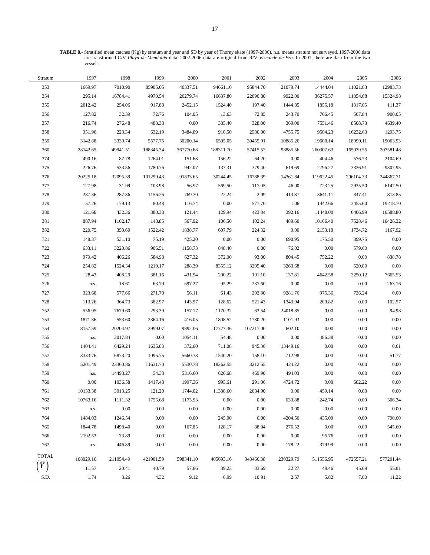**TABLE 8.-** Stratified mean catches (Kg) by stratum and year and SD by year of Thorny skate (1997-2006). n.s. means stratum not surveyed. 1997-2000 data are transformed C/V *Playa de Menduíña* data. 2002-2006 data are original from R/V *Vizconde de Eza*. In 2001, there are data from the two vessels.

| Stratum      | 1997      | 1998      | 1999      | 2000      | 2001      | 2002      | 2003      | 2004      | 2005      | 2006      |
|--------------|-----------|-----------|-----------|-----------|-----------|-----------|-----------|-----------|-----------|-----------|
| 353          | 1669.97   | 7010.90   | 85905.05  | 40337.51  | 94661.10  | 95844.70  | 21079.74  | 14444.04  | 11021.83  | 12983.73  |
| 354          | 295.14    | 16784.41  | 4970.54   | 20279.74  | 16637.80  | 22090.80  | 9922.00   | 36275.57  | 11854.08  | 15324.98  |
| 355          | 2012.42   | 254.06    | 917.88    | 2452.15   | 1524.40   | 197.40    | 1444.85   | 1855.18   | 1317.05   | 111.37    |
| 356          | 127.82    | 32.39     | 72.76     | 104.05    | 13.63     | 72.85     | 243.70    | 766.45    | 507.84    | 900.05    |
| 357          | 216.74    | 276.48    | 488.38    | 0.00      | 385.40    | 328.00    | 369.00    | 7551.46   | 8508.73   | 4639.40   |
| 358          | 351.96    | 223.34    | 632.19    | 3484.89   | 910.50    | 2580.00   | 4755.75   | 9504.23   | 16232.63  | 1293.75   |
| 359          | 3142.88   | 3339.74   | 5577.75   | 30200.14  | 6505.05   | 30455.91  | 10885.26  | 19600.14  | 18990.11  | 19063.93  |
| 360          | 28142.65  | 49941.51  | 188345.34 | 367770.68 | 188311.70 | 57415.52  | 98885.56  | 260307.63 | 165039.55 | 207581.48 |
| 374          | 490.16    | 87.78     | 1264.01   | 151.68    | 156.22    | 64.20     | 0.00      | 404.46    | 576.73    | 2104.69   |
| 375          | 226.76    | 533.56    | 1780.76   | 942.07    | 137.31    | 379.40    | 619.69    | 2796.27   | 3336.91   | 9307.95   |
| 376          | 20225.18  | 32095.39  | 101299.43 | 91833.65  | 30244.45  | 16788.39  | 14361.84  | 119622.45 | 206104.33 | 244867.71 |
| 377          | 127.98    | 31.99     | 103.98    | 56.97     | 569.50    | 117.05    | 46.00     | 723.25    | 2935.50   | 6147.50   |
| 378          | 287.36    | 287.36    | 1156.26   | 769.70    | 22.24     | 2.09      | 413.87    | 3641.11   | 847.41    | 813.85    |
| 379          | 57.26     | 179.13    | 80.48     | 116.74    | 0.00      | 577.70    | 1.06      | 1442.66   | 3455.60   | 19218.70  |
| 380          | 121.68    | 432.36    | 380.38    | 121.44    | 129.94    | 423.84    | 392.16    | 11448.00  | 6406.99   | 10588.80  |
| 381          | 887.94    | 1102.17   | 148.85    | 567.92    | 106.50    | 102.24    | 489.60    | 10166.40  | 7528.46   | 10426.32  |
| 382          | 220.75    | 350.60    | 1522.42   | 1838.77   | 607.79    | 224.32    | $0.00\,$  | 2153.18   | 1734.72   | 1167.92   |
| 721          | 148.37    | 531.10    | 75.19     | 425.20    | 0.00      | 0.00      | 690.95    | 175.50    | 399.75    | 0.00      |
| 722          | 633.11    | 3220.86   | 906.51    | 1158.73   | 848.40    | 0.00      | 76.02     | $0.00\,$  | 579.60    | 0.00      |
| 723          | 979.42    | 406.26    | 584.98    | 627.32    | 372.00    | 93.00     | 804.45    | 752.22    | 0.00      | 838.78    |
| 724          | 254.82    | 1524.34   | 1219.17   | 288.39    | 8355.12   | 3205.40   | 3263.68   | 0.00      | 520.80    | 0.00      |
| 725          | 28.43     | 408.29    | 381.16    | 431.94    | 200.22    | 191.10    | 137.81    | 4642.58   | 3250.12   | 7665.53   |
| 726          | n.s.      | 18.61     | 63.79     | 697.27    | 95.29     | 237.60    | 0.00      | 0.00      | 0.00      | 263.16    |
| 727          | 323.68    | 577.66    | 271.70    | 56.11     | 61.43     | 292.80    | 9281.76   | 975.36    | 726.24    | 0.00      |
| 728          | 113.26    | 364.73    | 382.97    | 143.97    | 128.62    | 521.43    | 1343.94   | 209.82    | 0.00      | 102.57    |
| 752          | 556.95    | 7679.60   | 293.39    | 157.17    | 1170.32   | 63.54     | 24018.85  | 0.00      | 0.00      | 94.98     |
| 753          | 1871.36   | 553.60    | 2364.16   | 416.05    | 1808.52   | 1780.20   | 1101.93   | 0.00      | 0.00      | 0.00      |
| 754          | 8157.59   | 20204.97  | 2999.07   | 9892.06   | 17777.36  | 107217.00 | 602.10    | 0.00      | 0.00      | 0.00      |
| 755          | n.s.      | 3017.84   | 0.00      | 1054.11   | 54.48     | 0.00      | 0.00      | 486.38    | $0.00\,$  | 0.00      |
| 756          | 1404.41   | 6429.24   | 1636.83   | 372.60    | 711.08    | 945.36    | 13449.16  | 0.00      | 0.00      | 0.61      |
| 757          | 3333.76   | 6873.20   | 1095.75   | 5660.73   | 1540.20   | 158.10    | 712.98    | 0.00      | 0.00      | 51.77     |
| 758          | 5201.49   | 23360.86  | 11631.70  | 5530.78   | 18262.55  | 3212.55   | 424.22    | 0.00      | 0.00      | 0.00      |
| 759          | n.s.      | 14493.27  | 54.38     | 5316.60   | 626.68    | 469.90    | 494.03    | 0.00      | 0.00      | 0.00      |
| 760          | 0.00      | 1036.58   | 1417.48   | 1997.36   | 995.61    | 291.06    | 4724.72   | 0.00      | 682.22    | 0.00      |
| 761          | 10133.38  | 3013.25   | 121.20    | 1744.82   | 11388.60  | 2034.90   | $0.00\,$  | 459.14    | $0.00\,$  | 0.00      |
| 762          | 10763.16  | 1111.32   | 1755.68   | 1173.93   | 0.00      | 0.00      | 633.88    | 242.74    | 0.00      | 306.34    |
| 763          | n.s.      | 0.00      | 0.00      | $0.00\,$  | $0.00\,$  | 0.00      | 0.00      | $0.00\,$  | 0.00      | 0.00      |
| 764          | 1484.03   | 1246.54   | 0.00      | 0.00      | 245.00    | 0.00      | 4204.50   | 435.00    | 0.00      | 790.00    |
| 765          | 1844.78   | 1498.40   | 0.00      | 167.85    | 128.17    | 88.04     | 276.52    | 0.00      | 0.00      | 545.60    |
| 766          | 2192.53   | 73.89     | 0.00      | $0.00\,$  | 0.00      | 0.00      | 0.00      | 95.76     | 0.00      | 0.00      |
| 767          | n.s.      | 446.89    | 0.00      | $0.00\,$  | $0.00\,$  | 0.00      | 178.22    | 379.99    | 0.00      | 0.00      |
| <b>TOTAL</b> |           |           |           |           |           |           |           |           |           |           |
|              | 108029.16 | 211054.49 | 421901.59 | 598341.10 | 405693.16 | 348466.38 | 230329.79 | 511556.95 | 472557.21 | 577201.44 |
|              | 11.57     | 20.41     | 40.79     | 57.86     | 39.23     | 33.69     | 22.27     | 49.46     | 45.69     | 55.81     |
| S.D.         | 1.74      | 3.26      | 4.32      | 9.12      | 6.99      | 10.91     | 2.57      | 5.82      | 7.00      | 11.22     |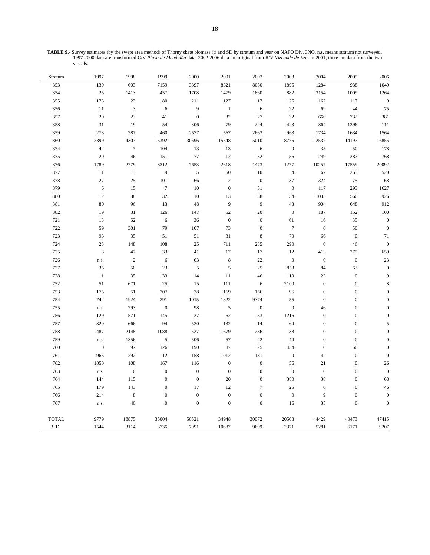**TABLE 9.-** Survey estimates (by the swept area method) of Thorny skate biomass (t) and SD by stratum and year on NAFO Div. 3NO. n.s. means stratum not surveyed. 1997-2000 data are transformed C/V *Playa de Menduíña* data. 2002-2006 data are original from R/V *Vizconde de Eza*. In 2001, there are data from the two vessels.

| Stratum      | 1997             | 1998             | 1999             | 2000             | 2001             | 2002             | 2003             | 2004             | 2005             | 2006             |
|--------------|------------------|------------------|------------------|------------------|------------------|------------------|------------------|------------------|------------------|------------------|
| 353          | 139              | 603              | 7159             | 3397             | 8321             | 8050             | 1895             | 1284             | 938              | 1049             |
| 354          | 25               | 1413             | 457              | 1708             | 1479             | 1860             | 882              | 3154             | 1009             | 1264             |
| 355          | 173              | 23               | 80               | 211              | 127              | 17               | 126              | 162              | 117              | $\boldsymbol{9}$ |
| 356          | 11               | $\mathfrak{Z}$   | 6                | $\overline{9}$   | $\mathbf{1}$     | $\sqrt{6}$       | $22\,$           | 69               | 44               | 75               |
| 357          | 20               | 23               | 41               | $\boldsymbol{0}$ | 32               | 27               | 32               | 660              | 732              | 381              |
| 358          | 31               | 19               | 54               | 306              | 79               | 224              | 423              | 864              | 1396             | 111              |
| 359          | 273              | 287              | 460              | 2577             | 567              | 2663             | 963              | 1734             | 1634             | 1564             |
| 360          | 2399             | 4307             | 15392            | 30696            | 15548            | 5010             | 8775             | 22537            | 14197            | 16855            |
| 374          | 42               | $\boldsymbol{7}$ | 104              | 13               | 13               | $\sqrt{6}$       | $\boldsymbol{0}$ | 35               | 50               | 178              |
| 375          | 20               | 46               | 151              | $77\,$           | 12               | 32               | 56               | 249              | 287              | 768              |
| 376          | 1789             | 2779             | 8312             | 7653             | 2618             | 1473             | 1277             | 10257            | 17559            | 20092            |
| 377          | $11\,$           | $\mathfrak{Z}$   | 9                | $\sqrt{5}$       | 50               | $10\,$           | $\sqrt{4}$       | 67               | 253              | 520              |
| 378          | 27               | 25               | 101              | 66               | $\sqrt{2}$       | $\boldsymbol{0}$ | 37               | 324              | 75               | 68               |
| 379          | 6                | 15               | $\boldsymbol{7}$ | 10               | $\mathbf{0}$     | 51               | $\boldsymbol{0}$ | 117              | 293              | 1627             |
| 380          | 12               | 38               | 32               | 10               | 13               | 38               | 34               | 1035             | 560              | 926              |
| 381          | 80               | 96               | 13               | $48\,$           | 9                | 9                | 43               | 904              | 648              | 912              |
| 382          | 19               | 31               | 126              | 147              | 52               | 20               | $\boldsymbol{0}$ | 187              | 152              | $100\,$          |
| 721          | 13               | 52               | 6                | 36               | $\boldsymbol{0}$ | $\boldsymbol{0}$ | 61               | 16               | 35               | $\boldsymbol{0}$ |
| 722          | 59               | 301              | 79               | 107              | 73               | $\boldsymbol{0}$ | $\boldsymbol{7}$ | $\boldsymbol{0}$ | 50               | $\boldsymbol{0}$ |
| 723          | 93               | 35               | 51               | 51               | 31               | $\,8\,$          | $70\,$           | 66               | $\boldsymbol{0}$ | $71\,$           |
| 724          | 23               | 148              | 108              | $25\,$           | 711              | 285              | 290              | $\boldsymbol{0}$ | 46               | $\boldsymbol{0}$ |
| 725          | $\overline{3}$   | 47               | 33               | 41               | 17               | 17               | 12               | 413              | 275              | 659              |
| 726          | n.s.             | $\sqrt{2}$       | 6                | 63               | $\,8\,$          | $22\,$           | $\boldsymbol{0}$ | $\boldsymbol{0}$ | $\boldsymbol{0}$ | $23\,$           |
| 727          | 35               | 50               | 23               | $\sqrt{5}$       | $\sqrt{5}$       | 25               | 853              | 84               | 63               | $\boldsymbol{0}$ |
| 728          | 11               | 35               | 33               | 14               | 11               | 46               | 119              | 23               | $\boldsymbol{0}$ | 9                |
| 752          | 51               | 671              | 25               | 15               | 111              | 6                | 2100             | $\mathbf{0}$     | $\boldsymbol{0}$ | $\,$ 8 $\,$      |
| 753          | 175              | 51               | 207              | 38               | 169              | 156              | 96               | $\boldsymbol{0}$ | $\boldsymbol{0}$ | $\boldsymbol{0}$ |
| 754          | 742              | 1924             | 291              | 1015             | 1822             | 9374             | 55               | $\boldsymbol{0}$ | $\boldsymbol{0}$ | $\boldsymbol{0}$ |
| 755          | n.s.             | 293              | $\boldsymbol{0}$ | 98               | $\sqrt{5}$       | $\mathbf{0}$     | $\boldsymbol{0}$ | 46               | $\boldsymbol{0}$ | $\boldsymbol{0}$ |
| 756          | 129              | 571              | 145              | 37               | 62               | 83               | 1216             | $\boldsymbol{0}$ | $\boldsymbol{0}$ | $\boldsymbol{0}$ |
| 757          | 329              | 666              | 94               | 530              | 132              | 14               | 64               | $\boldsymbol{0}$ | $\boldsymbol{0}$ | 5                |
| 758          | 487              | 2148             | 1088             | 527              | 1679             | 286              | 38               | $\boldsymbol{0}$ | $\boldsymbol{0}$ | $\boldsymbol{0}$ |
| 759          | n.s.             | 1356             | $\mathfrak{S}$   | 506              | 57               | 42               | 44               | $\boldsymbol{0}$ | $\boldsymbol{0}$ | $\boldsymbol{0}$ |
| 760          | $\boldsymbol{0}$ | 97               | 126              | 190              | 87               | 25               | 434              | $\boldsymbol{0}$ | 60               | $\boldsymbol{0}$ |
| 761          | 965              | 292              | 12               | 158              | 1012             | 181              | $\boldsymbol{0}$ | 42               | $\boldsymbol{0}$ | $\boldsymbol{0}$ |
| 762          | 1050             | 108              | 167              | 116              | $\mathbf{0}$     | $\boldsymbol{0}$ | 56               | $21\,$           | $\boldsymbol{0}$ | $26\,$           |
| 763          | n.s.             | $\boldsymbol{0}$ | $\boldsymbol{0}$ | $\mathbf{0}$     | $\boldsymbol{0}$ | $\boldsymbol{0}$ | $\boldsymbol{0}$ | $\boldsymbol{0}$ | $\boldsymbol{0}$ | $\boldsymbol{0}$ |
| 764          | 144              | 115              | $\mathbf{0}$     | $\boldsymbol{0}$ | 20               | $\boldsymbol{0}$ | 380              | 38               | $\boldsymbol{0}$ | 68               |
| 765          | 179              | 143              | $\mathbf{0}$     | 17               | 12               | $\boldsymbol{7}$ | 25               | $\boldsymbol{0}$ | $\boldsymbol{0}$ | 46               |
| 766          | 214              | $\,8\,$          | $\mathbf{0}$     | $\boldsymbol{0}$ | $\boldsymbol{0}$ | $\boldsymbol{0}$ | $\boldsymbol{0}$ | 9                | $\boldsymbol{0}$ | $\boldsymbol{0}$ |
| 767          | n.s.             | 40               | $\overline{0}$   | $\mathbf{0}$     | $\overline{0}$   | $\overline{0}$   | 16               | 35               | $\mathbf{0}$     | $\boldsymbol{0}$ |
| <b>TOTAL</b> | 9779             | 18875            | 35004            | 50521            | 34948            | 30072            | 20508            | 44429            | 40473            | 47415            |
| S.D.         | 1544             | 3114             | 3736             | 7991             | 10687            | 9699             | 2371             | 5281             | 6171             | 9207             |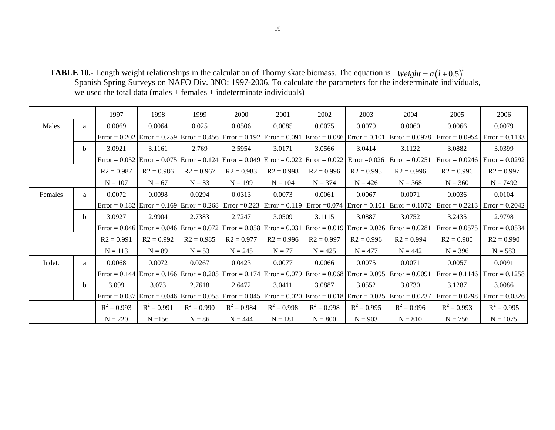**TABLE 10.-** Length weight relationships in the calculation of Thorny skate biomass. The equation is Spanish Spring Surveys on NAFO Div. 3NO: 1997-2006. To calculate the parameters for the indeterminate individuals, we used the total data (males + females + indeterminate individuals)  $Weight = a(l+0.5)^{b}$ 

|         |   | 1997            | 1998                                                                            | 1999          | 2000          | 2001          | 2002          | 2003                                                                                            | 2004                                                                                                                                             | 2005             | 2006             |
|---------|---|-----------------|---------------------------------------------------------------------------------|---------------|---------------|---------------|---------------|-------------------------------------------------------------------------------------------------|--------------------------------------------------------------------------------------------------------------------------------------------------|------------------|------------------|
| Males   | a | 0.0069          | 0.0064                                                                          | 0.025         | 0.0506        | 0.0085        | 0.0075        | 0.0079                                                                                          | 0.0060                                                                                                                                           | 0.0066           | 0.0079           |
|         |   |                 |                                                                                 |               |               |               |               |                                                                                                 | $Error = 0.202$ $Error = 0.259$ $Error = 0.456$ $Error = 0.192$ $Error = 0.091$ $Error = 0.086$ $Error = 0.101$ $Error = 0.0978$                 | $Error = 0.0954$ | $Error = 0.1133$ |
|         | b | 3.0921          | 3.1161                                                                          | 2.769         | 2.5954        | 3.0171        | 3.0566        | 3.0414                                                                                          | 3.1122                                                                                                                                           | 3.0882           | 3.0399           |
|         |   | $Error = 0.052$ |                                                                                 |               |               |               |               | Error = $0.075$ Error = $0.124$ Error = $0.049$ Error = $0.022$ Error = $0.022$ Error = $0.026$ | $Error = 0.0251$                                                                                                                                 | $Error = 0.0246$ | $Error = 0.0292$ |
|         |   | $R2 = 0.987$    | $R2 = 0.986$                                                                    | $R2 = 0.967$  | $R2 = 0.983$  | $R2 = 0.998$  | $R2 = 0.996$  | $R2 = 0.995$                                                                                    | $R2 = 0.996$                                                                                                                                     | $R2 = 0.996$     | $R2 = 0.997$     |
|         |   | $N = 107$       | $N = 67$                                                                        | $N = 33$      | $N = 199$     | $N = 104$     | $N = 374$     | $N = 426$                                                                                       | $N = 368$                                                                                                                                        | $N = 360$        | $N = 7492$       |
| Females | a | 0.0072          | 0.0098                                                                          | 0.0294        | 0.0313        | 0.0073        | 0.0061        | 0.0067                                                                                          | 0.0071                                                                                                                                           | 0.0036           | 0.0104           |
|         |   |                 | $Error = 0.182$ $Error = 0.169$ $Error = 0.268$ $Error = 0.223$ $Error = 0.119$ |               |               |               |               |                                                                                                 | $Error = 0.074$ $Error = 0.101$ $Error = 0.1072$                                                                                                 | $Error = 0.2213$ | $Error = 0.2042$ |
|         | b | 3.0927          | 2.9904                                                                          | 2.7383        | 2.7247        | 3.0509        | 3.1115        | 3.0887                                                                                          | 3.0752                                                                                                                                           | 3.2435           | 2.9798           |
|         |   |                 |                                                                                 |               |               |               |               |                                                                                                 | Error = 0.046 Error = 0.046 Error = 0.072 Error = 0.058 Error = 0.031 Error = 0.019 Error = 0.026 Error = 0.0281                                 | $Error = 0.0575$ | $Error = 0.0534$ |
|         |   | $R2 = 0.991$    | $R2 = 0.992$                                                                    | $R2 = 0.985$  | $R2 = 0.977$  | $R2 = 0.996$  | $R2 = 0.997$  | $R2 = 0.996$                                                                                    | $R2 = 0.994$                                                                                                                                     | $R2 = 0.980$     | $R2 = 0.990$     |
|         |   | $N = 113$       | $N = 89$                                                                        | $N = 53$      | $N = 245$     | $N = 77$      | $N = 425$     | $N = 477$                                                                                       | $N = 442$                                                                                                                                        | $N = 396$        | $N = 583$        |
| Indet.  | a | 0.0068          | 0.0072                                                                          | 0.0267        | 0.0423        | 0.0077        | 0.0066        | 0.0075                                                                                          | 0.0071                                                                                                                                           | 0.0057           | 0.0091           |
|         |   |                 |                                                                                 |               |               |               |               |                                                                                                 | Error = $0.144$ Error = $0.166$ Error = $0.205$ Error = $0.174$ Error = $0.079$ Error = $0.068$ Error = $0.095$ Error = $0.0091$                 | $Error = 0.1146$ | $Error = 0.1258$ |
|         | b | 3.099           | 3.073                                                                           | 2.7618        | 2.6472        | 3.0411        | 3.0887        | 3.0552                                                                                          | 3.0730                                                                                                                                           | 3.1287           | 3.0086           |
|         |   |                 |                                                                                 |               |               |               |               |                                                                                                 | Error = $0.037$ Error = $0.046$ Error = $0.055$ Error = $0.045$ Error = $0.020$ Error = $0.018$ Error = $0.025$ Error = $0.025$ Error = $0.0237$ | $Error = 0.0298$ | $Error = 0.0326$ |
|         |   | $R^2 = 0.993$   | $R^2 = 0.991$                                                                   | $R^2 = 0.990$ | $R^2 = 0.984$ | $R^2 = 0.998$ | $R^2 = 0.998$ | $R^2 = 0.995$                                                                                   | $R^2 = 0.996$                                                                                                                                    | $R^2 = 0.993$    | $R^2 = 0.995$    |
|         |   | $N = 220$       | $N = 156$                                                                       | $N = 86$      | $N = 444$     | $N = 181$     | $N = 800$     | $N = 903$                                                                                       | $N = 810$                                                                                                                                        | $N = 756$        | $N = 1075$       |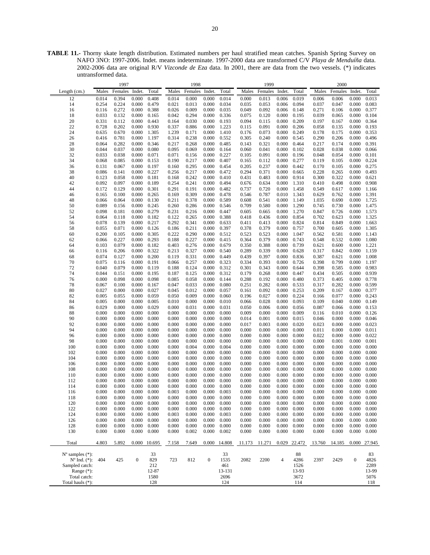**TABLE 11.-** Thorny skate length distribution. Estimated numbers per haul stratified mean catches. Spanish Spring Survey on NAFO 3NO: 1997-2006. Indet. means indeterminate. 1997-2000 data are transformed C/V *Playa de Menduíña* data. 2002-2006 data are original R/V *Vizconde de Eza* data. In 2001, there are data from the two vessels. (\*) indicates untransformed data.

| 1997                        |       |         |                  |              | 1998  |         |                  |        | 1999   |         |                |        | 2000   |         |                  |        |
|-----------------------------|-------|---------|------------------|--------------|-------|---------|------------------|--------|--------|---------|----------------|--------|--------|---------|------------------|--------|
| Length $(cm.)$              | Males | Females | Indet.           | Total        | Males | Females | Indet.           | Total  | Males  | Females | Indet.         | Total  | Males  | Females | Indet.           | Total  |
| 12                          | 0.014 | 0.394   | 0.000            | 0.408        | 0.014 | 0.000   | 0.000            | 0.014  | 0.000  | 0.013   | 0.006          | 0.019  | 0.006  | 0.006   | 0.000            | 0.013  |
|                             |       |         |                  |              |       |         |                  |        |        |         |                |        |        |         |                  |        |
| 14                          | 0.254 | 0.224   | 0.000            | 0.479        | 0.021 | 0.013   | 0.000            | 0.034  | 0.035  | 0.053   | 0.006          | 0.094  | 0.037  | 0.047   | 0.000            | 0.083  |
| 16                          | 0.116 | 0.272   | 0.000            | 0.388        | 0.026 | 0.009   | 0.000            | 0.035  | 0.049  | 0.092   | 0.006          | 0.148  | 0.271  | 0.106   | 0.000            | 0.377  |
| 18                          | 0.033 | 0.132   | 0.000            | 0.165        | 0.042 | 0.294   | 0.000            | 0.336  | 0.075  | 0.120   | 0.000          | 0.195  | 0.039  | 0.065   | 0.000            | 0.104  |
| $20\,$                      | 0.331 | 0.112   | 0.000            | 0.443        | 0.164 | 0.030   | 0.000            | 0.193  | 0.094  | 0.115   | 0.000          | 0.209  | 0.197  | 0.167   | 0.000            | 0.364  |
| 22                          | 0.728 | 0.202   | 0.000            | 0.930        | 0.337 | 0.886   | 0.000            | 1.223  | 0.115  | 0.091   | 0.000          | 0.206  | 0.058  | 0.135   | 0.000            | 0.193  |
| 24                          | 0.635 | 0.670   | 0.000            | 1.305        | 1.239 | 0.171   | 0.000            | 1.410  | 0.176  | 0.073   | 0.000          | 0.249  | 0.178  | 0.175   | 0.000            | 0.353  |
| 26                          | 0.416 | 0.781   | 0.000            | 1.197        | 0.314 | 0.238   | 0.000            | 0.552  | 0.305  | 0.240   | 0.000          | 0.545  | 0.290  | 0.206   | 0.000            | 0.496  |
| 28                          | 0.064 | 0.282   | 0.000            | 0.346        | 0.217 | 0.268   | 0.000            | 0.485  | 0.143  | 0.321   | 0.000          | 0.464  | 0.217  | 0.174   | 0.000            | 0.391  |
| 30                          | 0.044 | 0.037   | 0.000            | 0.080        | 0.095 | 0.069   | 0.000            | 0.164  | 0.060  | 0.041   | 0.000          | 0.102  | 0.028  | 0.038   | 0.000            | 0.066  |
| 32                          | 0.033 | 0.038   | 0.000            | 0.071        | 0.071 | 0.156   | 0.000            | 0.227  | 0.105  | 0.091   | 0.000          | 0.196  | 0.048  | 0.054   | 0.000            | 0.101  |
| 34                          | 0.068 | 0.085   | 0.000            | 0.153        | 0.190 | 0.217   | 0.000            | 0.407  | 0.165  | 0.112   | 0.000          | 0.277  | 0.119  | 0.105   | 0.000            | 0.224  |
| 36                          | 0.131 | 0.067   | 0.000            | 0.197        | 0.160 | 0.295   | 0.000            | 0.454  | 0.205  | 0.237   | 0.000          | 0.442  | 0.170  | 0.105   | 0.000            | 0.275  |
| 38                          | 0.086 | 0.141   | 0.000            | 0.227        | 0.256 | 0.217   | 0.000            | 0.472  | 0.294  | 0.371   | 0.000          | 0.665  | 0.228  | 0.265   | 0.000            | 0.493  |
| 40                          | 0.123 | 0.058   | 0.000            | 0.181        | 0.168 | 0.242   | 0.000            | 0.410  | 0.431  | 0.483   | 0.000          | 0.914  | 0.300  | 0.322   | 0.000            | 0.621  |
| 42                          | 0.092 | 0.097   | 0.000            | 0.189        | 0.254 | 0.241   | 0.000            | 0.494  | 0.676  | 0.634   | 0.000          | 1.310  | 0.410  | 0.498   | 0.000            | 0.908  |
| 44                          | 0.172 | 0.129   | 0.000            | 0.301        | 0.291 | 0.191   | 0.000            | 0.482  | 0.737  | 0.720   | 0.000          | 1.458  | 0.549  | 0.617   | 0.000            | 1.166  |
|                             |       |         |                  |              |       |         |                  |        |        |         |                |        |        |         |                  |        |
| 46                          | 0.165 | 0.100   | 0.000            | 0.265        | 0.169 | 0.309   | 0.000            | 0.478  | 0.546  | 0.787   | 0.010          | 1.343  | 0.629  | 0.762   | 0.000            | 1.391  |
| 48                          | 0.066 | 0.064   | 0.000            | 0.130        | 0.211 | 0.378   | 0.000            | 0.589  | 0.608  | 0.541   | 0.000          | 1.149  | 1.035  | 0.690   | 0.000            | 1.725  |
| 50                          | 0.089 | 0.156   | 0.000            | 0.245        | 0.260 | 0.286   | 0.000            | 0.546  | 0.709  | 0.580   | 0.000          | 1.290  | 0.745  | 0.730   | 0.000            | 1.475  |
| 52                          | 0.098 | 0.181   | 0.000            | 0.279        | 0.231 | 0.216   | 0.000            | 0.447  | 0.605  | 0.665   | 0.000          | 1.270  | 0.847  | 0.726   | 0.000            | 1.573  |
| 54                          | 0.064 | 0.118   | 0.000            | 0.182        | 0.122 | 0.265   | 0.000            | 0.388  | 0.418  | 0.436   | 0.000          | 0.854  | 0.702  | 0.623   | 0.000            | 1.325  |
| 56                          | 0.078 | 0.139   | 0.000            | 0.217        | 0.292 | 0.341   | 0.000            | 0.633  | 0.411  | 0.413   | 0.000          | 0.824  | 0.814  | 0.849   | 0.000            | 1.663  |
| 58                          | 0.055 | 0.071   | 0.000            | 0.126        | 0.186 | 0.211   | 0.000            | 0.397  | 0.378  | 0.379   | 0.000          | 0.757  | 0.700  | 0.605   | 0.000            | 1.305  |
| 60                          | 0.200 | 0.105   | 0.000            | 0.305        | 0.222 | 0.290   | 0.000            | 0.512  | 0.523  | 0.523   | 0.000          | 1.047  | 0.562  | 0.581   | 0.000            | 1.143  |
| 62                          | 0.066 | 0.227   | 0.000            | 0.293        | 0.188 | 0.227   | 0.000            | 0.415  | 0.364  | 0.379   | 0.000          | 0.743  | 0.548  | 0.532   | 0.000            | 1.080  |
| 64                          | 0.103 | 0.079   | 0.000            | 0.182        | 0.403 | 0.276   | 0.000            | 0.679  | 0.350  | 0.388   | 0.000          | 0.739  | 0.621  | 0.600   | 0.000            | 1.221  |
| 66                          | 0.116 | 0.206   | 0.000            | 0.322        | 0.213 | 0.327   | 0.000            | 0.540  | 0.289  | 0.339   | 0.000          | 0.628  | 0.317  | 0.842   | 0.000            | 1.159  |
| 68                          | 0.074 | 0.127   | 0.000            | 0.200        | 0.119 | 0.331   | 0.000            | 0.449  | 0.439  | 0.397   | 0.000          | 0.836  | 0.387  | 0.621   | 0.000            | 1.008  |
| 70                          | 0.075 | 0.116   | 0.000            | 0.191        | 0.066 | 0.257   | 0.000            | 0.323  | 0.334  | 0.393   | 0.000          | 0.726  | 0.398  | 0.799   | 0.000            | 1.197  |
| 72                          | 0.040 | 0.079   | 0.000            | 0.119        | 0.188 | 0.124   | 0.000            | 0.312  | 0.301  | 0.343   | 0.000          | 0.644  | 0.398  | 0.585   | 0.000            | 0.983  |
| 74                          | 0.044 | 0.151   | 0.000            | 0.195        | 0.187 | 0.125   | 0.000            | 0.312  | 0.179  | 0.268   | 0.000          | 0.447  | 0.434  | 0.505   | 0.000            | 0.939  |
| 76                          | 0.000 | 0.098   | 0.000            | 0.098        | 0.085 | 0.058   | 0.000            | 0.144  | 0.288  | 0.192   | 0.000          | 0.480  | 0.373  | 0.405   | 0.000            | 0.778  |
| 78                          | 0.067 | 0.100   | 0.000            | 0.167        | 0.047 | 0.033   | 0.000            | 0.080  | 0.251  | 0.282   | 0.000          | 0.533  | 0.317  | 0.282   | 0.000            | 0.599  |
|                             |       |         |                  |              |       |         |                  |        |        |         |                |        |        |         |                  | 0.377  |
| 80                          | 0.027 | 0.000   | 0.000            | 0.027        | 0.045 | 0.012   | 0.000            | 0.057  | 0.161  | 0.092   | 0.000          | 0.253  | 0.209  | 0.167   | 0.000            |        |
| 82                          | 0.005 | 0.055   | 0.000            | 0.059        | 0.050 | 0.009   | 0.000            | 0.060  | 0.196  | 0.027   | 0.000          | 0.224  | 0.166  | 0.077   | 0.000            | 0.243  |
| 84                          | 0.005 | 0.000   | 0.000            | 0.005        | 0.010 | 0.000   | 0.000            | 0.010  | 0.066  | 0.028   | 0.000          | 0.093  | 0.109  | 0.040   | 0.000            | 0.149  |
| 86                          | 0.029 | 0.000   | 0.000            | 0.029        | 0.000 | 0.031   | 0.000            | 0.031  | 0.050  | 0.006   | 0.000          | 0.056  | 0.087  | 0.066   | 0.000            | 0.153  |
| $88\,$                      | 0.000 | 0.000   | 0.000            | 0.000        | 0.000 | 0.000   | 0.000            | 0.000  | 0.009  | 0.000   | 0.000          | 0.009  | 0.116  | 0.010   | 0.000            | 0.126  |
| 90                          | 0.000 | 0.000   | 0.000            | 0.000        | 0.000 | 0.000   | 0.000            | 0.000  | 0.014  | 0.001   | 0.000          | 0.015  | 0.046  | 0.000   | 0.000            | 0.046  |
| 92                          | 0.000 | 0.000   | 0.000            | 0.000        | 0.000 | 0.000   | 0.000            | 0.000  | 0.017  | 0.003   | 0.000          | 0.020  | 0.023  | 0.000   | 0.000            | 0.023  |
| 94                          | 0.000 | 0.000   | 0.000            | 0.000        | 0.000 | 0.000   | 0.000            | 0.000  | 0.000  | 0.000   | 0.000          | 0.000  | 0.011  | 0.000   | 0.000            | 0.011  |
| 96                          | 0.000 | 0.000   | 0.000            | 0.000        | 0.000 | 0.000   | 0.000            | 0.000  | 0.000  | 0.000   | 0.000          | 0.000  | 0.022  | 0.000   | 0.000            | 0.022  |
| 98                          | 0.000 | 0.000   | 0.000            | 0.000        | 0.000 | 0.000   | 0.000            | 0.000  | 0.000  | 0.000   | 0.000          | 0.000  | 0.000  | 0.001   | 0.000            | 0.001  |
| 100                         | 0.000 | 0.000   | 0.000            | 0.000        | 0.000 | 0.004   | 0.000            | 0.004  | 0.000  | 0.000   | 0.000          | 0.000  | 0.000  | 0.000   | 0.000            | 0.000  |
| 102                         | 0.000 | 0.000   | 0.000            | 0.000        | 0.000 | 0.000   | 0.000            | 0.000  | 0.000  | 0.000   | 0.000          | 0.000  | 0.000  | 0.000   | 0.000            | 0.000  |
| 104                         | 0.000 | 0.000   | 0.000            | 0.000        | 0.000 | 0.000   | 0.000            | 0.000  | 0.000  | 0.000   | 0.000          | 0.000  | 0.000  | 0.000   | 0.000            | 0.000  |
| 106                         | 0.000 | 0.000   | 0.000            | 0.000        | 0.000 | 0.000   | 0.000            | 0.000  | 0.000  | 0.000   | 0.000          | 0.000  | 0.000  | 0.000   | 0.000            | 0.000  |
| 108                         | 0.000 | 0.000   | 0.000            | 0.000        | 0.000 | 0.000   | 0.000            | 0.000  | 0.000  | 0.000   | 0.000          | 0.000  | 0.000  | 0.000   | 0.000            | 0.000  |
| 110                         | 0.000 | 0.000   | 0.000            | 0.000        | 0.000 | 0.000   | 0.000            | 0.000  | 0.000  | 0.000   | 0.000          | 0.000  | 0.000  | 0.000   | 0.000            | 0.000  |
| 112                         | 0.000 | 0.000   | 0.000            | 0.000        | 0.000 | 0.000   | 0.000            | 0.000  | 0.000  | 0.000   | 0.000          | 0.000  | 0.000  | 0.000   | 0.000            | 0.000  |
| 114                         | 0.000 | 0.000   | 0.000            | 0.000        | 0.000 | 0.000   | 0.000            | 0.000  | 0.000  | 0.000   | 0.000          | 0.000  | 0.000  | 0.000   | 0.000            | 0.000  |
| 116                         | 0.000 | 0.000   | 0.000            | 0.000        | 0.003 | 0.000   | 0.000            | 0.003  | 0.000  | 0.000   | 0.000          | 0.000  | 0.000  | 0.000   | 0.000            | 0.000  |
| 118                         | 0.000 | 0.000   | 0.000            | 0.000        | 0.000 | 0.000   | 0.000            | 0.000  | 0.000  | 0.000   | 0.000          | 0.000  | 0.000  | 0.000   | 0.000            | 0.000  |
| 120                         | 0.000 | 0.000   | 0.000            | 0.000        | 0.000 | 0.000   | 0.000            | 0.000  | 0.000  | 0.000   | 0.000          | 0.000  | 0.000  | 0.000   | 0.000            | 0.000  |
|                             | 0.000 |         |                  | 0.000        |       | 0.000   |                  |        |        |         |                |        |        | 0.000   | 0.000            | 0.000  |
| 122                         |       | 0.000   | 0.000            |              | 0.000 |         | 0.000            | 0.000  | 0.000  | 0.000   | 0.000          | 0.000  | 0.000  |         |                  |        |
| 124                         | 0.000 | 0.000   | 0.000            | 0.000        | 0.003 | 0.000   | 0.000            | 0.003  | 0.000  | 0.000   | 0.000          | 0.000  | 0.000  | 0.000   | 0.000            | 0.000  |
| 126                         | 0.000 | 0.000   | 0.000            | 0.000        | 0.000 | 0.000   | 0.000            | 0.000  | 0.000  | 0.000   | 0.000          | 0.000  | 0.000  | 0.000   | 0.000            | 0.000  |
| 128                         | 0.000 | 0.000   | 0.000            | 0.000        | 0.000 | 0.000   | 0.000            | 0.000  | 0.000  | 0.000   | 0.000          | 0.000  | 0.000  | 0.000   | 0.000            | 0.000  |
| 130                         | 0.000 | 0.000   | 0.000            | 0.000        | 0.000 | 0.002   | 0.000            | 0.002  | 0.000  | 0.000   | 0.000          | 0.000  | 0.000  | 0.000   | 0.000            | 0.000  |
| Total                       | 4.803 | 5.892   |                  | 0.000 10.695 | 7.158 | 7.649   | 0.000            | 14.808 | 11.173 | 11.271  | 0.029          | 22.472 | 13.760 | 14.185  | 0.000            | 27.945 |
| $N^{\circ}$ samples $(*)$ : |       |         |                  | 33           |       |         |                  | 33     |        |         |                | 88     |        |         |                  | 83     |
| $N^{\circ}$ Ind. $(*)$ :    | 404   | 425     | $\boldsymbol{0}$ | 829          | 723   | 812     | $\boldsymbol{0}$ | 1535   | 2082   | 2200    | $\overline{4}$ | 4286   | 2397   | 2429    | $\boldsymbol{0}$ | 4826   |
| Sampled catch:              |       |         |                  | 212          |       |         |                  | 461    |        |         |                | 1526   |        |         |                  | 2289   |
| Range $(*)$ :               |       |         |                  | 12-87        |       |         |                  | 13-131 |        |         |                | 13-93  |        |         |                  | 13-99  |
| Total catch:                |       |         |                  | 1580         |       |         |                  | 2696   |        |         |                | 3672   |        |         |                  | 5076   |
| Total hauls (*):            |       |         |                  | 128          |       |         |                  | 124    |        |         |                | 114    |        |         |                  | 118    |
|                             |       |         |                  |              |       |         |                  |        |        |         |                |        |        |         |                  |        |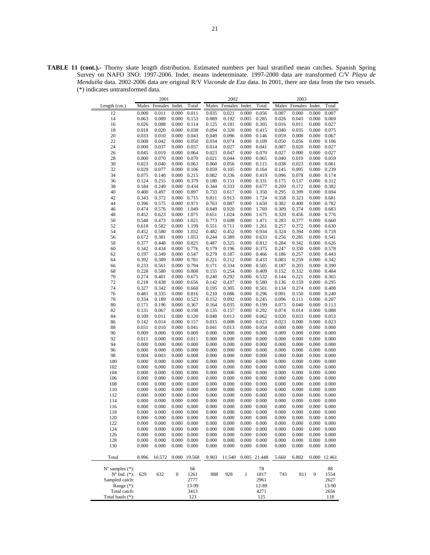**TABLE 11 (cont.).-** Thorny skate length distribution. Estimated numbers per haul stratified mean catches. Spanish Spring Survey on NAFO 3NO: 1997-2006. Indet. means indeterminate. 1997-2000 data are transformed C/V *Playa de Menduíña* data. 2002-2006 data are original R/V *Vizconde de Eza* data. In 2001, there are data from the two vessels. (\*) indicates untransformed data.

|                             | 2001      |         |                  |                     |           | 2002    |        |              |           | 2003           |                     |                     |
|-----------------------------|-----------|---------|------------------|---------------------|-----------|---------|--------|--------------|-----------|----------------|---------------------|---------------------|
| Length (cm.)                | Males     | Females | Indet.           | Total               | Males     | Females | Indet. | Total        | Males     | Females Indet. |                     | Total               |
| 12                          | 0.000     | 0.011   | 0.000            | 0.011               | 0.035     | 0.021   | 0.000  | 0.056        | 0.007     | 0.000          | 0.000               | 0.007               |
| 14                          | 0.063     | 0.089   | 0.000            | 0.153               | 0.089     | 0.192   | 0.005  | 0.285        | 0.026     | 0.043          | 0.000               | 0.069               |
| 16                          | 0.026     | 0.088   | 0.000            | 0.114               | 0.125     | 0.181   | 0.000  | 0.305        | 0.016     | 0.011          | 0.000               | 0.027               |
| 18                          | 0.018     | 0.020   | 0.000            | 0.038               | 0.094     | 0.320   | 0.000  | 0.415        | 0.040     | 0.035          | 0.000               | 0.075               |
| 20                          | 0.033     | 0.010   | 0.000            | 0.043               | 0.049     | 0.096   | 0.000  | 0.146        | 0.059     | 0.008          | 0.000               | 0.067               |
| 22                          | 0.008     | 0.042   | 0.000            | 0.050               | 0.034     | 0.074   | 0.000  | 0.109        | 0.050     | 0.056          | 0.000               | 0.106               |
| 24                          | 0.000     | 0.037   | 0.000            | 0.037               | 0.014     | 0.027   | 0.000  | 0.041        | 0.007     | 0.020          | 0.000               | 0.027               |
| 26                          | 0.045     | 0.019   | 0.000            | 0.064               | 0.023     | 0.047   | 0.000  | 0.070        | 0.027     | 0.000          | 0.000               | 0.027               |
| 28                          | 0.000     | 0.070   | 0.000            | 0.070               | 0.021     | 0.044   | 0.000  | 0.065        | 0.040     | 0.019          | 0.000               | 0.059               |
| 30                          | 0.023     | 0.040   | 0.000            | 0.063               | 0.060     | 0.056   | 0.000  | 0.115        | 0.038     | 0.023          | 0.000               | 0.061               |
| 32                          | 0.029     | 0.077   | 0.000            | 0.106               | 0.059     | 0.105   | 0.000  | 0.164        | 0.145     | 0.095          | 0.000               | 0.239               |
| 34                          | 0.075     | 0.140   | 0.000            | 0.215               | 0.082     | 0.336   | 0.000  | 0.419        | 0.096     | 0.078          | 0.000               | 0.174               |
| 36                          | 0.124     | 0.255   | 0.000            | 0.379               | 0.180     | 0.151   | 0.000  | 0.331        | 0.175     | 0.137          | 0.000               | 0.312               |
| 38                          | 0.184     | 0.249   | 0.000            | 0.434               | 0.344     | 0.333   | 0.000  | 0.677        | 0.209     | 0.172          | 0.000               | 0.382               |
| 40                          | 0.400     | 0.497   | 0.000            | 0.897               | 0.733     | 0.617   | 0.000  | 1.350        | 0.295     | 0.399          | 0.000               | 0.694               |
| 42                          | 0.343     | 0.372   | 0.000            | 0.715               | 0.811     | 0.913   | 0.000  | 1.724        | 0.358     | 0.323          | 0.000               | 0.681               |
| 44                          | 0.396     | 0.575   | 0.000            | 0.971               | 0.763     | 0.887   | 0.000  | 1.650        | 0.382     | 0.400          | 0.000               | 0.782               |
| 46                          | 0.474     | 0.576   | 0.000            | 1.049               | 0.849     | 0.920   | 0.000  | 1.769        | 0.309     | 0.374          | 0.000               | 0.683               |
| 48                          | 0.452     | 0.623   | 0.000            | 1.075               | 0.651     | 1.024   | 0.000  | 1.675        | 0.320     | 0.456          | 0.000               | 0.776               |
| 50                          | 0.548     | 0.473   | 0.000            | 1.021               | 0.773     | 0.698   | 0.000  | 1.471        | 0.283     | 0.377          | 0.000               | 0.660               |
| 52                          | 0.618     | 0.582   | 0.000            | 1.199               | 0.551     | 0.711   | 0.000  | 1.261        | 0.257     | 0.372          | 0.000               | 0.630               |
| 54                          | 0.452     | 0.580   | 0.000            | 1.032               | 0.482     | 0.452   | 0.000  | 0.934        | 0.324     | 0.394          | 0.000               | 0.718               |
| 56                          | 0.672     | 0.381   | 0.000            | 1.053               | 0.244     | 0.389   | 0.000  | 0.633        | 0.256     | 0.285          | 0.000               | 0.541               |
| 58                          | 0.377     | 0.448   | 0.000            | 0.825               | 0.487     | 0.325   | 0.000  | 0.812        | 0.284     | 0.342          | 0.000               | 0.626               |
| 60                          | 0.342     | 0.434   | 0.000            | 0.776               | 0.179     | 0.196   | 0.000  | 0.375        | 0.247     | 0.330          | 0.000               | 0.578               |
| 62                          | 0.197     | 0.349   | 0.000            | 0.547               | 0.279     | 0.187   | 0.000  | 0.466        | 0.186     | 0.257          | 0.000               | 0.443               |
| 64                          | 0.392     | 0.389   | 0.000            | 0.781               | 0.221     | 0.212   | 0.000  | 0.433        | 0.083     | 0.259          | 0.000               | 0.342               |
| 66                          | 0.233     | 0.561   | 0.000            | 0.794               | 0.171     | 0.334   | 0.000  | 0.505        | 0.187     | 0.203          | 0.000               | 0.390               |
| 68                          | 0.228     | 0.580   | 0.000            | 0.808               | 0.155     | 0.254   | 0.000  | 0.409        | 0.152     | 0.332          | 0.000               | 0.484               |
| 70                          | 0.274     | 0.401   | 0.000            | 0.675               | 0.240     | 0.292   | 0.000  | 0.532        | 0.144     | 0.221          | 0.000               | 0.365               |
| 72                          | 0.218     | 0.438   | 0.000            | 0.656               | 0.142     | 0.437   | 0.000  | 0.580        | 0.136     | 0.159          | 0.000               | 0.295               |
| 74                          | 0.327     | 0.342   | 0.000            | 0.668               | 0.195     | 0.305   | 0.000  | 0.501        | 0.134     | 0.274          | 0.000               | 0.408               |
| 76                          | 0.481     | 0.335   | 0.000            | 0.816               | 0.210     | 0.086   | 0.000  | 0.296        | 0.091     | 0.150          | 0.000               | 0.240               |
| 78                          | 0.334     | 0.189   | 0.000            | 0.523               | 0.152     | 0.092   | 0.000  | 0.245        | 0.096     | 0.111          | 0.000               | 0.207               |
| 80                          | 0.171     | 0.196   | 0.000            | 0.367               | 0.164     | 0.035   | 0.000  | 0.199        | 0.073     | 0.040          | 0.000               | 0.113               |
| 82                          | 0.131     | 0.067   | 0.000            | 0.198               | 0.135     | 0.157   | 0.000  | 0.292        | 0.074     | 0.014          | 0.000               | 0.088               |
| 84                          | 0.109     | 0.011   | 0.000            | 0.120               | 0.048     | 0.013   | 0.000  | 0.062        | 0.020     | 0.033          | 0.000               | 0.053               |
| 86                          | 0.142     | 0.014   | 0.000            | 0.157               | 0.015     | 0.008   | 0.000  | 0.023        | 0.023     | 0.000          | 0.000               | 0.023               |
| 88                          | 0.031     | 0.010   | 0.000            | 0.041               | 0.041     | 0.013   | 0.000  | 0.054        | 0.000     | 0.000          | 0.000               | 0.000               |
| 90                          | 0.009     | 0.000   | 0.000            | 0.009               | 0.000     | 0.000   | 0.000  | 0.000        | 0.009     | 0.000          | 0.000               | 0.009               |
| 92                          | 0.011     | 0.000   | 0.000            | 0.011               | 0.000     | 0.000   | 0.000  | 0.000        | 0.000     | 0.000          | 0.000               | 0.000               |
| 94                          | 0.000     | 0.000   | 0.000            | 0.000               | 0.000     | 0.000   | 0.000  | 0.000        | 0.000     | 0.000          | 0.000               | 0.000               |
| 96                          | 0.000     | 0.000   | 0.000            | 0.000               | 0.000     | 0.000   | 0.000  | 0.000        | 0.000     | 0.000          | 0.000               | 0.000               |
| 98                          | 0.004     | 0.003   | 0.000            | 0.008               | 0.000     | 0.000   | 0.000  | 0.000        | 0.000     | 0.000          | 0.000               | 0.000               |
| 100                         | 0.000     | 0.000   | 0.000            | 0.000               | 0.000     | 0.000   | 0.000  | 0.000        | 0.000     | 0.000          | 0.000               | 0.000               |
| 102                         | 0.000     | 0.000   | 0.000            | 0.000               | 0.000     | 0.000   | 0.000  | 0.000        | 0.000     | 0.000          | 0.000               | 0.000               |
| 104                         | 0.000     | 0.000   | 0.000            | 0.000               | 0.000     | 0.000   | 0.000  | 0.000        | 0.000     | 0.000          | 0.000               | 0.000               |
| 106                         | 0.000     | 0.000   | 0.000            | 0.000               | 0.000     | 0.000   | 0.000  | 0.000        | 0.000     | 0.000          | 0.000               | 0.000               |
| 108                         | 0.000     | 0.000   | 0.000            | 0.000               | 0.000     | 0.000   | 0.000  | 0.000        | 0.000     | 0.000          | 0.000               | 0.000               |
| 110                         | 0.000     | 0.000   | 0.000            | 0.000               | 0.000     | 0.000   | 0.000  | 0.000        | 0.000     | 0.000          | 0.000               | 0.000               |
| 112                         | 0.000     | 0.000   | 0.000            | 0.000               | 0.000     | 0.000   | 0.000  | 0.000        | 0.000     | 0.000          | 0.000               | 0.000               |
| 114                         | 0.000     | 0.000   | 0.000            | 0.000               | 0.000     | 0.000   | 0.000  | 0.000        | 0.000     | 0.000          | 0.000               | 0.000               |
| 116                         | 0.000     | 0.000   | 0.000            | 0.000               | 0.000     | 0.000   | 0.000  | 0.000        | 0.000     | 0.000          | 0.000               | 0.000               |
| 118                         | $0.000\,$ | 0.000   |                  | $0.000 \quad 0.000$ | $0.000\,$ | 0.000   | 0.000  | 0.000        | $0.000\,$ | 0.000          | $0.000 \quad 0.000$ |                     |
| 120                         | 0.000     | 0.000   | 0.000            | 0.000               | 0.000     | 0.000   | 0.000  | 0.000        | 0.000     | 0.000          |                     | $0.000 \quad 0.000$ |
| 122                         | 0.000     | 0.000   | 0.000            | 0.000               | 0.000     | 0.000   | 0.000  | 0.000        | 0.000     | 0.000          | 0.000               | 0.000               |
| 124                         | 0.000     | 0.000   | 0.000            | 0.000               | 0.000     | 0.000   | 0.000  | 0.000        | 0.000     | 0.000          | 0.000               | 0.000               |
| 126                         | 0.000     | 0.000   | 0.000            | 0.000               | 0.000     | 0.000   | 0.000  | 0.000        | 0.000     | 0.000          | 0.000               | 0.000               |
| 128                         | 0.000     | 0.000   | 0.000            | 0.000               | 0.000     | 0.000   | 0.000  | 0.000        | 0.000     | 0.000          | 0.000               | 0.000               |
| 130                         | 0.000     | 0.000   | 0.000            | $0.000\,$           | 0.000     | 0.000   | 0.000  | 0.000        | 0.000     | 0.000          | $0.000\,$           | 0.000               |
| Total                       | 8.996     | 10.572  |                  | 0.000 19.568        | 9.903     | 11.540  |        | 0.005 21.448 | 5.660     | 6.802          |                     | 0.000 12.461        |
| $N^{\circ}$ samples $(*)$ : |           |         |                  | 66                  |           |         |        | 78           |           |                |                     | 88                  |
| $N^{\circ}$ Ind. $(*)$ :    | 629       | 632     | $\boldsymbol{0}$ | 1261                | 888       | 928     | 1      | 1817         | 743       | 811            | $\boldsymbol{0}$    | 1554                |
| Sampled catch:              |           |         |                  | 2777                |           |         |        | 2961         |           |                |                     | 2627                |
| Range (*):                  |           |         |                  | 13-99               |           |         |        | 12-89        |           |                |                     | 13-90               |
| Total catch:                |           |         |                  | 3413                |           |         |        | 4271         |           |                |                     | 2656                |
| Total hauls (*):            |           |         |                  | 123                 |           |         |        | 125          |           |                |                     | 118                 |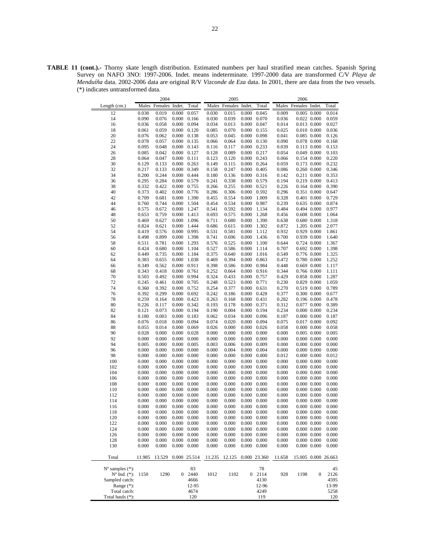**TABLE 11 (cont.).-** Thorny skate length distribution. Estimated numbers per haul stratified mean catches. Spanish Spring Survey on NAFO 3NO: 1997-2006. Indet. means indeterminate. 1997-2000 data are transformed C/V *Playa de Menduíña* data. 2002-2006 data are original R/V *Vizconde de Eza* data. In 2001, there are data from the two vessels. (\*) indicates untransformed data.

|                             | 2004   |                      |                     |                     |           | 2005           |       |                     |        | 2006                 |                  |                     |
|-----------------------------|--------|----------------------|---------------------|---------------------|-----------|----------------|-------|---------------------|--------|----------------------|------------------|---------------------|
| Length (cm.)                |        | Males Females Indet. |                     | Total               | Males     | Females Indet. |       | Total               |        | Males Females Indet. |                  | Total               |
| 12                          | 0.038  | 0.019                | 0.000               | 0.057               | 0.030     | 0.015          | 0.000 | 0.045               | 0.009  | 0.005 0.000          |                  | 0.014               |
| 14                          | 0.090  | 0.076                | 0.000               | 0.166               | 0.030     | 0.039          | 0.000 | 0.070               | 0.036  | 0.022 0.000          |                  | 0.059               |
| 16                          | 0.036  | 0.058                | 0.000 0.094         |                     | 0.034     | 0.013          | 0.000 | 0.047               | 0.014  | 0.013 0.000          |                  | 0.027               |
| 18                          | 0.061  | 0.059                |                     | $0.000 \quad 0.120$ | 0.085     | 0.070          | 0.000 | 0.155               | 0.025  | 0.010 0.000          |                  | 0.036               |
| 20                          | 0.076  | 0.062                | 0.000               | 0.138               | 0.053     | 0.045          | 0.000 | 0.098               | 0.041  | 0.085 0.000          |                  | 0.126               |
| 22                          | 0.078  | 0.057                | $0.000 \quad 0.135$ |                     | 0.066     | 0.064          | 0.000 | 0.130               | 0.090  | 0.078 0.000          |                  | 0.168               |
| 24                          | 0.095  | 0.048                | $0.000 \quad 0.143$ |                     | 0.116     | 0.117          | 0.000 | 0.233               | 0.039  | 0.113 0.000          |                  | 0.153               |
| 26                          | 0.085  | 0.042                | 0.000               | 0.127               | 0.128     | 0.089          | 0.000 | 0.217               | 0.054  | 0.049 0.000          |                  | 0.103               |
| 28                          | 0.064  | 0.047                | $0.000 \quad 0.111$ |                     | 0.123     | 0.120          | 0.000 | 0.243               | 0.066  | 0.154 0.000          |                  | 0.220               |
| 30                          | 0.129  | 0.133                | $0.000 \quad 0.263$ |                     | 0.149     | 0.115          | 0.000 | 0.264               | 0.059  | 0.173 0.000          |                  | 0.232               |
| 32                          | 0.217  | 0.133                | 0.000 0.349         |                     | 0.158     | 0.247          | 0.000 | 0.405               | 0.086  | 0.260 0.000          |                  | 0.346               |
| 34                          | 0.200  | 0.244                | 0.000 0.444         |                     | 0.180     | 0.136          | 0.000 | 0.316               | 0.142  | 0.211 0.000          |                  | 0.353               |
| 36                          | 0.295  | 0.284                | 0.000               | 0.579               | 0.241     | 0.338          | 0.000 | 0.579               | 0.194  | 0.219 0.000          |                  | 0.413               |
| 38                          | 0.332  | 0.422                | 0.000 0.755         |                     | 0.266     | 0.255          | 0.000 | 0.521               | 0.226  | 0.164 0.000          |                  | 0.390               |
| 40                          | 0.373  | 0.402                | 0.000 0.776         |                     | 0.286     | 0.306          | 0.000 | 0.592               | 0.296  | 0.351 0.000          |                  | 0.647               |
| 42                          | 0.709  | 0.681                | 0.000               | 1.390               | 0.455     | 0.554          | 0.000 | 1.009               | 0.328  | 0.401 0.000          |                  | 0.729               |
| 44                          | 0.760  | 0.744                | 0.000               | 1.504               | 0.454     | 0.534          | 0.000 | 0.987               | 0.239  | 0.635 0.000          |                  | 0.874               |
| 46                          | 0.575  | 0.672                | 0.000               | 1.247               | 0.541     | 0.592          | 0.000 | 1.134               | 0.484  | 0.494 0.000          |                  | 0.977               |
| 48                          | 0.653  | 0.759                | 0.000               | 1.413               | 0.693     | 0.575          | 0.000 | 1.268               | 0.456  | 0.608 0.000          |                  | 1.064               |
| 50                          | 0.469  | 0.627                | 0.000               | 1.096               | 0.711     | 0.680          | 0.000 | 1.390               | 0.638  | 0.680 0.000          |                  | 1.318               |
| 52                          | 0.824  | 0.621                | 0.000               | 1.444               | 0.686     | 0.615          | 0.000 | 1.302               | 0.872  | 1.205 0.000          |                  | 2.077               |
| 54                          | 0.419  | 0.576                | 0.000               | 0.995               | 0.531     | 0.581          | 0.000 | 1.112               | 0.932  | 0.929 0.000          |                  | 1.861               |
| 56                          | 0.498  | 0.899                | 0.000               | 1.398               | 0.741     | 0.696          | 0.000 | 1.436               | 0.700  | 0.939 0.000          |                  | 1.640               |
| 58                          | 0.511  | 0.781                | 0.000               | 1.293               | 0.576     | 0.525          | 0.000 | 1.100               | 0.644  | 0.724 0.000          |                  | 1.367               |
| 60                          | 0.424  | 0.680                | 0.000               | 1.104               | 0.527     | 0.586          | 0.000 | 1.114               | 0.707  | 0.692 0.000          |                  | 1.398               |
| 62                          | 0.449  | 0.735                | 0.000               | 1.184               | 0.375     | 0.640          | 0.000 | 1.016               | 0.549  | 0.776 0.000          |                  | 1.325               |
| 64                          | 0.383  | 0.655                | 0.000               | 1.038               | 0.469     | 0.394          | 0.000 | 0.863               | 0.472  | 0.780 0.000          |                  | 1.252               |
| 66                          | 0.349  | 0.562                | 0.000               | 0.911               | 0.398     | 0.586          | 0.000 | 0.984               | 0.448  | 0.669 0.000          |                  | 1.117               |
| 68                          | 0.343  | 0.418                | $0.000 \quad 0.761$ |                     | 0.252     | 0.664          | 0.000 | 0.916               | 0.344  | 0.766 0.000          |                  | 1.111               |
| 70                          | 0.503  | 0.492                | 0.000 0.994         |                     | 0.324     | 0.433          | 0.000 | 0.757               | 0.429  | 0.858 0.000          |                  | 1.287               |
| 72                          | 0.245  | 0.461                | 0.000               | 0.705               | 0.248     | 0.523          | 0.000 | 0.771               | 0.230  | 0.829 0.000          |                  | 1.059               |
| 74                          | 0.360  | 0.392                | 0.000 0.752         |                     | 0.254     | 0.377          | 0.000 | 0.631               | 0.270  | 0.519 0.000          |                  | 0.789               |
| 76                          | 0.392  | 0.299                | $0.000 \quad 0.692$ |                     | 0.242     | 0.186          | 0.000 | 0.428               | 0.377  | 0.300 0.000          |                  | 0.677               |
| 78                          | 0.259  | 0.164                | 0.000               | 0.423               | 0.263     | 0.168          | 0.000 | 0.431               | 0.282  | 0.196 0.000          |                  | 0.478               |
| 80                          | 0.226  | 0.117                | 0.000 0.342         |                     | 0.193     | 0.178          | 0.000 | 0.371               | 0.312  | 0.077 0.000          |                  | 0.389               |
| 82                          | 0.121  | 0.073                |                     | $0.000 \quad 0.194$ | 0.190     | 0.004          | 0.000 | 0.194               | 0.234  | $0.000$ $0.000$      |                  | 0.234               |
| 84                          | 0.180  | 0.003                | 0.000               | 0.183               | 0.062     | 0.034          | 0.000 | 0.096               | 0.187  | $0.000$ $0.000$      |                  | 0.187               |
| 86                          | 0.076  | 0.018                | 0.000 0.094         |                     | 0.074     | 0.020          | 0.000 | 0.094               | 0.075  | 0.017 0.000          |                  | 0.092               |
| 88                          | 0.055  | 0.014                | 0.000 0.069         |                     | 0.026     | 0.000          | 0.000 | 0.026               | 0.058  | $0.000$ $0.000$      |                  | 0.058               |
| 90                          | 0.028  | 0.000                | 0.000               | 0.028               | 0.000     | 0.000          | 0.000 | 0.000               | 0.000  | 0.005 0.000          |                  | 0.005               |
| 92                          | 0.000  | 0.000                | $0.000 \quad 0.000$ |                     | 0.000     | 0.000          | 0.000 | 0.000               | 0.000  | $0.000$ $0.000$      |                  | 0.000               |
| 94                          | 0.005  | 0.000                | $0.000 \quad 0.005$ |                     | 0.003     | 0.006          | 0.000 | 0.009               | 0.000  | $0.000$ $0.000$      |                  | 0.000               |
| 96                          | 0.000  | 0.000                | 0.000               | 0.000               | 0.000     | 0.004          | 0.000 | 0.004               | 0.000  | $0.000$ $0.000$      |                  | 0.000               |
| 98                          | 0.000  | 0.000                | 0.000               | 0.000               | 0.000     | 0.000          | 0.000 | 0.000               | 0.012  | $0.000$ $0.000$      |                  | 0.012               |
| 100                         | 0.000  | 0.000                | $0.000 \quad 0.000$ |                     | 0.000     | 0.000          | 0.000 | 0.000               | 0.000  | $0.000$ $0.000$      |                  | 0.000               |
| 102                         | 0.000  | 0.000                | 0.000               | 0.000               | 0.000     | 0.000          | 0.000 | 0.000               | 0.000  | $0.000$ $0.000$      |                  | 0.000               |
| 104                         | 0.000  | 0.000                | 0.000               | 0.000               | 0.000     | 0.000          | 0.000 | 0.000               | 0.000  | $0.000$ $0.000$      |                  | 0.000               |
| 106                         | 0.000  | 0.000                | $0.000 \quad 0.000$ |                     | 0.000     | 0.000          | 0.000 | 0.000               | 0.000  | 0.000 0.000          |                  | 0.000               |
| 108                         | 0.000  | 0.000                | 0.000               | 0.000               | 0.000     | 0.000          | 0.000 | 0.000               | 0.000  | $0.000$ $0.000$      |                  | 0.000               |
| 110                         | 0.000  | 0.000                | 0.000               | 0.000               | 0.000     | 0.000          | 0.000 | 0.000               | 0.000  | $0.000$ $0.000$      |                  | 0.000               |
| 112                         | 0.000  | 0.000                | 0.000               | 0.000               | 0.000     | 0.000          | 0.000 | 0.000               | 0.000  | $0.000$ $0.000$      |                  | 0.000               |
| 114                         | 0.000  | 0.000                | $0.000 \quad 0.000$ |                     | 0.000     | 0.000          | 0.000 | 0.000               | 0.000  | $0.000\ 0.000$       |                  | 0.000               |
| 116                         | 0.000  | 0.000                | $0.000 \quad 0.000$ |                     | 0.000     | 0.000          |       | $0.000 \quad 0.000$ | 0.000  | $0.000\ 0.000$       |                  | 0.000               |
| 118                         | 0.000  | 0.000                |                     | $0.000 \quad 0.000$ | $0.000\,$ | 0.000          |       | $0.000 \quad 0.000$ | 0.000  | $0.000\ 0.000$       |                  | 0.000               |
| 120                         | 0.000  | 0.000                |                     | $0.000 \quad 0.000$ | 0.000     | 0.000          |       | $0.000 \quad 0.000$ | 0.000  |                      | $0.000$ $0.000$  | 0.000               |
| 122                         | 0.000  | 0.000                |                     | $0.000 \quad 0.000$ | 0.000     | 0.000          | 0.000 | 0.000               | 0.000  | $0.000$ $0.000$      |                  | 0.000               |
| 124                         | 0.000  | 0.000                | 0.000               | 0.000               | 0.000     | 0.000          | 0.000 | 0.000               | 0.000  | $0.000$ $0.000$      |                  | 0.000               |
| 126                         | 0.000  | 0.000                |                     | $0.000 \quad 0.000$ | 0.000     | 0.000          | 0.000 | 0.000               | 0.000  | $0.000$ $0.000$      |                  | 0.000               |
| 128                         | 0.000  | 0.000                | 0.000               | 0.000               | 0.000     | 0.000          | 0.000 | 0.000               | 0.000  | $0.000$ $0.000$      |                  | 0.000               |
| 130                         | 0.000  | 0.000                |                     | $0.000 \quad 0.000$ | 0.000     | 0.000          | 0.000 | 0.000               | 0.000  | $0.000\ 0.000$       |                  | 0.000               |
| Total                       | 11.985 | 13.529               |                     | 0.000 25.514        | 11.235    | 12.125         |       | 0.000 23.360        | 11.658 |                      |                  | 15.005 0.000 26.663 |
| $N^{\circ}$ samples $(*)$ : |        |                      |                     | 83                  |           |                |       | 78                  |        |                      |                  | 45                  |
| $N^{\circ}$ Ind. $(*)$ :    | 1150   | 1290                 | $\overline{0}$      | 2440                | 1012      | 1102           | 0     | 2114                | 928    | 1198                 | $\boldsymbol{0}$ | 2126                |
| Sampled catch:              |        |                      |                     | 4666                |           |                |       | 4130                |        |                      |                  | 4595                |
| Range $(*)$ :               |        |                      |                     | 12-95               |           |                |       | 12-96               |        |                      |                  | 13-99               |
| Total catch:                |        |                      |                     | 4674                |           |                |       | 4249                |        |                      |                  | 5258                |
| Total hauls (*):            |        |                      |                     | 120                 |           |                |       | 119                 |        |                      |                  | 120                 |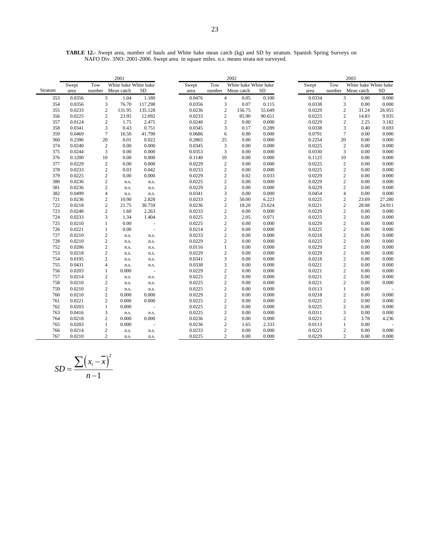**TABLE 12.-** Swept area, number of hauls and White hake mean catch (kg) and SD by stratum. Spanish Spring Surveys on NAFO Div. 3NO: 2001-2006. Swept area in square miles. n.s. means strata not surveyed.

|         |        |        | 2001                      |           |        | 2002   |                |        |                       |        | 2003                    |                       |        |
|---------|--------|--------|---------------------------|-----------|--------|--------|----------------|--------|-----------------------|--------|-------------------------|-----------------------|--------|
|         | Swept  | Tow    | White hake White hake     |           | Swept  | Tow    |                |        | White hake White hake | Swept  | Tow                     | White hake White hake |        |
| Stratum | area   | number | Mean catch                | <b>SD</b> | area   | number | Mean catch     |        | <b>SD</b>             | area   | number                  | Mean catch            | SD     |
| 353     | 0.0356 |        | 3<br>1.04                 | 1.180     | 0.0476 |        | $\overline{4}$ | 0.05   | 0.100                 | 0.0334 | 3                       | 0.00                  | 0.000  |
| 354     | 0.0356 |        | 3<br>76.70                | 117.298   | 0.0356 |        | $\overline{3}$ | 0.07   | 0.115                 | 0.0338 | 3                       | 0.00                  | 0.000  |
| 355     | 0.0233 |        | $\sqrt{2}$<br>131.95      | 135.128   | 0.0236 |        | $\sqrt{2}$     | 156.75 | 55.649                | 0.0229 | $\sqrt{2}$              | 31.24                 | 26.955 |
| 356     | 0.0225 |        | $\sqrt{2}$<br>23.95       | 12.092    | 0.0233 |        | $\sqrt{2}$     | 85.90  | 90.651                | 0.0225 | $\sqrt{2}$              | 14.83                 | 9.935  |
| 357     | 0.0124 |        | $\overline{c}$<br>1.75    | 2.475     | 0.0240 |        | $\mathbf{2}$   | 0.00   | 0.000                 | 0.0229 | $\overline{c}$          | 2.25                  | 3.182  |
| 358     | 0.0341 |        | 3<br>0.43                 | 0.751     | 0.0345 |        | 3              | 0.17   | 0.289                 | 0.0338 | 3                       | 0.40                  | 0.693  |
| 359     | 0.0469 |        | $\boldsymbol{7}$<br>16.50 | 41.790    | 0.0686 |        | 6              | 0.00   | 0.000                 | 0.0791 | $\tau$                  | 0.00                  | 0.000  |
| 360     | 0.2396 | 20     | 0.01                      | 0.022     | 0.2865 |        | 25             | 0.00   | 0.000                 | 0.2254 | 20                      | 0.00                  | 0.000  |
| 374     | 0.0240 |        | $\sqrt{2}$<br>0.00        | 0.000     | 0.0345 |        | 3              | 0.00   | 0.000                 | 0.0225 | $\sqrt{2}$              | 0.00                  | 0.000  |
| 375     | 0.0244 |        | 3<br>0.00                 | 0.000     | 0.0353 |        | 3              | 0.00   | 0.000                 | 0.0330 | 3                       | 0.00                  | 0.000  |
| 376     | 0.1200 | 10     | 0.00                      | 0.000     | 0.1140 |        | 10             | 0.00   | 0.000                 | 0.1125 | 10                      | 0.00                  | 0.000  |
| 377     | 0.0229 |        | $\overline{c}$<br>0.00    | 0.000     | 0.0229 |        | $\overline{c}$ | 0.00   | 0.000                 | 0.0225 | $\sqrt{2}$              | 0.00                  | 0.000  |
| 378     | 0.0233 |        | $\sqrt{2}$<br>0.03        | 0.042     | 0.0233 |        | $\overline{c}$ | 0.00   | 0.000                 | 0.0225 | $\overline{\mathbf{c}}$ | 0.00                  | 0.000  |
| 379     | 0.0225 |        | $\overline{c}$<br>0.00    | 0.000     | 0.0229 |        | $\mathfrak{2}$ | 0.02   | 0.033                 | 0.0229 | $\overline{c}$          | 0.00                  | 0.000  |
| 380     | 0.0236 |        | $\overline{c}$<br>n.s.    | n.s.      | 0.0225 |        | $\sqrt{2}$     | 0.00   | 0.000                 | 0.0229 | $\sqrt{2}$              | 0.00                  | 0.000  |
| 381     | 0.0236 |        | $\overline{c}$<br>n.s.    | n.s.      | 0.0229 |        | $\overline{c}$ | 0.00   | 0.000                 | 0.0229 | $\sqrt{2}$              | 0.00                  | 0.000  |
| 382     | 0.0499 |        | $\overline{4}$<br>n.s.    | n.s.      | 0.0341 |        | 3              | 0.00   | 0.000                 | 0.0454 | $\overline{4}$          | 0.00                  | 0.000  |
| 721     | 0.0236 |        | $\overline{c}$<br>10.90   | 2.828     | 0.0233 |        | $\sqrt{2}$     | 50.00  | 6.223                 | 0.0225 | $\boldsymbol{2}$        | 23.69                 | 27.280 |
| 722     | 0.0218 |        | $\sqrt{2}$<br>21.75       | 30.759    | 0.0236 |        | $\sqrt{2}$     | 18.20  | 23.624                | 0.0221 | $\sqrt{2}$              | 28.08                 | 24.911 |
| 723     | 0.0248 |        | $\overline{c}$<br>1.60    | 2.263     | 0.0233 |        | $\sqrt{2}$     | 0.00   | 0.000                 | 0.0229 | $\sqrt{2}$              | 0.00                  | 0.000  |
| 724     | 0.0233 |        | 3<br>1.34                 | 1.404     | 0.0225 |        | $\sqrt{2}$     | 2.05   | 0.071                 | 0.0225 | $\sqrt{2}$              | 0.00                  | 0.000  |
| 725     | 0.0210 |        | 0.00<br>$\mathbf{1}$      | ä,        | 0.0225 |        | $\overline{c}$ | 0.00   | 0.000                 | 0.0229 | $\sqrt{2}$              | 0.00                  | 0.000  |
| 726     | 0.0221 |        | $\mathbf{1}$<br>0.00      | $\sim$    | 0.0214 |        | $\mathfrak{2}$ | 0.00   | 0.000                 | 0.0225 | $\overline{c}$          | 0.00                  | 0.000  |
| 727     | 0.0210 |        | $\boldsymbol{2}$<br>n.s.  | n.s.      | 0.0233 |        | $\sqrt{2}$     | 0.00   | 0.000                 | 0.0218 | $\sqrt{2}$              | 0.00                  | 0.000  |
| 728     | 0.0210 |        | $\sqrt{2}$<br>n.s.        | n.s.      | 0.0229 |        | $\overline{c}$ | 0.00   | 0.000                 | 0.0225 | $\sqrt{2}$              | 0.00                  | 0.000  |
| 752     | 0.0206 |        | $\sqrt{2}$<br>n.s.        | n.s.      | 0.0116 |        | $\mathbf{1}$   | 0.00   | 0.000                 | 0.0229 | $\sqrt{2}$              | 0.00                  | 0.000  |
| 753     | 0.0218 |        | $\overline{c}$<br>n.s.    | n.s.      | 0.0229 |        | $\sqrt{2}$     | 0.00   | 0.000                 | 0.0229 | $\sqrt{2}$              | 0.00                  | 0.000  |
| 754     | 0.0195 |        | $\overline{c}$<br>n.s.    | n.s.      | 0.0341 |        | 3              | 0.00   | 0.000                 | 0.0218 | $\overline{c}$          | 0.00                  | 0.000  |
| 755     | 0.0431 |        | $\overline{4}$<br>n.s.    | n.s.      | 0.0338 |        | 3              | 0.00   | 0.000                 | 0.0221 | $\overline{c}$          | 0.00                  | 0.000  |
| 756     | 0.0203 |        | 0.000<br>$\mathbf{1}$     | $\sim$    | 0.0229 |        | $\sqrt{2}$     | 0.00   | 0.006                 | 0.0221 | $\overline{c}$          | 0.00                  | 0.000  |
| 757     | 0.0214 |        | $\sqrt{2}$<br>n.s.        | n.s.      | 0.0225 |        | $\overline{c}$ | 0.00   | 0.000                 | 0.0221 | $\sqrt{2}$              | 0.00                  | 0.000  |
| 758     | 0.0210 |        | $\overline{c}$<br>n.s.    | n.s.      | 0.0225 |        | $\sqrt{2}$     | 0.00   | 0.000                 | 0.0221 | $\sqrt{2}$              | 0.00                  | 0.000  |
| 759     | 0.0210 |        | $\mathbf{2}$<br>n.s.      | n.s.      | 0.0225 |        | $\sqrt{2}$     | 0.00   | 0.000                 | 0.0113 | $\mathbf{1}$            | 0.00                  |        |
| 760     | 0.0210 |        | $\overline{c}$<br>0.000   | 0.000     | 0.0229 |        | $\overline{c}$ | 0.00   | 0.000                 | 0.0218 | $\sqrt{2}$              | 0.00                  | 0.000  |
| 761     | 0.0221 |        | $\overline{c}$<br>0.000   | 0.000     | 0.0225 |        | $\sqrt{2}$     | 0.00   | 0.000                 | 0.0225 | $\overline{c}$          | 0.00                  | 0.000  |
| 762     | 0.0203 |        | $\mathbf{1}$<br>0.000     |           | 0.0225 |        | $\sqrt{2}$     | 0.00   | 0.000                 | 0.0225 | $\sqrt{2}$              | 0.00                  | 0.000  |
| 763     | 0.0416 |        | 3<br>n.s.                 | n.s.      | 0.0225 |        | $\sqrt{2}$     | 0.00   | 0.000                 | 0.0311 | 3                       | 0.00                  | 0.000  |
| 764     | 0.0218 |        | $\mathbf{2}$<br>0.000     | 0.000     | 0.0236 |        | $\sqrt{2}$     | 0.00   | 0.000                 | 0.0221 | $\sqrt{2}$              | 3.78                  | 4.236  |
| 765     | 0.0203 |        | $\mathbf{1}$<br>0.000     |           | 0.0236 |        | $\sqrt{2}$     | 1.65   | 2.333                 | 0.0113 | $\mathbf{1}$            | 0.00                  |        |
| 766     | 0.0214 |        | $\mathfrak{2}$<br>n.s.    | n.s.      | 0.0233 |        | $\mathbf{2}$   | 0.00   | 0.000                 | 0.0225 | $\boldsymbol{2}$        | 0.00                  | 0.000  |
| 767     | 0.0210 |        | $\overline{c}$<br>n.s.    | n.s.      | 0.0225 |        | $\overline{2}$ | 0.00   | 0.000                 | 0.0229 | $\overline{c}$          | 0.00                  | 0.000  |

$$
SD = \frac{\sum (x_i - \overline{x})^2}{n - 1}
$$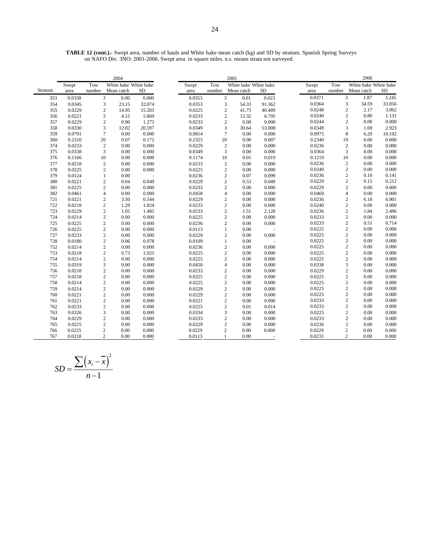**TABLE 12 (cont.).-** Swept area, number of hauls and White hake mean catch (kg) and SD by stratum. Spanish Spring Surveys on NAFO Div. 3NO: 2001-2006. Swept area in square miles. n.s. means strata not surveyed.

|         |        |                  | 2004                  |        |        |                         | 2005                  |           |        |                | 2006                  |           |
|---------|--------|------------------|-----------------------|--------|--------|-------------------------|-----------------------|-----------|--------|----------------|-----------------------|-----------|
|         | Swept  | Tow              | White hake White hake |        | Swept  | Tow                     | White hake White hake |           | Swept  | Tow            | White hake White hake |           |
| Stratum | area   | number           | Mean catch            | SD     | area   | number                  | Mean catch            | <b>SD</b> | area   | number         | Mean catch            | <b>SD</b> |
| 353     | 0.0338 |                  | 3<br>0.00             | 0.000  | 0.0353 | 3                       | 0.01                  | 0.023     | 0.0371 | $\mathfrak{Z}$ | 1.87                  | 3.245     |
| 354     | 0.0345 | 3                | 23.15                 | 32.074 | 0.0353 | 3                       | 54.33                 | 91.362    | 0.0364 | $\mathfrak{Z}$ | 34.59                 | 33.056    |
| 355     | 0.0229 | $\sqrt{2}$       | 14.95                 | 15.203 | 0.0225 | $\sqrt{2}$              | 41.75                 | 40.489    | 0.0248 | $\sqrt{2}$     | 2.17                  | 3.062     |
| 356     | 0.0221 | $\overline{2}$   | 4.15                  | 5.869  | 0.0233 | $\overline{2}$          | 12.32                 | 6.795     | 0.0240 | $\mathfrak{2}$ | 0.80                  | 1.131     |
| 357     | 0.0229 | $\overline{2}$   | 0.90                  | 1.273  | 0.0233 | $\sqrt{2}$              | 0.00                  | 0.000     | 0.0244 | $\mathfrak{2}$ | 0.00                  | 0.000     |
| 358     | 0.0330 | 3                | 12.02                 | 20.597 | 0.0349 | 3                       | 30.64                 | 53.008    | 0.0349 | 3              | 1.69                  | 2.923     |
| 359     | 0.0791 | $\overline{7}$   | 0.00                  | 0.000  | 0.0814 | $\overline{7}$          | 0.00                  | 0.000     | 0.0975 | 8              | 6.29                  | 10.192    |
| 360     | 0.2310 | 20               | 0.07                  | 0.172  | 0.2325 | 20                      | 0.00                  | 0.007     | 0.2340 | 19             | 0.00                  | 0.000     |
| 374     | 0.0233 | $\boldsymbol{2}$ | $0.00\,$              | 0.000  | 0.0229 | $\overline{2}$          | 0.00                  | 0.000     | 0.0236 | $\sqrt{2}$     | 0.00                  | 0.000     |
| 375     | 0.0338 | 3                | 0.00                  | 0.000  | 0.0349 | 3                       | 0.00                  | 0.000     | 0.0364 | 3              | 0.00                  | 0.000     |
| 376     | 0.1166 | 10               | 0.00                  | 0.000  | 0.1174 | 10                      | 0.01                  | 0.019     | 0.1219 | 10             | 0.00                  | 0.000     |
| 377     | 0.0218 | $\overline{2}$   | 0.00                  | 0.000  | 0.0233 | $\sqrt{2}$              | 0.00                  | 0.000     | 0.0236 | $\sqrt{2}$     | 0.00                  | 0.000     |
| 378     | 0.0225 | $\sqrt{2}$       | 0.00                  | 0.000  | 0.0225 | $\overline{\mathbf{c}}$ | 0.00                  | 0.000     | 0.0240 | $\sqrt{2}$     | 0.00                  | 0.000     |
| 379     | 0.0124 | $\mathbf{1}$     | 0.00                  |        | 0.0236 | $\overline{c}$          | 0.07                  | 0.099     | 0.0236 | $\sqrt{2}$     | 0.10                  | 0.141     |
| 380     | 0.0221 | $\overline{2}$   | 0.04                  | 0.049  | 0.0229 | $\sqrt{2}$              | 0.53                  | 0.049     | 0.0229 | $\sqrt{2}$     | 0.15                  | 0.212     |
| 381     | 0.0225 | $\overline{2}$   | 0.00                  | 0.000  | 0.0233 | $\overline{c}$          | 0.00                  | 0.000     | 0.0229 | $\mathfrak{2}$ | 0.00                  | 0.000     |
| 382     | 0.0461 | $\overline{4}$   | 0.00                  | 0.000  | 0.0458 | $\overline{4}$          | 0.00                  | 0.000     | 0.0469 | $\overline{4}$ | 0.00                  | 0.000     |
| 721     | 0.0221 | $\overline{2}$   | 3.50                  | 0.544  | 0.0229 | $\sqrt{2}$              | 0.00                  | 0.000     | 0.0236 | $\sqrt{2}$     | 6.18                  | 6.901     |
| 722     | 0.0218 | $\sqrt{2}$       | 1.29                  | 1.824  | 0.0233 | $\overline{c}$          | 0.00                  | 0.000     | 0.0240 | $\sqrt{2}$     | 0.00                  | 0.000     |
| 723     | 0.0229 | $\overline{2}$   | 1.05                  | 1.485  | 0.0233 | $\overline{c}$          | 1.51                  | 2.128     | 0.0236 | $\sqrt{2}$     | 1.84                  | 2.496     |
| 724     | 0.0214 | $\overline{2}$   | 0.00                  | 0.000  | 0.0225 | $\overline{2}$          | 0.00                  | 0.000     | 0.0233 | $\mathbf{2}$   | 0.00                  | 0.000     |
| 725     | 0.0225 | $\sqrt{2}$       | 0.00                  | 0.000  | 0.0236 | $\overline{c}$          | 0.00                  | 0.000     | 0.0233 | $\sqrt{2}$     | 0.51                  | 0.714     |
| 726     | 0.0225 | $\overline{2}$   | 0.00                  | 0.000  | 0.0113 | $\mathbf{1}$            | 0.00                  |           | 0.0225 | $\mathfrak{2}$ | 0.00                  | 0.000     |
| 727     | 0.0233 | $\overline{2}$   | 0.00                  | 0.000  | 0.0229 | $\sqrt{2}$              | 0.00                  | 0.000     | 0.0225 | $\sqrt{2}$     | 0.00                  | 0.000     |
| 728     | 0.0180 | $\sqrt{2}$       | 0.06                  | 0.078  | 0.0109 | $\mathbf{1}$            | 0.00                  |           | 0.0225 | $\sqrt{2}$     | 0.00                  | 0.000     |
| 752     | 0.0214 | $\overline{2}$   | 0.00                  | 0.000  | 0.0236 | $\sqrt{2}$              | 0.00                  | 0.000     | 0.0225 | $\sqrt{2}$     | 0.00                  | 0.000     |
| 753     | 0.0218 | $\overline{2}$   | 0.73                  | 1.025  | 0.0225 | $\sqrt{2}$              | 0.00                  | 0.000     | 0.0225 | $\sqrt{2}$     | 0.00                  | 0.000     |
| 754     | 0.0214 | $\sqrt{2}$       | 0.00                  | 0.000  | 0.0225 | $\overline{\mathbf{c}}$ | 0.00                  | 0.000     | 0.0225 | $\sqrt{2}$     | 0.00                  | 0.000     |
| 755     | 0.0319 | 3                | 0.00                  | 0.000  | 0.0450 | $\overline{4}$          | 0.00                  | 0.000     | 0.0338 | 3              | 0.00                  | 0.000     |
| 756     | 0.0218 | $\sqrt{2}$       | 0.00                  | 0.000  | 0.0233 | $\boldsymbol{2}$        | 0.00                  | 0.000     | 0.0229 | $\sqrt{2}$     | 0.00                  | 0.000     |
| 757     | 0.0218 | $\sqrt{2}$       | $0.00\,$              | 0.000  | 0.0225 | $\overline{\mathbf{c}}$ | 0.00                  | 0.000     | 0.0225 | $\sqrt{2}$     | 0.00                  | 0.000     |
| 758     | 0.0214 | $\sqrt{2}$       | 0.00                  | 0.000  | 0.0225 | $\sqrt{2}$              | 0.00                  | 0.000     | 0.0225 | $\sqrt{2}$     | 0.00                  | 0.000     |
| 759     | 0.0214 | $\sqrt{2}$       | 0.00                  | 0.000  | 0.0229 | $\overline{\mathbf{c}}$ | 0.00                  | 0.000     | 0.0225 | $\sqrt{2}$     | 0.00                  | 0.000     |
| 760     | 0.0221 | $\sqrt{2}$       | 0.00                  | 0.000  | 0.0229 | $\overline{\mathbf{c}}$ | 0.00                  | 0.000     | 0.0225 | $\sqrt{2}$     | 0.00                  | 0.000     |
| 761     | 0.0221 | $\sqrt{2}$       | 0.00                  | 0.000  | 0.0221 | $\sqrt{2}$              | 0.00                  | 0.000     | 0.0233 | $\overline{c}$ | 0.00                  | 0.000     |
| 762     | 0.0233 | $\sqrt{2}$       | 0.00                  | 0.000  | 0.0225 | $\overline{\mathbf{c}}$ | 0.01                  | 0.014     | 0.0233 | $\sqrt{2}$     | 0.00                  | 0.000     |
| 763     | 0.0326 | 3                | 0.00                  | 0.000  | 0.0334 | 3                       | 0.00                  | 0.000     | 0.0225 | $\mathbf{2}$   | 0.00                  | 0.000     |
| 764     | 0.0229 | $\overline{2}$   | 0.00                  | 0.000  | 0.0233 | $\overline{\mathbf{c}}$ | 0.00                  | 0.000     | 0.0233 | $\sqrt{2}$     | 0.00                  | 0.000     |
| 765     | 0.0225 | $\overline{2}$   | 0.00                  | 0.000  | 0.0229 | $\overline{c}$          | 0.00                  | 0.000     | 0.0236 | $\mathfrak{2}$ | 0.00                  | 0.000     |
| 766     | 0.0225 | $\mathbf{2}$     | 0.00                  | 0.000  | 0.0229 | $\overline{c}$          | 0.00                  | 0.000     | 0.0229 | $\mathbf{2}$   | 0.00                  | 0.000     |
| 767     | 0.0218 | $\overline{c}$   | 0.00                  | 0.000  | 0.0113 | $\mathbf{1}$            | 0.00                  |           | 0.0233 | $\overline{c}$ | 0.00                  | 0.000     |

$$
SD = \frac{\sum (x_i - \overline{x})^2}{n - 1}
$$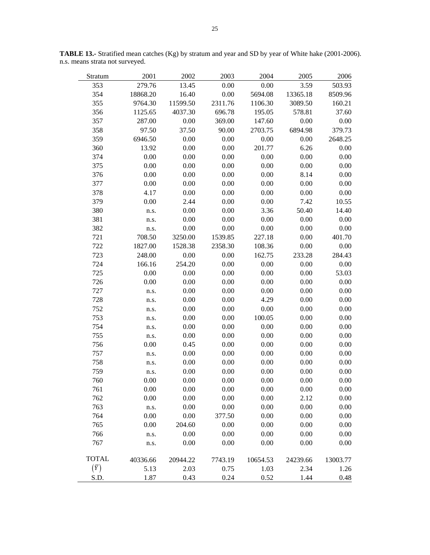| Stratum      | 2001     | 2002     | 2003    | 2004     | 2005     | 2006     |
|--------------|----------|----------|---------|----------|----------|----------|
| 353          | 279.76   | 13.45    | 0.00    | 0.00     | 3.59     | 503.93   |
| 354          | 18868.20 | 16.40    | 0.00    | 5694.08  | 13365.18 | 8509.96  |
| 355          | 9764.30  | 11599.50 | 2311.76 | 1106.30  | 3089.50  | 160.21   |
| 356          | 1125.65  | 4037.30  | 696.78  | 195.05   | 578.81   | 37.60    |
| 357          | 287.00   | 0.00     | 369.00  | 147.60   | 0.00     | 0.00     |
| 358          | 97.50    | 37.50    | 90.00   | 2703.75  | 6894.98  | 379.73   |
| 359          | 6946.50  | 0.00     | 0.00    | 0.00     | 0.00     | 2648.25  |
| 360          | 13.92    | 0.00     | 0.00    | 201.77   | 6.26     | 0.00     |
| 374          | 0.00     | 0.00     | 0.00    | 0.00     | 0.00     | 0.00     |
| 375          | 0.00     | 0.00     | 0.00    | 0.00     | 0.00     | 0.00     |
| 376          | 0.00     | 0.00     | 0.00    | 0.00     | 8.14     | 0.00     |
| 377          | 0.00     | 0.00     | 0.00    | 0.00     | 0.00     | 0.00     |
| 378          | 4.17     | 0.00     | 0.00    | 0.00     | 0.00     | 0.00     |
| 379          | 0.00     | 2.44     | 0.00    | 0.00     | 7.42     | 10.55    |
| 380          | n.s.     | 0.00     | 0.00    | 3.36     | 50.40    | 14.40    |
| 381          | n.s.     | 0.00     | 0.00    | 0.00     | 0.00     | 0.00     |
| 382          | n.s.     | 0.00     | 0.00    | 0.00     | 0.00     | 0.00     |
| 721          | 708.50   | 3250.00  | 1539.85 | 227.18   | 0.00     | 401.70   |
| 722          | 1827.00  | 1528.38  | 2358.30 | 108.36   | 0.00     | 0.00     |
| 723          | 248.00   | 0.00     | 0.00    | 162.75   | 233.28   | 284.43   |
| 724          | 166.16   | 254.20   | 0.00    | 0.00     | 0.00     | 0.00     |
| 725          | 0.00     | 0.00     | 0.00    | 0.00     | 0.00     | 53.03    |
| 726          | 0.00     | 0.00     | 0.00    | 0.00     | 0.00     | 0.00     |
| 727          | n.s.     | 0.00     | 0.00    | 0.00     | 0.00     | 0.00     |
| 728          | n.s.     | 0.00     | 0.00    | 4.29     | 0.00     | 0.00     |
| 752          | n.s.     | 0.00     | 0.00    | 0.00     | 0.00     | 0.00     |
| 753          | n.s.     | 0.00     | 0.00    | 100.05   | 0.00     | 0.00     |
| 754          | n.s.     | 0.00     | 0.00    | 0.00     | 0.00     | 0.00     |
| 755          | n.s.     | 0.00     | 0.00    | 0.00     | 0.00     | 0.00     |
| 756          | 0.00     | 0.45     | 0.00    | 0.00     | 0.00     | 0.00     |
| 757          | n.s.     | 0.00     | 0.00    | 0.00     | 0.00     | 0.00     |
| 758          | n.s.     | 0.00     | 0.00    | 0.00     | 0.00     | 0.00     |
| 759          | n.s.     | 0.00     | 0.00    | 0.00     | 0.00     | 0.00     |
| 760          | 0.00     | 0.00     | 0.00    | 0.00     | 0.00     | 0.00     |
| 761          | 0.00     | 0.00     | 0.00    | 0.00     | 0.00     | 0.00     |
| 762          | 0.00     | 0.00     | 0.00    | 0.00     | 2.12     | 0.00     |
| 763          | n.s.     | 0.00     | 0.00    | 0.00     | 0.00     | 0.00     |
| 764          | 0.00     | 0.00     | 377.50  | 0.00     | 0.00     | 0.00     |
| 765          | 0.00     | 204.60   | 0.00    | 0.00     | 0.00     | 0.00     |
| 766          | n.s.     | 0.00     | 0.00    | 0.00     | 0.00     | 0.00     |
| 767          | n.s.     | 0.00     | 0.00    | 0.00     | 0.00     | 0.00     |
| <b>TOTAL</b> | 40336.66 | 20944.22 | 7743.19 | 10654.53 | 24239.66 | 13003.77 |
| $(\bar{Y})$  | 5.13     | 2.03     | 0.75    | 1.03     | 2.34     | 1.26     |
| S.D.         | 1.87     | 0.43     | 0.24    | 0.52     | 1.44     | 0.48     |

**TABLE 13.-** Stratified mean catches (Kg) by stratum and year and SD by year of White hake (2001-2006). n.s. means strata not surveyed.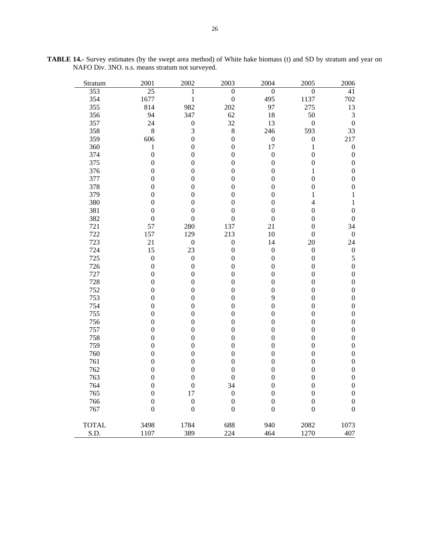| Stratum      | 2001             | 2002             | 2003             | 2004             | 2005             | 2006             |
|--------------|------------------|------------------|------------------|------------------|------------------|------------------|
| 353          | $\overline{25}$  | 1                | $\theta$         | $\overline{0}$   | $\overline{0}$   | 41               |
| 354          | 1677             | $\mathbf{1}$     | $\boldsymbol{0}$ | 495              | 1137             | 702              |
| 355          | 814              | 982              | 202              | 97               | 275              | 13               |
| 356          | 94               | 347              | 62               | 18               | 50               | $\mathfrak 3$    |
| 357          | 24               | $\boldsymbol{0}$ | 32               | 13               | $\boldsymbol{0}$ | $\boldsymbol{0}$ |
| 358          | 8                | 3                | 8                | 246              | 593              | 33               |
| 359          | 606              | $\boldsymbol{0}$ | $\boldsymbol{0}$ | $\boldsymbol{0}$ | $\boldsymbol{0}$ | 217              |
| 360          | $\mathbf{1}$     | $\overline{0}$   | $\boldsymbol{0}$ | 17               | 1                | $\boldsymbol{0}$ |
| 374          | $\boldsymbol{0}$ | $\boldsymbol{0}$ | $\boldsymbol{0}$ | $\boldsymbol{0}$ | $\boldsymbol{0}$ | $\boldsymbol{0}$ |
| 375          | $\boldsymbol{0}$ | $\boldsymbol{0}$ | $\boldsymbol{0}$ | $\boldsymbol{0}$ | $\overline{0}$   | $\boldsymbol{0}$ |
| 376          | $\boldsymbol{0}$ | 0                | $\boldsymbol{0}$ | $\boldsymbol{0}$ | 1                | $\boldsymbol{0}$ |
| 377          | $\boldsymbol{0}$ | $\boldsymbol{0}$ | $\boldsymbol{0}$ | $\boldsymbol{0}$ | $\overline{0}$   | $\boldsymbol{0}$ |
| 378          | $\overline{0}$   | $\boldsymbol{0}$ | $\boldsymbol{0}$ | $\boldsymbol{0}$ | $\overline{0}$   | $\boldsymbol{0}$ |
| 379          | $\boldsymbol{0}$ | 0                | $\boldsymbol{0}$ | $\boldsymbol{0}$ | 1                | $\mathbf{1}$     |
| 380          | $\overline{0}$   | $\mathbf{0}$     | $\boldsymbol{0}$ | $\boldsymbol{0}$ | $\overline{4}$   | $\,1$            |
| 381          | $\overline{0}$   | $\overline{0}$   | $\boldsymbol{0}$ | $\overline{0}$   | $\overline{0}$   | $\boldsymbol{0}$ |
| 382          | $\overline{0}$   | $\overline{0}$   | $\overline{0}$   | $\overline{0}$   | $\overline{0}$   | $\boldsymbol{0}$ |
| 721          | 57               | 280              | 137              | 21               | $\boldsymbol{0}$ | 34               |
| 722          | 157              | 129              | 213              | 10               | $\boldsymbol{0}$ | $\boldsymbol{0}$ |
| 723          | 21               | $\boldsymbol{0}$ | $\boldsymbol{0}$ | 14               | 20               | 24               |
| 724          | 15               | 23               | $\boldsymbol{0}$ | $\boldsymbol{0}$ | $\boldsymbol{0}$ | $\boldsymbol{0}$ |
| 725          | $\boldsymbol{0}$ | $\boldsymbol{0}$ | $\boldsymbol{0}$ | $\boldsymbol{0}$ | $\boldsymbol{0}$ | $\sqrt{5}$       |
| 726          | $\boldsymbol{0}$ | $\mathbf{0}$     | $\boldsymbol{0}$ | $\boldsymbol{0}$ | $\overline{0}$   | $\boldsymbol{0}$ |
| 727          | $\boldsymbol{0}$ | $\boldsymbol{0}$ | $\boldsymbol{0}$ | $\boldsymbol{0}$ | $\overline{0}$   | $\boldsymbol{0}$ |
| 728          | $\boldsymbol{0}$ | $\boldsymbol{0}$ | $\boldsymbol{0}$ | $\boldsymbol{0}$ | $\boldsymbol{0}$ | $\boldsymbol{0}$ |
| 752          | $\boldsymbol{0}$ | $\boldsymbol{0}$ | $\boldsymbol{0}$ | $\boldsymbol{0}$ | $\boldsymbol{0}$ | $\boldsymbol{0}$ |
| 753          | $\boldsymbol{0}$ | $\boldsymbol{0}$ | $\boldsymbol{0}$ | 9                | $\boldsymbol{0}$ | $\boldsymbol{0}$ |
| 754          | $\overline{0}$   | $\boldsymbol{0}$ | $\boldsymbol{0}$ | $\boldsymbol{0}$ | $\overline{0}$   | $\boldsymbol{0}$ |
| 755          | $\boldsymbol{0}$ | $\boldsymbol{0}$ | $\boldsymbol{0}$ | $\boldsymbol{0}$ | $\boldsymbol{0}$ | $\boldsymbol{0}$ |
| 756          | $\boldsymbol{0}$ | $\boldsymbol{0}$ | $\boldsymbol{0}$ | $\boldsymbol{0}$ | $\boldsymbol{0}$ | $\boldsymbol{0}$ |
| 757          | $\boldsymbol{0}$ | $\boldsymbol{0}$ | $\boldsymbol{0}$ | $\boldsymbol{0}$ | $\boldsymbol{0}$ | $\boldsymbol{0}$ |
| 758          | $\boldsymbol{0}$ | $\boldsymbol{0}$ | $\boldsymbol{0}$ | $\boldsymbol{0}$ | $\overline{0}$   | $\boldsymbol{0}$ |
| 759          | $\boldsymbol{0}$ | $\boldsymbol{0}$ | $\boldsymbol{0}$ | $\boldsymbol{0}$ | $\boldsymbol{0}$ | $\boldsymbol{0}$ |
| 760          | $\overline{0}$   | $\mathbf{0}$     | $\boldsymbol{0}$ | $\boldsymbol{0}$ | $\overline{0}$   | $\boldsymbol{0}$ |
| 761          | $\overline{0}$   | $\overline{0}$   | $\boldsymbol{0}$ | $\boldsymbol{0}$ | $\overline{0}$   | $\boldsymbol{0}$ |
| 762          | $\boldsymbol{0}$ | $\boldsymbol{0}$ | $\boldsymbol{0}$ | $\boldsymbol{0}$ | $\overline{0}$   | $\boldsymbol{0}$ |
| 763          | $\boldsymbol{0}$ | $\boldsymbol{0}$ | $\boldsymbol{0}$ | $\boldsymbol{0}$ | $\boldsymbol{0}$ | $\boldsymbol{0}$ |
| 764          | $\boldsymbol{0}$ | $\boldsymbol{0}$ | 34               | $\boldsymbol{0}$ | $\overline{0}$   | $\boldsymbol{0}$ |
| 765          | $\boldsymbol{0}$ | 17               | $\boldsymbol{0}$ | $\boldsymbol{0}$ | $\boldsymbol{0}$ | $\boldsymbol{0}$ |
| 766          | $\overline{0}$   | $\boldsymbol{0}$ | $\boldsymbol{0}$ | $\boldsymbol{0}$ | $\boldsymbol{0}$ | $\boldsymbol{0}$ |
| 767          | $\boldsymbol{0}$ | $\boldsymbol{0}$ | $\boldsymbol{0}$ | $\boldsymbol{0}$ | $\overline{0}$   | $\boldsymbol{0}$ |
|              |                  |                  |                  |                  |                  |                  |
| <b>TOTAL</b> | 3498             | 1784             | 688              | 940              | 2082             | 1073             |
| S.D.         | 1107             | 389              | 224              | 464              | 1270             | 407              |

**TABLE 14.-** Survey estimates (by the swept area method) of White hake biomass (t) and SD by stratum and year on NAFO Div. 3NO. n.s. means stratum not surveyed.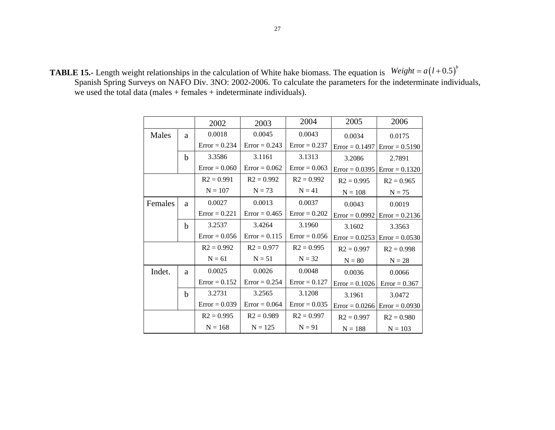**TABLE 15.-** Length weight relationships in the calculation of White hake biomass. The equation is  $Weight = a(l+0.5)^{b}$ Spanish Spring Surveys on NAFO Div. 3NO: 2002-2006. To calculate the parameters for the indeterminate individuals, we used the total data (males + females + indeterminate individuals).

|         |             | 2002            | 2003            | 2004            | 2005             | 2006             |  |
|---------|-------------|-----------------|-----------------|-----------------|------------------|------------------|--|
| Males   | a           | 0.0018          | 0.0045          | 0.0043          | 0.0034           | 0.0175           |  |
|         |             | $Error = 0.234$ | $Error = 0.243$ | $Error = 0.237$ | $Error = 0.1497$ | $Error = 0.5190$ |  |
|         | b           | 3.3586          | 3.1161          | 3.1313          | 3.2086           | 2.7891           |  |
|         |             | $Error = 0.060$ | $Error = 0.062$ | $Error = 0.063$ | $Error = 0.0395$ | $Error = 0.1320$ |  |
|         |             | $R2 = 0.991$    | $R2 = 0.992$    | $R2 = 0.992$    | $R2 = 0.995$     | $R2 = 0.965$     |  |
|         |             | $N = 107$       | $N = 73$        | $N = 41$        | $N = 108$        | $N = 75$         |  |
| Females | a           | 0.0027          | 0.0013          | 0.0037          | 0.0043           | 0.0019           |  |
|         |             | $Error = 0.221$ | $Error = 0.465$ | $Error = 0.202$ | $Error = 0.0992$ | $Error = 0.2136$ |  |
|         | $\mathbf b$ | 3.2537          | 3.4264          | 3.1960          | 3.1602           | 3.3563           |  |
|         |             | $Error = 0.056$ | $Error = 0.115$ | $Error = 0.056$ | $Error = 0.0253$ | $Error = 0.0530$ |  |
|         |             | $R2 = 0.992$    | $R2 = 0.977$    | $R2 = 0.995$    | $R2 = 0.997$     | $R2 = 0.998$     |  |
|         |             | $N = 61$        | $N = 51$        | $N = 32$        | $N = 80$         | $N = 28$         |  |
| Indet.  | a           | 0.0025          | 0.0026          | 0.0048          | 0.0036           | 0.0066           |  |
|         |             | $Error = 0.152$ | $Error = 0.254$ | $Error = 0.127$ | $Error = 0.1026$ | $Error = 0.367$  |  |
|         | b           | 3.2731          | 3.2565          | 3.1208          | 3.1961           | 3.0472           |  |
|         |             | $Error = 0.039$ | $Error = 0.064$ | $Error = 0.035$ | $Error = 0.0266$ | $Error = 0.0930$ |  |
|         |             | $R2 = 0.995$    | $R2 = 0.989$    | $R2 = 0.997$    | $R2 = 0.997$     | $R2 = 0.980$     |  |
|         |             | $N = 168$       | $N = 125$       | $N = 91$        | $N = 188$        | $N = 103$        |  |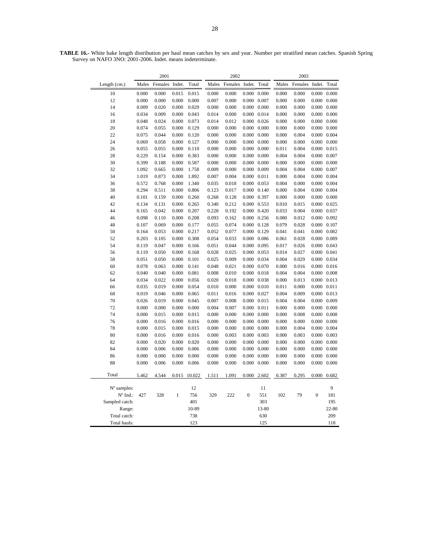**TABLE 16.-** White hake length distribution per haul mean catches by sex and year. Number per stratified mean catches. Spanish Spring Survey on NAFO 3NO: 2001-2006. Indet. means indeterminate. 2001 2002 2003 Length (cm.) Males Females Indet. Total Males Females Indet. Total Males Females Indet. Total

| 10             | 0.000 | 0.000 | 0.015        | 0.015  | 0.000 | 0.000 |                     | $0.000 \quad 0.000$ | 0.000 | 0.000 | $0.000 \quad 0.000$ |           |
|----------------|-------|-------|--------------|--------|-------|-------|---------------------|---------------------|-------|-------|---------------------|-----------|
| 12             | 0.000 | 0.000 | 0.000        | 0.000  | 0.007 | 0.000 | 0.000               | 0.007               | 0.000 | 0.000 | 0.000               | 0.000     |
| 14             | 0.009 | 0.020 | 0.000        | 0.029  | 0.000 | 0.000 |                     | $0.000 \quad 0.000$ | 0.000 | 0.000 | $0.000 \quad 0.000$ |           |
| 16             | 0.034 | 0.009 | 0.000        | 0.043  | 0.014 | 0.000 |                     | $0.000 \quad 0.014$ | 0.000 | 0.000 | 0.000               | 0.000     |
| 18             | 0.048 | 0.024 | 0.000        | 0.073  | 0.014 | 0.012 |                     | $0.000 \quad 0.026$ | 0.000 | 0.000 | 0.000               | 0.000     |
| 20             | 0.074 | 0.055 | 0.000        | 0.129  | 0.000 | 0.000 |                     | $0.000 \quad 0.000$ | 0.000 | 0.000 | 0.000               | 0.000     |
| 22             | 0.075 | 0.044 | 0.000        | 0.120  | 0.000 | 0.000 |                     | $0.000 \quad 0.000$ | 0.000 | 0.004 | 0.000               | 0.004     |
| 24             | 0.069 | 0.058 | 0.000        | 0.127  | 0.000 | 0.000 | $0.000 \quad 0.000$ |                     | 0.000 | 0.000 | 0.000               | 0.000     |
| 26             | 0.055 | 0.055 | 0.000        | 0.110  | 0.000 | 0.000 |                     | $0.000 \quad 0.000$ | 0.011 | 0.004 | 0.000               | 0.015     |
| 28             | 0.229 | 0.154 | 0.000        | 0.383  | 0.000 | 0.000 |                     | $0.000 \quad 0.000$ | 0.004 | 0.004 | $0.000 \quad 0.007$ |           |
| 30             | 0.399 | 0.188 | 0.000        | 0.587  | 0.000 | 0.000 |                     | $0.000 \quad 0.000$ | 0.000 | 0.000 | 0.000               | 0.000     |
| 32             | 1.092 | 0.665 | 0.000        | 1.758  | 0.009 | 0.000 | $0.000 \quad 0.009$ |                     | 0.004 | 0.004 | $0.000 \quad 0.007$ |           |
| 34             | 1.019 | 0.873 | 0.000        | 1.892  | 0.007 | 0.004 | 0.000               | 0.011               | 0.000 | 0.004 | 0.000               | 0.004     |
| 36             | 0.572 | 0.768 | 0.000        | 1.340  | 0.035 | 0.018 |                     | 0.000 0.053         | 0.004 | 0.000 | $0.000 \quad 0.004$ |           |
| 38             | 0.294 | 0.511 | 0.000        | 0.806  | 0.123 | 0.017 |                     | $0.000 \quad 0.140$ | 0.000 | 0.004 | 0.000               | 0.004     |
| 40             | 0.101 | 0.159 | 0.000        | 0.260  | 0.268 | 0.128 | 0.000 0.397         |                     | 0.000 | 0.000 | $0.000 \quad 0.000$ |           |
| 42             | 0.134 | 0.131 | 0.000        | 0.265  | 0.340 | 0.212 |                     | 0.000 0.553         | 0.010 | 0.015 | 0.000               | 0.025     |
| 44             | 0.165 | 0.042 | 0.000        | 0.207  | 0.228 | 0.192 |                     | $0.000 \quad 0.420$ | 0.033 | 0.004 | 0.000               | 0.037     |
| 46             | 0.098 | 0.110 | 0.000        | 0.208  | 0.093 | 0.162 |                     | $0.000 \quad 0.256$ | 0.080 | 0.012 | 0.000               | 0.092     |
| 48             | 0.107 | 0.069 | 0.000        | 0.177  | 0.055 | 0.074 |                     | $0.000 \quad 0.128$ | 0.079 | 0.028 | 0.000               | 0.107     |
| 50             | 0.164 | 0.053 | 0.000        | 0.217  | 0.052 | 0.077 |                     | 0.000 0.129         | 0.041 | 0.041 | 0.000               | 0.082     |
| 52             | 0.203 | 0.105 | 0.000        | 0.308  | 0.054 | 0.033 |                     | $0.000 \quad 0.086$ | 0.061 | 0.028 | 0.000               | 0.089     |
| 54             | 0.119 | 0.047 | 0.000        | 0.166  | 0.051 | 0.044 |                     | $0.000 \quad 0.095$ | 0.017 | 0.026 | 0.000 0.043         |           |
| 56             | 0.119 | 0.050 | 0.000        | 0.168  | 0.028 | 0.025 |                     | $0.000 \quad 0.053$ | 0.014 | 0.027 | 0.000               | 0.041     |
| 58             | 0.051 | 0.050 | 0.000        | 0.101  | 0.025 | 0.009 |                     | 0.000 0.034         | 0.004 | 0.029 | 0.000 0.034         |           |
| 60             | 0.078 | 0.063 | 0.000        | 0.141  | 0.048 | 0.021 | 0.000               | 0.070               | 0.000 | 0.016 | 0.000               | 0.016     |
| 62             | 0.040 | 0.040 | 0.000        | 0.081  | 0.008 | 0.010 |                     | $0.000 \quad 0.018$ | 0.004 | 0.004 | $0.000 \quad 0.008$ |           |
| 64             | 0.034 | 0.022 | 0.000        | 0.056  | 0.020 | 0.018 |                     | $0.000 \quad 0.038$ | 0.000 | 0.013 | $0.000 \quad 0.013$ |           |
| 66             | 0.035 | 0.019 | 0.000        | 0.054  | 0.010 | 0.000 |                     | $0.000 \quad 0.010$ | 0.011 | 0.000 | $0.000 \quad 0.011$ |           |
| 68             | 0.019 | 0.046 | 0.000        | 0.065  | 0.011 | 0.016 | 0.000 0.027         |                     | 0.004 | 0.009 | 0.000               | 0.013     |
| 70             | 0.026 | 0.019 | 0.000        | 0.045  | 0.007 | 0.008 |                     | $0.000 \quad 0.015$ | 0.004 | 0.004 | 0.000               | 0.009     |
| 72             | 0.000 | 0.000 | 0.000        | 0.000  | 0.004 | 0.007 | $0.000 \quad 0.011$ |                     | 0.000 | 0.000 | 0.000               | 0.000     |
| 74             | 0.000 | 0.015 | 0.000        | 0.015  | 0.000 | 0.000 | $0.000 \quad 0.000$ |                     | 0.000 | 0.008 | 0.000               | 0.008     |
| 76             | 0.000 | 0.016 | 0.000        | 0.016  | 0.000 | 0.000 |                     | $0.000 \quad 0.000$ | 0.000 | 0.000 | 0.000               | 0.000     |
| 78             | 0.000 | 0.015 | 0.000        | 0.015  | 0.000 | 0.000 |                     | $0.000 \quad 0.000$ | 0.000 | 0.004 | 0.000               | 0.004     |
| 80             | 0.000 | 0.016 | 0.000        | 0.016  | 0.000 | 0.003 |                     | $0.000 \quad 0.003$ | 0.000 | 0.003 | $0.000 \quad 0.003$ |           |
| 82             | 0.000 | 0.020 | 0.000        | 0.020  | 0.000 | 0.000 |                     | $0.000 \quad 0.000$ | 0.000 | 0.000 | 0.000               | 0.000     |
| 84             | 0.000 | 0.006 | 0.000        | 0.006  | 0.000 | 0.000 | 0.000               | 0.000               | 0.000 | 0.000 | $0.000 \quad 0.000$ |           |
| 86             | 0.000 | 0.000 | 0.000        | 0.000  | 0.000 | 0.000 | 0.000               | 0.000               | 0.000 | 0.000 | 0.000               | 0.000     |
| 88             | 0.000 | 0.006 | 0.000        | 0.006  | 0.000 | 0.000 |                     | $0.000 \quad 0.000$ | 0.000 | 0.000 | 0.000               | 0.000     |
|                |       |       |              |        |       |       |                     |                     |       |       |                     |           |
| Total          | 5.462 | 4.544 | 0.015        | 10.022 | 1.511 | 1.091 |                     | $0.000$ $2.602$     | 0.387 | 0.295 | 0.000               | 0.682     |
|                |       |       |              |        |       |       |                     |                     |       |       |                     |           |
| $No$ samples:  |       |       |              | 12     |       |       |                     | 11                  |       |       |                     | 9         |
| $No$ Ind.:     | 427   | 328   | $\mathbf{1}$ | 756    | 329   | 222   | $\boldsymbol{0}$    | 551                 | 102   | 79    | $\boldsymbol{0}$    | 181       |
| Sampled catch: |       |       |              | 401    |       |       |                     | 303                 |       |       |                     | 195       |
| Range:         |       |       |              | 10-89  |       |       |                     | 13-80               |       |       |                     | $22 - 80$ |
| Total catch:   |       |       |              | 738    |       |       |                     | 630                 |       |       |                     | 209       |
| Total hauls:   |       |       |              | 123    |       |       |                     | 125                 |       |       |                     | 118       |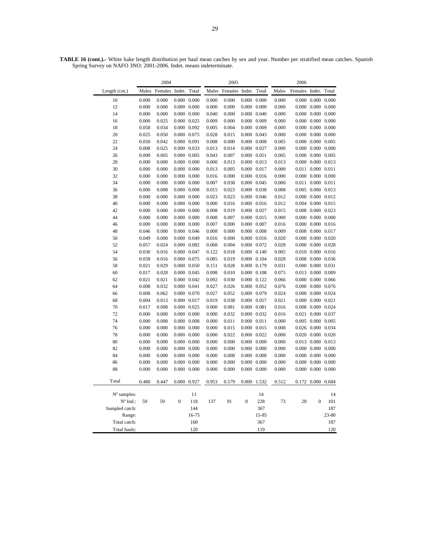29

**TABLE 16 (cont.).-** White hake length distribution per haul mean catches by sex and year. Number per stratified mean catches. Spanish Spring Survey on NAFO 3NO: 2001-2006. Indet. means indeterminate.

| Length (cm.)<br>Males<br>Females<br>Indet.<br>Total<br>Females<br>Indet.<br>Total<br>Males<br>Females Indet.<br>Total<br>Males<br>10<br>0.000<br>0.000<br>0.000<br>0.000<br>0.000<br>0.000<br>0.000<br>0.000<br>0.000<br>0.000<br>0.000<br>0.000<br>12<br>0.000<br>0.000<br>0.000<br>0.000<br>0.000<br>0.000<br>0.000<br>0.000<br>0.000<br>0.000<br>0.000<br>0.000<br>14<br>0.000<br>$0.000\ 0.000$<br>0.000<br>$0.000 \quad 0.040$<br>0.000<br>0.000<br>0.000<br>0.000<br>0.000<br>0.040<br>0.000<br>0.025<br>0.000 0.025<br>0.009<br>0.000<br>$0.000 \quad 0.009$<br>0.000<br>0.000<br>0.000<br>0.000<br>16<br>18<br>0.058<br>0.034<br>0.000 0.092<br>0.005<br>0.004<br>$0.000 \quad 0.009$<br>0.000<br>$0.000 \quad 0.000$<br>0.000<br>20<br>0.025<br>0.050<br>0.000 0.075<br>0.028<br>0.015<br>0.000 0.043<br>0.000<br>$0.000 \quad 0.000$<br>0.000<br>22<br>0.050<br>0.000 0.091<br>0.008<br>0.000<br>$0.000 \quad 0.008$<br>0.000<br>0.000<br>0.005<br>0.042<br>0.005<br>24<br>0.008<br>0.000 0.033<br>0.000 0.027<br>0.000<br>0.000<br>0.025<br>0.013<br>0.014<br>0.000<br>0.000<br>0.000<br>0.000 0.051<br>0.000<br>0.000<br>26<br>0.005<br>$0.000 \quad 0.005$<br>0.043<br>0.007<br>0.005<br>0.005<br>0.000<br>0.000<br>$0.000 \quad 0.000$<br>0.013<br>$0.000 \quad 0.013$<br>0.000<br>0.000<br>28<br>0.000<br>0.013<br>0.013<br>0.000<br>0.000 0.017<br>0.011<br>0.000<br>30<br>0.000<br>$0.000 \quad 0.000$<br>0.013<br>0.005<br>0.000<br>0.011<br>32<br>0.000<br>0.000<br>$0.000 \quad 0.000$<br>0.016<br>0.000<br>$0.000 \quad 0.016$<br>0.000<br>$0.000 \quad 0.000$<br>0.000<br>34<br>0.000<br>0.000<br>$0.000 \quad 0.000$<br>0.007<br>0.038<br>0.000<br>0.045<br>0.000<br>0.011<br>0.000<br>0.011<br>36<br>0.000<br>$0.000 \quad 0.008$<br>0.015<br>0.023<br>$0.000 \quad 0.038$<br>0.005 0.000 0.013<br>0.008<br>0.008<br>38<br>0.000<br>$0.000 \quad 0.000$<br>0.023<br>0.023<br>$0.000 \quad 0.046$<br>0.000<br>0.000<br>0.012<br>0.000<br>0.012<br>40<br>0.000<br>0.000<br>$0.000 \quad 0.016$<br>0.004<br>0.000<br>0.000<br>$0.000$ $0.000$<br>0.016<br>0.012<br>0.015<br>42<br>0.000<br>0.000<br>$0.000 \quad 0.000$<br>0.008<br>0.019<br>$0.000 \quad 0.027$<br>0.008<br>0.000<br>0.023<br>0.015<br>44<br>0.000<br>0.000<br>$0.000 \quad 0.000$<br>0.008<br>0.007<br>$0.000 \quad 0.015$<br>0.000<br>$0.000 \quad 0.000$<br>0.000<br>$0.000 \quad 0.007$<br>$0.000 \quad 0.000$<br>46<br>0.000<br>0.000<br>$0.000$ $0.000$<br>0.007<br>0.000<br>0.016<br>0.016<br>48<br>0.046<br>0.000<br>0.000 0.046<br>0.008<br>0.000<br>$0.000 \quad 0.008$<br>0.009<br>0.008<br>0.000<br>0.017<br>50<br>0.049<br>0.000<br>0.000 0.049<br>0.016<br>0.000<br>$0.000$ $0.016$<br>0.020<br>0.000<br>0.000<br>0.020<br>0.057<br>52<br>0.024<br>0.000 0.082<br>0.068<br>0.004<br>0.000 0.072<br>0.028<br>0.000<br>0.000<br>0.028<br>54<br>0.030<br>0.016<br>$0.000 \quad 0.047$<br>0.122<br>0.018<br>0.000 0.140<br>0.005<br>$0.010$ $0.000$<br>0.016<br>56<br>0.058<br>0.016<br>0.000 0.075<br>0.085<br>0.019<br>0.000 0.104<br>0.028<br>0.008<br>0.000<br>0.036<br>58<br>0.021<br>0.029<br>$0.000 \quad 0.050$<br>0.151<br>0.028<br>0.000 0.179<br>0.031<br>$0.000 \quad 0.000$<br>0.031<br>0.017<br>0.000 0.045<br>0.098<br>0.010<br>$0.000 \quad 0.108$<br>0.075<br>0.013<br>0.000<br>0.089<br>60<br>0.028<br>0.021<br>0.000 0.122<br>$0.000 \quad 0.000$<br>62<br>0.021<br>0.000 0.042<br>0.092<br>0.030<br>0.066<br>0.066<br>0.008<br>0.032<br>0.026<br>$0.000 \quad 0.052$<br>0.000<br>0.000<br>64<br>0.000 0.041<br>0.027<br>0.076<br>0.076<br>0.008<br>0.027<br>0.052<br>0.000 0.079<br>$0.000 \quad 0.000$<br>0.062<br>$0.000$ $0.070$<br>0.024<br>0.024<br>66<br>0.004<br>0.000 0.017<br>0.019<br>0.000<br>0.000<br>68<br>0.013<br>0.038<br>0.000 0.057<br>0.021<br>0.021<br>70<br>0.017<br>0.008<br>0.000 0.025<br>0.000<br>0.081<br>0.000 0.081<br>0.016<br>0.008<br>0.000<br>0.024<br>72<br>0.000<br>0.000<br>$0.000 \quad 0.000$<br>0.000<br>0.032<br>0.000 0.032<br>0.016<br>0.021<br>0.000<br>0.037<br>74<br>0.000<br>0.008<br>$0.000 \quad 0.008$<br>0.000<br>0.011<br>0.000 0.011<br>0.000<br>0.005<br>0.000<br>0.005<br>76<br>0.000<br>$0.000 \quad 0.000$<br>0.015<br>$0.000 \quad 0.015$<br>$0.026$ $0.000$<br>0.034<br>0.000<br>0.000<br>0.008<br>78<br>0.000<br>0.000<br>$0.000 \quad 0.000$<br>0.000<br>0.022<br>$0.000 \quad 0.022$<br>0.000<br>$0.020$ $0.000$<br>0.020<br>80<br>0.000<br>0.000<br>$0.000 \quad 0.000$<br>0.000<br>0.000<br>$0.000 \quad 0.000$<br>0.000<br>0.013 0.000<br>0.013<br>82<br>0.000<br>0.000<br>$0.000 \quad 0.000$<br>0.000<br>0.000<br>0.000<br>0.000<br>0.000<br>$0.000 \quad 0.000$<br>0.000<br>84<br>0.000<br>$0.000 \quad 0.000$<br>0.000<br>$0.000$ $0.000$<br>0.000<br>0.008<br>$0.000 \quad 0.008$<br>0.000<br>0.000<br>0.000<br>86<br>0.000<br>$0.000$ $0.000$<br>0.000<br>0.000<br>0.000<br>0.000<br>0.000<br>0.000<br>0.000<br>0.000<br>0.000<br>88<br>0.000<br>$0.000$ $0.000$<br>0.000<br>0.000<br>$0.000 \quad 0.000$<br>0.000<br>$0.000$ $0.000$ $0.000$<br>Total<br>0.480<br>0.447<br>0.000 0.927<br>0.953<br>0.579<br>1.532<br>0.512<br>0.172 0.000 0.684<br>0.000<br>N° samples:<br>11<br>14<br>14<br>N° Ind.:<br>59<br>59<br>$\boldsymbol{0}$<br>118<br>137<br>91<br>$\mathbf 0$<br>228<br>73<br>28<br>$\mathbf 0$<br>101<br>Sampled catch:<br>144<br>367<br>187<br>$23 - 80$<br>16-75<br>15-85<br>Range:<br>160<br>367<br>187<br>Total catch:<br>120<br>119<br>120<br>Total hauls: |  | 2004 |  |  | 2005 |  |  |  | 2006 |  |  |  |  |  |
|-----------------------------------------------------------------------------------------------------------------------------------------------------------------------------------------------------------------------------------------------------------------------------------------------------------------------------------------------------------------------------------------------------------------------------------------------------------------------------------------------------------------------------------------------------------------------------------------------------------------------------------------------------------------------------------------------------------------------------------------------------------------------------------------------------------------------------------------------------------------------------------------------------------------------------------------------------------------------------------------------------------------------------------------------------------------------------------------------------------------------------------------------------------------------------------------------------------------------------------------------------------------------------------------------------------------------------------------------------------------------------------------------------------------------------------------------------------------------------------------------------------------------------------------------------------------------------------------------------------------------------------------------------------------------------------------------------------------------------------------------------------------------------------------------------------------------------------------------------------------------------------------------------------------------------------------------------------------------------------------------------------------------------------------------------------------------------------------------------------------------------------------------------------------------------------------------------------------------------------------------------------------------------------------------------------------------------------------------------------------------------------------------------------------------------------------------------------------------------------------------------------------------------------------------------------------------------------------------------------------------------------------------------------------------------------------------------------------------------------------------------------------------------------------------------------------------------------------------------------------------------------------------------------------------------------------------------------------------------------------------------------------------------------------------------------------------------------------------------------------------------------------------------------------------------------------------------------------------------------------------------------------------------------------------------------------------------------------------------------------------------------------------------------------------------------------------------------------------------------------------------------------------------------------------------------------------------------------------------------------------------------------------------------------------------------------------------------------------------------------------------------------------------------------------------------------------------------------------------------------------------------------------------------------------------------------------------------------------------------------------------------------------------------------------------------------------------------------------------------------------------------------------------------------------------------------------------------------------------------------------------------------------------------------------------------------------------------------------------------------------------------------------------------------------------------------------------------------------------------------------------------------------------------------------------------------------------------------------------------------------------------------------------------------------------------------------------------------------------------------------------------------------------------------------------------------------------------------------------------------------------------------------------------------------------------------------------------------------------------------------------------------------------------------------------------------------------------------------------------------------------------------------------------------------------------------------------------------------------------------------------------------------------------------------------------------------------------------------------------------------------------------------------------------------------------------------------------------------|--|------|--|--|------|--|--|--|------|--|--|--|--|--|
|                                                                                                                                                                                                                                                                                                                                                                                                                                                                                                                                                                                                                                                                                                                                                                                                                                                                                                                                                                                                                                                                                                                                                                                                                                                                                                                                                                                                                                                                                                                                                                                                                                                                                                                                                                                                                                                                                                                                                                                                                                                                                                                                                                                                                                                                                                                                                                                                                                                                                                                                                                                                                                                                                                                                                                                                                                                                                                                                                                                                                                                                                                                                                                                                                                                                                                                                                                                                                                                                                                                                                                                                                                                                                                                                                                                                                                                                                                                                                                                                                                                                                                                                                                                                                                                                                                                                                                                                                                                                                                                                                                                                                                                                                                                                                                                                                                                                                                                                                                                                                                                                                                                                                                                                                                                                                                                                                                                                                                                                       |  |      |  |  |      |  |  |  |      |  |  |  |  |  |
|                                                                                                                                                                                                                                                                                                                                                                                                                                                                                                                                                                                                                                                                                                                                                                                                                                                                                                                                                                                                                                                                                                                                                                                                                                                                                                                                                                                                                                                                                                                                                                                                                                                                                                                                                                                                                                                                                                                                                                                                                                                                                                                                                                                                                                                                                                                                                                                                                                                                                                                                                                                                                                                                                                                                                                                                                                                                                                                                                                                                                                                                                                                                                                                                                                                                                                                                                                                                                                                                                                                                                                                                                                                                                                                                                                                                                                                                                                                                                                                                                                                                                                                                                                                                                                                                                                                                                                                                                                                                                                                                                                                                                                                                                                                                                                                                                                                                                                                                                                                                                                                                                                                                                                                                                                                                                                                                                                                                                                                                       |  |      |  |  |      |  |  |  |      |  |  |  |  |  |
|                                                                                                                                                                                                                                                                                                                                                                                                                                                                                                                                                                                                                                                                                                                                                                                                                                                                                                                                                                                                                                                                                                                                                                                                                                                                                                                                                                                                                                                                                                                                                                                                                                                                                                                                                                                                                                                                                                                                                                                                                                                                                                                                                                                                                                                                                                                                                                                                                                                                                                                                                                                                                                                                                                                                                                                                                                                                                                                                                                                                                                                                                                                                                                                                                                                                                                                                                                                                                                                                                                                                                                                                                                                                                                                                                                                                                                                                                                                                                                                                                                                                                                                                                                                                                                                                                                                                                                                                                                                                                                                                                                                                                                                                                                                                                                                                                                                                                                                                                                                                                                                                                                                                                                                                                                                                                                                                                                                                                                                                       |  |      |  |  |      |  |  |  |      |  |  |  |  |  |
|                                                                                                                                                                                                                                                                                                                                                                                                                                                                                                                                                                                                                                                                                                                                                                                                                                                                                                                                                                                                                                                                                                                                                                                                                                                                                                                                                                                                                                                                                                                                                                                                                                                                                                                                                                                                                                                                                                                                                                                                                                                                                                                                                                                                                                                                                                                                                                                                                                                                                                                                                                                                                                                                                                                                                                                                                                                                                                                                                                                                                                                                                                                                                                                                                                                                                                                                                                                                                                                                                                                                                                                                                                                                                                                                                                                                                                                                                                                                                                                                                                                                                                                                                                                                                                                                                                                                                                                                                                                                                                                                                                                                                                                                                                                                                                                                                                                                                                                                                                                                                                                                                                                                                                                                                                                                                                                                                                                                                                                                       |  |      |  |  |      |  |  |  |      |  |  |  |  |  |
|                                                                                                                                                                                                                                                                                                                                                                                                                                                                                                                                                                                                                                                                                                                                                                                                                                                                                                                                                                                                                                                                                                                                                                                                                                                                                                                                                                                                                                                                                                                                                                                                                                                                                                                                                                                                                                                                                                                                                                                                                                                                                                                                                                                                                                                                                                                                                                                                                                                                                                                                                                                                                                                                                                                                                                                                                                                                                                                                                                                                                                                                                                                                                                                                                                                                                                                                                                                                                                                                                                                                                                                                                                                                                                                                                                                                                                                                                                                                                                                                                                                                                                                                                                                                                                                                                                                                                                                                                                                                                                                                                                                                                                                                                                                                                                                                                                                                                                                                                                                                                                                                                                                                                                                                                                                                                                                                                                                                                                                                       |  |      |  |  |      |  |  |  |      |  |  |  |  |  |
|                                                                                                                                                                                                                                                                                                                                                                                                                                                                                                                                                                                                                                                                                                                                                                                                                                                                                                                                                                                                                                                                                                                                                                                                                                                                                                                                                                                                                                                                                                                                                                                                                                                                                                                                                                                                                                                                                                                                                                                                                                                                                                                                                                                                                                                                                                                                                                                                                                                                                                                                                                                                                                                                                                                                                                                                                                                                                                                                                                                                                                                                                                                                                                                                                                                                                                                                                                                                                                                                                                                                                                                                                                                                                                                                                                                                                                                                                                                                                                                                                                                                                                                                                                                                                                                                                                                                                                                                                                                                                                                                                                                                                                                                                                                                                                                                                                                                                                                                                                                                                                                                                                                                                                                                                                                                                                                                                                                                                                                                       |  |      |  |  |      |  |  |  |      |  |  |  |  |  |
|                                                                                                                                                                                                                                                                                                                                                                                                                                                                                                                                                                                                                                                                                                                                                                                                                                                                                                                                                                                                                                                                                                                                                                                                                                                                                                                                                                                                                                                                                                                                                                                                                                                                                                                                                                                                                                                                                                                                                                                                                                                                                                                                                                                                                                                                                                                                                                                                                                                                                                                                                                                                                                                                                                                                                                                                                                                                                                                                                                                                                                                                                                                                                                                                                                                                                                                                                                                                                                                                                                                                                                                                                                                                                                                                                                                                                                                                                                                                                                                                                                                                                                                                                                                                                                                                                                                                                                                                                                                                                                                                                                                                                                                                                                                                                                                                                                                                                                                                                                                                                                                                                                                                                                                                                                                                                                                                                                                                                                                                       |  |      |  |  |      |  |  |  |      |  |  |  |  |  |
|                                                                                                                                                                                                                                                                                                                                                                                                                                                                                                                                                                                                                                                                                                                                                                                                                                                                                                                                                                                                                                                                                                                                                                                                                                                                                                                                                                                                                                                                                                                                                                                                                                                                                                                                                                                                                                                                                                                                                                                                                                                                                                                                                                                                                                                                                                                                                                                                                                                                                                                                                                                                                                                                                                                                                                                                                                                                                                                                                                                                                                                                                                                                                                                                                                                                                                                                                                                                                                                                                                                                                                                                                                                                                                                                                                                                                                                                                                                                                                                                                                                                                                                                                                                                                                                                                                                                                                                                                                                                                                                                                                                                                                                                                                                                                                                                                                                                                                                                                                                                                                                                                                                                                                                                                                                                                                                                                                                                                                                                       |  |      |  |  |      |  |  |  |      |  |  |  |  |  |
|                                                                                                                                                                                                                                                                                                                                                                                                                                                                                                                                                                                                                                                                                                                                                                                                                                                                                                                                                                                                                                                                                                                                                                                                                                                                                                                                                                                                                                                                                                                                                                                                                                                                                                                                                                                                                                                                                                                                                                                                                                                                                                                                                                                                                                                                                                                                                                                                                                                                                                                                                                                                                                                                                                                                                                                                                                                                                                                                                                                                                                                                                                                                                                                                                                                                                                                                                                                                                                                                                                                                                                                                                                                                                                                                                                                                                                                                                                                                                                                                                                                                                                                                                                                                                                                                                                                                                                                                                                                                                                                                                                                                                                                                                                                                                                                                                                                                                                                                                                                                                                                                                                                                                                                                                                                                                                                                                                                                                                                                       |  |      |  |  |      |  |  |  |      |  |  |  |  |  |
|                                                                                                                                                                                                                                                                                                                                                                                                                                                                                                                                                                                                                                                                                                                                                                                                                                                                                                                                                                                                                                                                                                                                                                                                                                                                                                                                                                                                                                                                                                                                                                                                                                                                                                                                                                                                                                                                                                                                                                                                                                                                                                                                                                                                                                                                                                                                                                                                                                                                                                                                                                                                                                                                                                                                                                                                                                                                                                                                                                                                                                                                                                                                                                                                                                                                                                                                                                                                                                                                                                                                                                                                                                                                                                                                                                                                                                                                                                                                                                                                                                                                                                                                                                                                                                                                                                                                                                                                                                                                                                                                                                                                                                                                                                                                                                                                                                                                                                                                                                                                                                                                                                                                                                                                                                                                                                                                                                                                                                                                       |  |      |  |  |      |  |  |  |      |  |  |  |  |  |
|                                                                                                                                                                                                                                                                                                                                                                                                                                                                                                                                                                                                                                                                                                                                                                                                                                                                                                                                                                                                                                                                                                                                                                                                                                                                                                                                                                                                                                                                                                                                                                                                                                                                                                                                                                                                                                                                                                                                                                                                                                                                                                                                                                                                                                                                                                                                                                                                                                                                                                                                                                                                                                                                                                                                                                                                                                                                                                                                                                                                                                                                                                                                                                                                                                                                                                                                                                                                                                                                                                                                                                                                                                                                                                                                                                                                                                                                                                                                                                                                                                                                                                                                                                                                                                                                                                                                                                                                                                                                                                                                                                                                                                                                                                                                                                                                                                                                                                                                                                                                                                                                                                                                                                                                                                                                                                                                                                                                                                                                       |  |      |  |  |      |  |  |  |      |  |  |  |  |  |
|                                                                                                                                                                                                                                                                                                                                                                                                                                                                                                                                                                                                                                                                                                                                                                                                                                                                                                                                                                                                                                                                                                                                                                                                                                                                                                                                                                                                                                                                                                                                                                                                                                                                                                                                                                                                                                                                                                                                                                                                                                                                                                                                                                                                                                                                                                                                                                                                                                                                                                                                                                                                                                                                                                                                                                                                                                                                                                                                                                                                                                                                                                                                                                                                                                                                                                                                                                                                                                                                                                                                                                                                                                                                                                                                                                                                                                                                                                                                                                                                                                                                                                                                                                                                                                                                                                                                                                                                                                                                                                                                                                                                                                                                                                                                                                                                                                                                                                                                                                                                                                                                                                                                                                                                                                                                                                                                                                                                                                                                       |  |      |  |  |      |  |  |  |      |  |  |  |  |  |
|                                                                                                                                                                                                                                                                                                                                                                                                                                                                                                                                                                                                                                                                                                                                                                                                                                                                                                                                                                                                                                                                                                                                                                                                                                                                                                                                                                                                                                                                                                                                                                                                                                                                                                                                                                                                                                                                                                                                                                                                                                                                                                                                                                                                                                                                                                                                                                                                                                                                                                                                                                                                                                                                                                                                                                                                                                                                                                                                                                                                                                                                                                                                                                                                                                                                                                                                                                                                                                                                                                                                                                                                                                                                                                                                                                                                                                                                                                                                                                                                                                                                                                                                                                                                                                                                                                                                                                                                                                                                                                                                                                                                                                                                                                                                                                                                                                                                                                                                                                                                                                                                                                                                                                                                                                                                                                                                                                                                                                                                       |  |      |  |  |      |  |  |  |      |  |  |  |  |  |
|                                                                                                                                                                                                                                                                                                                                                                                                                                                                                                                                                                                                                                                                                                                                                                                                                                                                                                                                                                                                                                                                                                                                                                                                                                                                                                                                                                                                                                                                                                                                                                                                                                                                                                                                                                                                                                                                                                                                                                                                                                                                                                                                                                                                                                                                                                                                                                                                                                                                                                                                                                                                                                                                                                                                                                                                                                                                                                                                                                                                                                                                                                                                                                                                                                                                                                                                                                                                                                                                                                                                                                                                                                                                                                                                                                                                                                                                                                                                                                                                                                                                                                                                                                                                                                                                                                                                                                                                                                                                                                                                                                                                                                                                                                                                                                                                                                                                                                                                                                                                                                                                                                                                                                                                                                                                                                                                                                                                                                                                       |  |      |  |  |      |  |  |  |      |  |  |  |  |  |
|                                                                                                                                                                                                                                                                                                                                                                                                                                                                                                                                                                                                                                                                                                                                                                                                                                                                                                                                                                                                                                                                                                                                                                                                                                                                                                                                                                                                                                                                                                                                                                                                                                                                                                                                                                                                                                                                                                                                                                                                                                                                                                                                                                                                                                                                                                                                                                                                                                                                                                                                                                                                                                                                                                                                                                                                                                                                                                                                                                                                                                                                                                                                                                                                                                                                                                                                                                                                                                                                                                                                                                                                                                                                                                                                                                                                                                                                                                                                                                                                                                                                                                                                                                                                                                                                                                                                                                                                                                                                                                                                                                                                                                                                                                                                                                                                                                                                                                                                                                                                                                                                                                                                                                                                                                                                                                                                                                                                                                                                       |  |      |  |  |      |  |  |  |      |  |  |  |  |  |
|                                                                                                                                                                                                                                                                                                                                                                                                                                                                                                                                                                                                                                                                                                                                                                                                                                                                                                                                                                                                                                                                                                                                                                                                                                                                                                                                                                                                                                                                                                                                                                                                                                                                                                                                                                                                                                                                                                                                                                                                                                                                                                                                                                                                                                                                                                                                                                                                                                                                                                                                                                                                                                                                                                                                                                                                                                                                                                                                                                                                                                                                                                                                                                                                                                                                                                                                                                                                                                                                                                                                                                                                                                                                                                                                                                                                                                                                                                                                                                                                                                                                                                                                                                                                                                                                                                                                                                                                                                                                                                                                                                                                                                                                                                                                                                                                                                                                                                                                                                                                                                                                                                                                                                                                                                                                                                                                                                                                                                                                       |  |      |  |  |      |  |  |  |      |  |  |  |  |  |
|                                                                                                                                                                                                                                                                                                                                                                                                                                                                                                                                                                                                                                                                                                                                                                                                                                                                                                                                                                                                                                                                                                                                                                                                                                                                                                                                                                                                                                                                                                                                                                                                                                                                                                                                                                                                                                                                                                                                                                                                                                                                                                                                                                                                                                                                                                                                                                                                                                                                                                                                                                                                                                                                                                                                                                                                                                                                                                                                                                                                                                                                                                                                                                                                                                                                                                                                                                                                                                                                                                                                                                                                                                                                                                                                                                                                                                                                                                                                                                                                                                                                                                                                                                                                                                                                                                                                                                                                                                                                                                                                                                                                                                                                                                                                                                                                                                                                                                                                                                                                                                                                                                                                                                                                                                                                                                                                                                                                                                                                       |  |      |  |  |      |  |  |  |      |  |  |  |  |  |
|                                                                                                                                                                                                                                                                                                                                                                                                                                                                                                                                                                                                                                                                                                                                                                                                                                                                                                                                                                                                                                                                                                                                                                                                                                                                                                                                                                                                                                                                                                                                                                                                                                                                                                                                                                                                                                                                                                                                                                                                                                                                                                                                                                                                                                                                                                                                                                                                                                                                                                                                                                                                                                                                                                                                                                                                                                                                                                                                                                                                                                                                                                                                                                                                                                                                                                                                                                                                                                                                                                                                                                                                                                                                                                                                                                                                                                                                                                                                                                                                                                                                                                                                                                                                                                                                                                                                                                                                                                                                                                                                                                                                                                                                                                                                                                                                                                                                                                                                                                                                                                                                                                                                                                                                                                                                                                                                                                                                                                                                       |  |      |  |  |      |  |  |  |      |  |  |  |  |  |
|                                                                                                                                                                                                                                                                                                                                                                                                                                                                                                                                                                                                                                                                                                                                                                                                                                                                                                                                                                                                                                                                                                                                                                                                                                                                                                                                                                                                                                                                                                                                                                                                                                                                                                                                                                                                                                                                                                                                                                                                                                                                                                                                                                                                                                                                                                                                                                                                                                                                                                                                                                                                                                                                                                                                                                                                                                                                                                                                                                                                                                                                                                                                                                                                                                                                                                                                                                                                                                                                                                                                                                                                                                                                                                                                                                                                                                                                                                                                                                                                                                                                                                                                                                                                                                                                                                                                                                                                                                                                                                                                                                                                                                                                                                                                                                                                                                                                                                                                                                                                                                                                                                                                                                                                                                                                                                                                                                                                                                                                       |  |      |  |  |      |  |  |  |      |  |  |  |  |  |
|                                                                                                                                                                                                                                                                                                                                                                                                                                                                                                                                                                                                                                                                                                                                                                                                                                                                                                                                                                                                                                                                                                                                                                                                                                                                                                                                                                                                                                                                                                                                                                                                                                                                                                                                                                                                                                                                                                                                                                                                                                                                                                                                                                                                                                                                                                                                                                                                                                                                                                                                                                                                                                                                                                                                                                                                                                                                                                                                                                                                                                                                                                                                                                                                                                                                                                                                                                                                                                                                                                                                                                                                                                                                                                                                                                                                                                                                                                                                                                                                                                                                                                                                                                                                                                                                                                                                                                                                                                                                                                                                                                                                                                                                                                                                                                                                                                                                                                                                                                                                                                                                                                                                                                                                                                                                                                                                                                                                                                                                       |  |      |  |  |      |  |  |  |      |  |  |  |  |  |
|                                                                                                                                                                                                                                                                                                                                                                                                                                                                                                                                                                                                                                                                                                                                                                                                                                                                                                                                                                                                                                                                                                                                                                                                                                                                                                                                                                                                                                                                                                                                                                                                                                                                                                                                                                                                                                                                                                                                                                                                                                                                                                                                                                                                                                                                                                                                                                                                                                                                                                                                                                                                                                                                                                                                                                                                                                                                                                                                                                                                                                                                                                                                                                                                                                                                                                                                                                                                                                                                                                                                                                                                                                                                                                                                                                                                                                                                                                                                                                                                                                                                                                                                                                                                                                                                                                                                                                                                                                                                                                                                                                                                                                                                                                                                                                                                                                                                                                                                                                                                                                                                                                                                                                                                                                                                                                                                                                                                                                                                       |  |      |  |  |      |  |  |  |      |  |  |  |  |  |
|                                                                                                                                                                                                                                                                                                                                                                                                                                                                                                                                                                                                                                                                                                                                                                                                                                                                                                                                                                                                                                                                                                                                                                                                                                                                                                                                                                                                                                                                                                                                                                                                                                                                                                                                                                                                                                                                                                                                                                                                                                                                                                                                                                                                                                                                                                                                                                                                                                                                                                                                                                                                                                                                                                                                                                                                                                                                                                                                                                                                                                                                                                                                                                                                                                                                                                                                                                                                                                                                                                                                                                                                                                                                                                                                                                                                                                                                                                                                                                                                                                                                                                                                                                                                                                                                                                                                                                                                                                                                                                                                                                                                                                                                                                                                                                                                                                                                                                                                                                                                                                                                                                                                                                                                                                                                                                                                                                                                                                                                       |  |      |  |  |      |  |  |  |      |  |  |  |  |  |
|                                                                                                                                                                                                                                                                                                                                                                                                                                                                                                                                                                                                                                                                                                                                                                                                                                                                                                                                                                                                                                                                                                                                                                                                                                                                                                                                                                                                                                                                                                                                                                                                                                                                                                                                                                                                                                                                                                                                                                                                                                                                                                                                                                                                                                                                                                                                                                                                                                                                                                                                                                                                                                                                                                                                                                                                                                                                                                                                                                                                                                                                                                                                                                                                                                                                                                                                                                                                                                                                                                                                                                                                                                                                                                                                                                                                                                                                                                                                                                                                                                                                                                                                                                                                                                                                                                                                                                                                                                                                                                                                                                                                                                                                                                                                                                                                                                                                                                                                                                                                                                                                                                                                                                                                                                                                                                                                                                                                                                                                       |  |      |  |  |      |  |  |  |      |  |  |  |  |  |
|                                                                                                                                                                                                                                                                                                                                                                                                                                                                                                                                                                                                                                                                                                                                                                                                                                                                                                                                                                                                                                                                                                                                                                                                                                                                                                                                                                                                                                                                                                                                                                                                                                                                                                                                                                                                                                                                                                                                                                                                                                                                                                                                                                                                                                                                                                                                                                                                                                                                                                                                                                                                                                                                                                                                                                                                                                                                                                                                                                                                                                                                                                                                                                                                                                                                                                                                                                                                                                                                                                                                                                                                                                                                                                                                                                                                                                                                                                                                                                                                                                                                                                                                                                                                                                                                                                                                                                                                                                                                                                                                                                                                                                                                                                                                                                                                                                                                                                                                                                                                                                                                                                                                                                                                                                                                                                                                                                                                                                                                       |  |      |  |  |      |  |  |  |      |  |  |  |  |  |
|                                                                                                                                                                                                                                                                                                                                                                                                                                                                                                                                                                                                                                                                                                                                                                                                                                                                                                                                                                                                                                                                                                                                                                                                                                                                                                                                                                                                                                                                                                                                                                                                                                                                                                                                                                                                                                                                                                                                                                                                                                                                                                                                                                                                                                                                                                                                                                                                                                                                                                                                                                                                                                                                                                                                                                                                                                                                                                                                                                                                                                                                                                                                                                                                                                                                                                                                                                                                                                                                                                                                                                                                                                                                                                                                                                                                                                                                                                                                                                                                                                                                                                                                                                                                                                                                                                                                                                                                                                                                                                                                                                                                                                                                                                                                                                                                                                                                                                                                                                                                                                                                                                                                                                                                                                                                                                                                                                                                                                                                       |  |      |  |  |      |  |  |  |      |  |  |  |  |  |
|                                                                                                                                                                                                                                                                                                                                                                                                                                                                                                                                                                                                                                                                                                                                                                                                                                                                                                                                                                                                                                                                                                                                                                                                                                                                                                                                                                                                                                                                                                                                                                                                                                                                                                                                                                                                                                                                                                                                                                                                                                                                                                                                                                                                                                                                                                                                                                                                                                                                                                                                                                                                                                                                                                                                                                                                                                                                                                                                                                                                                                                                                                                                                                                                                                                                                                                                                                                                                                                                                                                                                                                                                                                                                                                                                                                                                                                                                                                                                                                                                                                                                                                                                                                                                                                                                                                                                                                                                                                                                                                                                                                                                                                                                                                                                                                                                                                                                                                                                                                                                                                                                                                                                                                                                                                                                                                                                                                                                                                                       |  |      |  |  |      |  |  |  |      |  |  |  |  |  |
|                                                                                                                                                                                                                                                                                                                                                                                                                                                                                                                                                                                                                                                                                                                                                                                                                                                                                                                                                                                                                                                                                                                                                                                                                                                                                                                                                                                                                                                                                                                                                                                                                                                                                                                                                                                                                                                                                                                                                                                                                                                                                                                                                                                                                                                                                                                                                                                                                                                                                                                                                                                                                                                                                                                                                                                                                                                                                                                                                                                                                                                                                                                                                                                                                                                                                                                                                                                                                                                                                                                                                                                                                                                                                                                                                                                                                                                                                                                                                                                                                                                                                                                                                                                                                                                                                                                                                                                                                                                                                                                                                                                                                                                                                                                                                                                                                                                                                                                                                                                                                                                                                                                                                                                                                                                                                                                                                                                                                                                                       |  |      |  |  |      |  |  |  |      |  |  |  |  |  |
|                                                                                                                                                                                                                                                                                                                                                                                                                                                                                                                                                                                                                                                                                                                                                                                                                                                                                                                                                                                                                                                                                                                                                                                                                                                                                                                                                                                                                                                                                                                                                                                                                                                                                                                                                                                                                                                                                                                                                                                                                                                                                                                                                                                                                                                                                                                                                                                                                                                                                                                                                                                                                                                                                                                                                                                                                                                                                                                                                                                                                                                                                                                                                                                                                                                                                                                                                                                                                                                                                                                                                                                                                                                                                                                                                                                                                                                                                                                                                                                                                                                                                                                                                                                                                                                                                                                                                                                                                                                                                                                                                                                                                                                                                                                                                                                                                                                                                                                                                                                                                                                                                                                                                                                                                                                                                                                                                                                                                                                                       |  |      |  |  |      |  |  |  |      |  |  |  |  |  |
|                                                                                                                                                                                                                                                                                                                                                                                                                                                                                                                                                                                                                                                                                                                                                                                                                                                                                                                                                                                                                                                                                                                                                                                                                                                                                                                                                                                                                                                                                                                                                                                                                                                                                                                                                                                                                                                                                                                                                                                                                                                                                                                                                                                                                                                                                                                                                                                                                                                                                                                                                                                                                                                                                                                                                                                                                                                                                                                                                                                                                                                                                                                                                                                                                                                                                                                                                                                                                                                                                                                                                                                                                                                                                                                                                                                                                                                                                                                                                                                                                                                                                                                                                                                                                                                                                                                                                                                                                                                                                                                                                                                                                                                                                                                                                                                                                                                                                                                                                                                                                                                                                                                                                                                                                                                                                                                                                                                                                                                                       |  |      |  |  |      |  |  |  |      |  |  |  |  |  |
|                                                                                                                                                                                                                                                                                                                                                                                                                                                                                                                                                                                                                                                                                                                                                                                                                                                                                                                                                                                                                                                                                                                                                                                                                                                                                                                                                                                                                                                                                                                                                                                                                                                                                                                                                                                                                                                                                                                                                                                                                                                                                                                                                                                                                                                                                                                                                                                                                                                                                                                                                                                                                                                                                                                                                                                                                                                                                                                                                                                                                                                                                                                                                                                                                                                                                                                                                                                                                                                                                                                                                                                                                                                                                                                                                                                                                                                                                                                                                                                                                                                                                                                                                                                                                                                                                                                                                                                                                                                                                                                                                                                                                                                                                                                                                                                                                                                                                                                                                                                                                                                                                                                                                                                                                                                                                                                                                                                                                                                                       |  |      |  |  |      |  |  |  |      |  |  |  |  |  |
|                                                                                                                                                                                                                                                                                                                                                                                                                                                                                                                                                                                                                                                                                                                                                                                                                                                                                                                                                                                                                                                                                                                                                                                                                                                                                                                                                                                                                                                                                                                                                                                                                                                                                                                                                                                                                                                                                                                                                                                                                                                                                                                                                                                                                                                                                                                                                                                                                                                                                                                                                                                                                                                                                                                                                                                                                                                                                                                                                                                                                                                                                                                                                                                                                                                                                                                                                                                                                                                                                                                                                                                                                                                                                                                                                                                                                                                                                                                                                                                                                                                                                                                                                                                                                                                                                                                                                                                                                                                                                                                                                                                                                                                                                                                                                                                                                                                                                                                                                                                                                                                                                                                                                                                                                                                                                                                                                                                                                                                                       |  |      |  |  |      |  |  |  |      |  |  |  |  |  |
|                                                                                                                                                                                                                                                                                                                                                                                                                                                                                                                                                                                                                                                                                                                                                                                                                                                                                                                                                                                                                                                                                                                                                                                                                                                                                                                                                                                                                                                                                                                                                                                                                                                                                                                                                                                                                                                                                                                                                                                                                                                                                                                                                                                                                                                                                                                                                                                                                                                                                                                                                                                                                                                                                                                                                                                                                                                                                                                                                                                                                                                                                                                                                                                                                                                                                                                                                                                                                                                                                                                                                                                                                                                                                                                                                                                                                                                                                                                                                                                                                                                                                                                                                                                                                                                                                                                                                                                                                                                                                                                                                                                                                                                                                                                                                                                                                                                                                                                                                                                                                                                                                                                                                                                                                                                                                                                                                                                                                                                                       |  |      |  |  |      |  |  |  |      |  |  |  |  |  |
|                                                                                                                                                                                                                                                                                                                                                                                                                                                                                                                                                                                                                                                                                                                                                                                                                                                                                                                                                                                                                                                                                                                                                                                                                                                                                                                                                                                                                                                                                                                                                                                                                                                                                                                                                                                                                                                                                                                                                                                                                                                                                                                                                                                                                                                                                                                                                                                                                                                                                                                                                                                                                                                                                                                                                                                                                                                                                                                                                                                                                                                                                                                                                                                                                                                                                                                                                                                                                                                                                                                                                                                                                                                                                                                                                                                                                                                                                                                                                                                                                                                                                                                                                                                                                                                                                                                                                                                                                                                                                                                                                                                                                                                                                                                                                                                                                                                                                                                                                                                                                                                                                                                                                                                                                                                                                                                                                                                                                                                                       |  |      |  |  |      |  |  |  |      |  |  |  |  |  |
|                                                                                                                                                                                                                                                                                                                                                                                                                                                                                                                                                                                                                                                                                                                                                                                                                                                                                                                                                                                                                                                                                                                                                                                                                                                                                                                                                                                                                                                                                                                                                                                                                                                                                                                                                                                                                                                                                                                                                                                                                                                                                                                                                                                                                                                                                                                                                                                                                                                                                                                                                                                                                                                                                                                                                                                                                                                                                                                                                                                                                                                                                                                                                                                                                                                                                                                                                                                                                                                                                                                                                                                                                                                                                                                                                                                                                                                                                                                                                                                                                                                                                                                                                                                                                                                                                                                                                                                                                                                                                                                                                                                                                                                                                                                                                                                                                                                                                                                                                                                                                                                                                                                                                                                                                                                                                                                                                                                                                                                                       |  |      |  |  |      |  |  |  |      |  |  |  |  |  |
|                                                                                                                                                                                                                                                                                                                                                                                                                                                                                                                                                                                                                                                                                                                                                                                                                                                                                                                                                                                                                                                                                                                                                                                                                                                                                                                                                                                                                                                                                                                                                                                                                                                                                                                                                                                                                                                                                                                                                                                                                                                                                                                                                                                                                                                                                                                                                                                                                                                                                                                                                                                                                                                                                                                                                                                                                                                                                                                                                                                                                                                                                                                                                                                                                                                                                                                                                                                                                                                                                                                                                                                                                                                                                                                                                                                                                                                                                                                                                                                                                                                                                                                                                                                                                                                                                                                                                                                                                                                                                                                                                                                                                                                                                                                                                                                                                                                                                                                                                                                                                                                                                                                                                                                                                                                                                                                                                                                                                                                                       |  |      |  |  |      |  |  |  |      |  |  |  |  |  |
|                                                                                                                                                                                                                                                                                                                                                                                                                                                                                                                                                                                                                                                                                                                                                                                                                                                                                                                                                                                                                                                                                                                                                                                                                                                                                                                                                                                                                                                                                                                                                                                                                                                                                                                                                                                                                                                                                                                                                                                                                                                                                                                                                                                                                                                                                                                                                                                                                                                                                                                                                                                                                                                                                                                                                                                                                                                                                                                                                                                                                                                                                                                                                                                                                                                                                                                                                                                                                                                                                                                                                                                                                                                                                                                                                                                                                                                                                                                                                                                                                                                                                                                                                                                                                                                                                                                                                                                                                                                                                                                                                                                                                                                                                                                                                                                                                                                                                                                                                                                                                                                                                                                                                                                                                                                                                                                                                                                                                                                                       |  |      |  |  |      |  |  |  |      |  |  |  |  |  |
|                                                                                                                                                                                                                                                                                                                                                                                                                                                                                                                                                                                                                                                                                                                                                                                                                                                                                                                                                                                                                                                                                                                                                                                                                                                                                                                                                                                                                                                                                                                                                                                                                                                                                                                                                                                                                                                                                                                                                                                                                                                                                                                                                                                                                                                                                                                                                                                                                                                                                                                                                                                                                                                                                                                                                                                                                                                                                                                                                                                                                                                                                                                                                                                                                                                                                                                                                                                                                                                                                                                                                                                                                                                                                                                                                                                                                                                                                                                                                                                                                                                                                                                                                                                                                                                                                                                                                                                                                                                                                                                                                                                                                                                                                                                                                                                                                                                                                                                                                                                                                                                                                                                                                                                                                                                                                                                                                                                                                                                                       |  |      |  |  |      |  |  |  |      |  |  |  |  |  |
|                                                                                                                                                                                                                                                                                                                                                                                                                                                                                                                                                                                                                                                                                                                                                                                                                                                                                                                                                                                                                                                                                                                                                                                                                                                                                                                                                                                                                                                                                                                                                                                                                                                                                                                                                                                                                                                                                                                                                                                                                                                                                                                                                                                                                                                                                                                                                                                                                                                                                                                                                                                                                                                                                                                                                                                                                                                                                                                                                                                                                                                                                                                                                                                                                                                                                                                                                                                                                                                                                                                                                                                                                                                                                                                                                                                                                                                                                                                                                                                                                                                                                                                                                                                                                                                                                                                                                                                                                                                                                                                                                                                                                                                                                                                                                                                                                                                                                                                                                                                                                                                                                                                                                                                                                                                                                                                                                                                                                                                                       |  |      |  |  |      |  |  |  |      |  |  |  |  |  |
|                                                                                                                                                                                                                                                                                                                                                                                                                                                                                                                                                                                                                                                                                                                                                                                                                                                                                                                                                                                                                                                                                                                                                                                                                                                                                                                                                                                                                                                                                                                                                                                                                                                                                                                                                                                                                                                                                                                                                                                                                                                                                                                                                                                                                                                                                                                                                                                                                                                                                                                                                                                                                                                                                                                                                                                                                                                                                                                                                                                                                                                                                                                                                                                                                                                                                                                                                                                                                                                                                                                                                                                                                                                                                                                                                                                                                                                                                                                                                                                                                                                                                                                                                                                                                                                                                                                                                                                                                                                                                                                                                                                                                                                                                                                                                                                                                                                                                                                                                                                                                                                                                                                                                                                                                                                                                                                                                                                                                                                                       |  |      |  |  |      |  |  |  |      |  |  |  |  |  |
|                                                                                                                                                                                                                                                                                                                                                                                                                                                                                                                                                                                                                                                                                                                                                                                                                                                                                                                                                                                                                                                                                                                                                                                                                                                                                                                                                                                                                                                                                                                                                                                                                                                                                                                                                                                                                                                                                                                                                                                                                                                                                                                                                                                                                                                                                                                                                                                                                                                                                                                                                                                                                                                                                                                                                                                                                                                                                                                                                                                                                                                                                                                                                                                                                                                                                                                                                                                                                                                                                                                                                                                                                                                                                                                                                                                                                                                                                                                                                                                                                                                                                                                                                                                                                                                                                                                                                                                                                                                                                                                                                                                                                                                                                                                                                                                                                                                                                                                                                                                                                                                                                                                                                                                                                                                                                                                                                                                                                                                                       |  |      |  |  |      |  |  |  |      |  |  |  |  |  |
|                                                                                                                                                                                                                                                                                                                                                                                                                                                                                                                                                                                                                                                                                                                                                                                                                                                                                                                                                                                                                                                                                                                                                                                                                                                                                                                                                                                                                                                                                                                                                                                                                                                                                                                                                                                                                                                                                                                                                                                                                                                                                                                                                                                                                                                                                                                                                                                                                                                                                                                                                                                                                                                                                                                                                                                                                                                                                                                                                                                                                                                                                                                                                                                                                                                                                                                                                                                                                                                                                                                                                                                                                                                                                                                                                                                                                                                                                                                                                                                                                                                                                                                                                                                                                                                                                                                                                                                                                                                                                                                                                                                                                                                                                                                                                                                                                                                                                                                                                                                                                                                                                                                                                                                                                                                                                                                                                                                                                                                                       |  |      |  |  |      |  |  |  |      |  |  |  |  |  |
|                                                                                                                                                                                                                                                                                                                                                                                                                                                                                                                                                                                                                                                                                                                                                                                                                                                                                                                                                                                                                                                                                                                                                                                                                                                                                                                                                                                                                                                                                                                                                                                                                                                                                                                                                                                                                                                                                                                                                                                                                                                                                                                                                                                                                                                                                                                                                                                                                                                                                                                                                                                                                                                                                                                                                                                                                                                                                                                                                                                                                                                                                                                                                                                                                                                                                                                                                                                                                                                                                                                                                                                                                                                                                                                                                                                                                                                                                                                                                                                                                                                                                                                                                                                                                                                                                                                                                                                                                                                                                                                                                                                                                                                                                                                                                                                                                                                                                                                                                                                                                                                                                                                                                                                                                                                                                                                                                                                                                                                                       |  |      |  |  |      |  |  |  |      |  |  |  |  |  |
|                                                                                                                                                                                                                                                                                                                                                                                                                                                                                                                                                                                                                                                                                                                                                                                                                                                                                                                                                                                                                                                                                                                                                                                                                                                                                                                                                                                                                                                                                                                                                                                                                                                                                                                                                                                                                                                                                                                                                                                                                                                                                                                                                                                                                                                                                                                                                                                                                                                                                                                                                                                                                                                                                                                                                                                                                                                                                                                                                                                                                                                                                                                                                                                                                                                                                                                                                                                                                                                                                                                                                                                                                                                                                                                                                                                                                                                                                                                                                                                                                                                                                                                                                                                                                                                                                                                                                                                                                                                                                                                                                                                                                                                                                                                                                                                                                                                                                                                                                                                                                                                                                                                                                                                                                                                                                                                                                                                                                                                                       |  |      |  |  |      |  |  |  |      |  |  |  |  |  |
|                                                                                                                                                                                                                                                                                                                                                                                                                                                                                                                                                                                                                                                                                                                                                                                                                                                                                                                                                                                                                                                                                                                                                                                                                                                                                                                                                                                                                                                                                                                                                                                                                                                                                                                                                                                                                                                                                                                                                                                                                                                                                                                                                                                                                                                                                                                                                                                                                                                                                                                                                                                                                                                                                                                                                                                                                                                                                                                                                                                                                                                                                                                                                                                                                                                                                                                                                                                                                                                                                                                                                                                                                                                                                                                                                                                                                                                                                                                                                                                                                                                                                                                                                                                                                                                                                                                                                                                                                                                                                                                                                                                                                                                                                                                                                                                                                                                                                                                                                                                                                                                                                                                                                                                                                                                                                                                                                                                                                                                                       |  |      |  |  |      |  |  |  |      |  |  |  |  |  |
|                                                                                                                                                                                                                                                                                                                                                                                                                                                                                                                                                                                                                                                                                                                                                                                                                                                                                                                                                                                                                                                                                                                                                                                                                                                                                                                                                                                                                                                                                                                                                                                                                                                                                                                                                                                                                                                                                                                                                                                                                                                                                                                                                                                                                                                                                                                                                                                                                                                                                                                                                                                                                                                                                                                                                                                                                                                                                                                                                                                                                                                                                                                                                                                                                                                                                                                                                                                                                                                                                                                                                                                                                                                                                                                                                                                                                                                                                                                                                                                                                                                                                                                                                                                                                                                                                                                                                                                                                                                                                                                                                                                                                                                                                                                                                                                                                                                                                                                                                                                                                                                                                                                                                                                                                                                                                                                                                                                                                                                                       |  |      |  |  |      |  |  |  |      |  |  |  |  |  |
|                                                                                                                                                                                                                                                                                                                                                                                                                                                                                                                                                                                                                                                                                                                                                                                                                                                                                                                                                                                                                                                                                                                                                                                                                                                                                                                                                                                                                                                                                                                                                                                                                                                                                                                                                                                                                                                                                                                                                                                                                                                                                                                                                                                                                                                                                                                                                                                                                                                                                                                                                                                                                                                                                                                                                                                                                                                                                                                                                                                                                                                                                                                                                                                                                                                                                                                                                                                                                                                                                                                                                                                                                                                                                                                                                                                                                                                                                                                                                                                                                                                                                                                                                                                                                                                                                                                                                                                                                                                                                                                                                                                                                                                                                                                                                                                                                                                                                                                                                                                                                                                                                                                                                                                                                                                                                                                                                                                                                                                                       |  |      |  |  |      |  |  |  |      |  |  |  |  |  |
|                                                                                                                                                                                                                                                                                                                                                                                                                                                                                                                                                                                                                                                                                                                                                                                                                                                                                                                                                                                                                                                                                                                                                                                                                                                                                                                                                                                                                                                                                                                                                                                                                                                                                                                                                                                                                                                                                                                                                                                                                                                                                                                                                                                                                                                                                                                                                                                                                                                                                                                                                                                                                                                                                                                                                                                                                                                                                                                                                                                                                                                                                                                                                                                                                                                                                                                                                                                                                                                                                                                                                                                                                                                                                                                                                                                                                                                                                                                                                                                                                                                                                                                                                                                                                                                                                                                                                                                                                                                                                                                                                                                                                                                                                                                                                                                                                                                                                                                                                                                                                                                                                                                                                                                                                                                                                                                                                                                                                                                                       |  |      |  |  |      |  |  |  |      |  |  |  |  |  |
|                                                                                                                                                                                                                                                                                                                                                                                                                                                                                                                                                                                                                                                                                                                                                                                                                                                                                                                                                                                                                                                                                                                                                                                                                                                                                                                                                                                                                                                                                                                                                                                                                                                                                                                                                                                                                                                                                                                                                                                                                                                                                                                                                                                                                                                                                                                                                                                                                                                                                                                                                                                                                                                                                                                                                                                                                                                                                                                                                                                                                                                                                                                                                                                                                                                                                                                                                                                                                                                                                                                                                                                                                                                                                                                                                                                                                                                                                                                                                                                                                                                                                                                                                                                                                                                                                                                                                                                                                                                                                                                                                                                                                                                                                                                                                                                                                                                                                                                                                                                                                                                                                                                                                                                                                                                                                                                                                                                                                                                                       |  |      |  |  |      |  |  |  |      |  |  |  |  |  |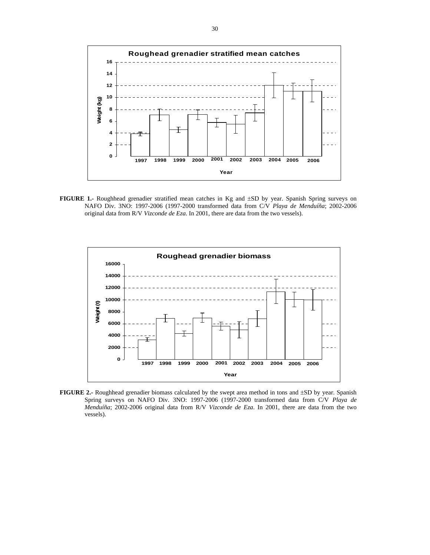

**FIGURE 1.-** Roughhead grenadier stratified mean catches in Kg and ±SD by year. Spanish Spring surveys on NAFO Div. 3NO: 1997-2006 (1997-2000 transformed data from C/V *Playa de Menduíña*; 2002-2006 original data from R/V *Vizconde de Eza*. In 2001, there are data from the two vessels).



**FIGURE 2.-** Roughhead grenadier biomass calculated by the swept area method in tons and ±SD by year. Spanish Spring surveys on NAFO Div. 3NO: 1997-2006 (1997-2000 transformed data from C/V *Playa de Menduíña*; 2002-2006 original data from R/V *Vizconde de Eza*. In 2001, there are data from the two vessels).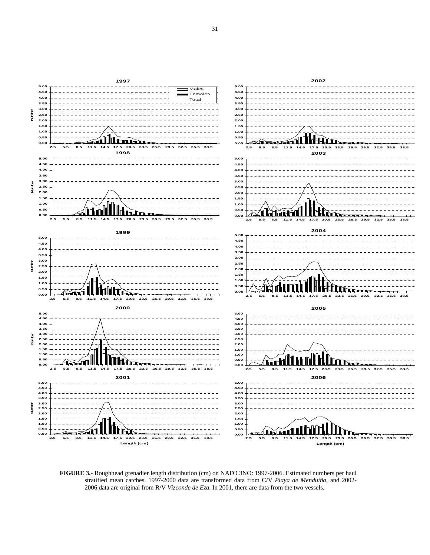

**FIGURE 3.-** Roughhead grenadier length distribution (cm) on NAFO 3NO: 1997-2006. Estimated numbers per haul stratified mean catches. 1997-2000 data are transformed data from C/V *Playa de Menduíña*, and 2002- 2006 data are original from R/V *Vizconde de Eza*. In 2001, there are data from the two vessels.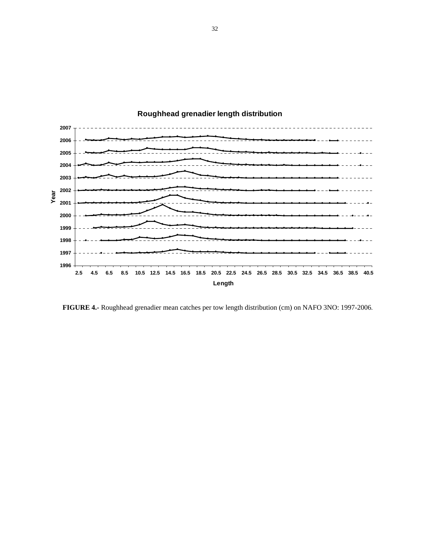

**FIGURE 4.-** Roughhead grenadier mean catches per tow length distribution (cm) on NAFO 3NO: 1997-2006.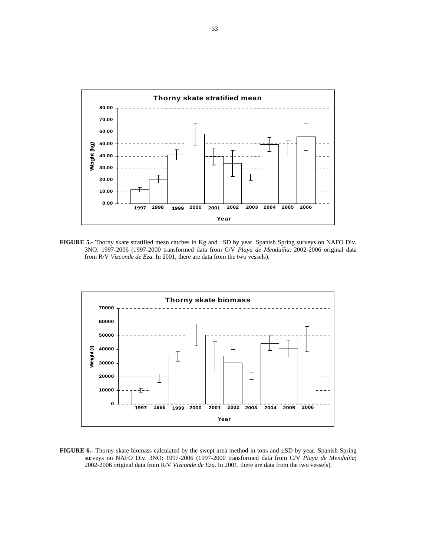![](_page_32_Figure_0.jpeg)

**FIGURE 5.-** Thorny skate stratified mean catches in Kg and ±SD by year. Spanish Spring surveys on NAFO Div. 3NO: 1997-2006 (1997-2000 transformed data from C/V *Playa de Menduíña*; 2002-2006 original data from R/V *Vizconde de Eza*. In 2001, there are data from the two vessels).

![](_page_32_Figure_2.jpeg)

**FIGURE 6.-** Thorny skate biomass calculated by the swept area method in tons and ±SD by year. Spanish Spring surveys on NAFO Div. 3NO: 1997-2006 (1997-2000 transformed data from C/V *Playa de Menduíña*; 2002-2006 original data from R/V *Vizconde de Eza*. In 2001, there are data from the two vessels).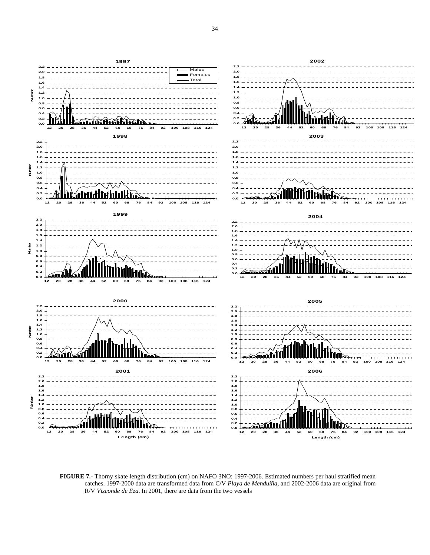![](_page_33_Figure_0.jpeg)

**FIGURE 7.-** Thorny skate length distribution (cm) on NAFO 3NO: 1997-2006. Estimated numbers per haul stratified mean catches. 1997-2000 data are transformed data from C/V *Playa de Menduíña*, and 2002-2006 data are original from R/V *Vizconde de Eza*. In 2001, there are data from the two vessels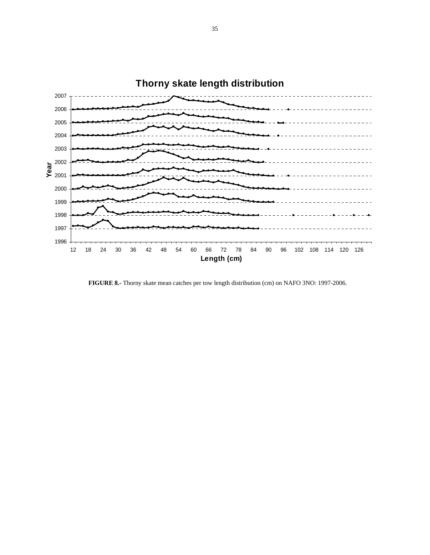![](_page_34_Figure_0.jpeg)

**FIGURE 8.-** Thorny skate mean catches per tow length distribution (cm) on NAFO 3NO: 1997-2006.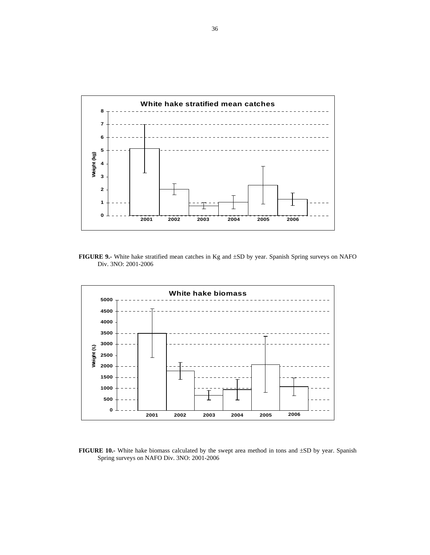![](_page_35_Figure_0.jpeg)

**FIGURE 9.-** White hake stratified mean catches in Kg and ±SD by year. Spanish Spring surveys on NAFO Div. 3NO: 2001-2006

![](_page_35_Figure_2.jpeg)

**FIGURE 10.-** White hake biomass calculated by the swept area method in tons and  $\pm SD$  by year. Spanish Spring surveys on NAFO Div. 3NO: 2001-2006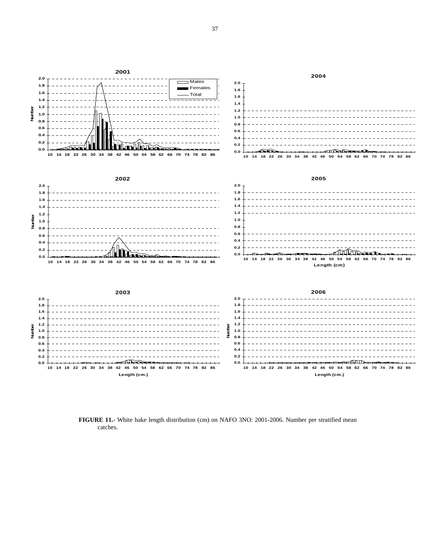![](_page_36_Figure_0.jpeg)

**FIGURE 11.-** White hake length distribution (cm) on NAFO 3NO: 2001-2006. Number per stratified mean catches.